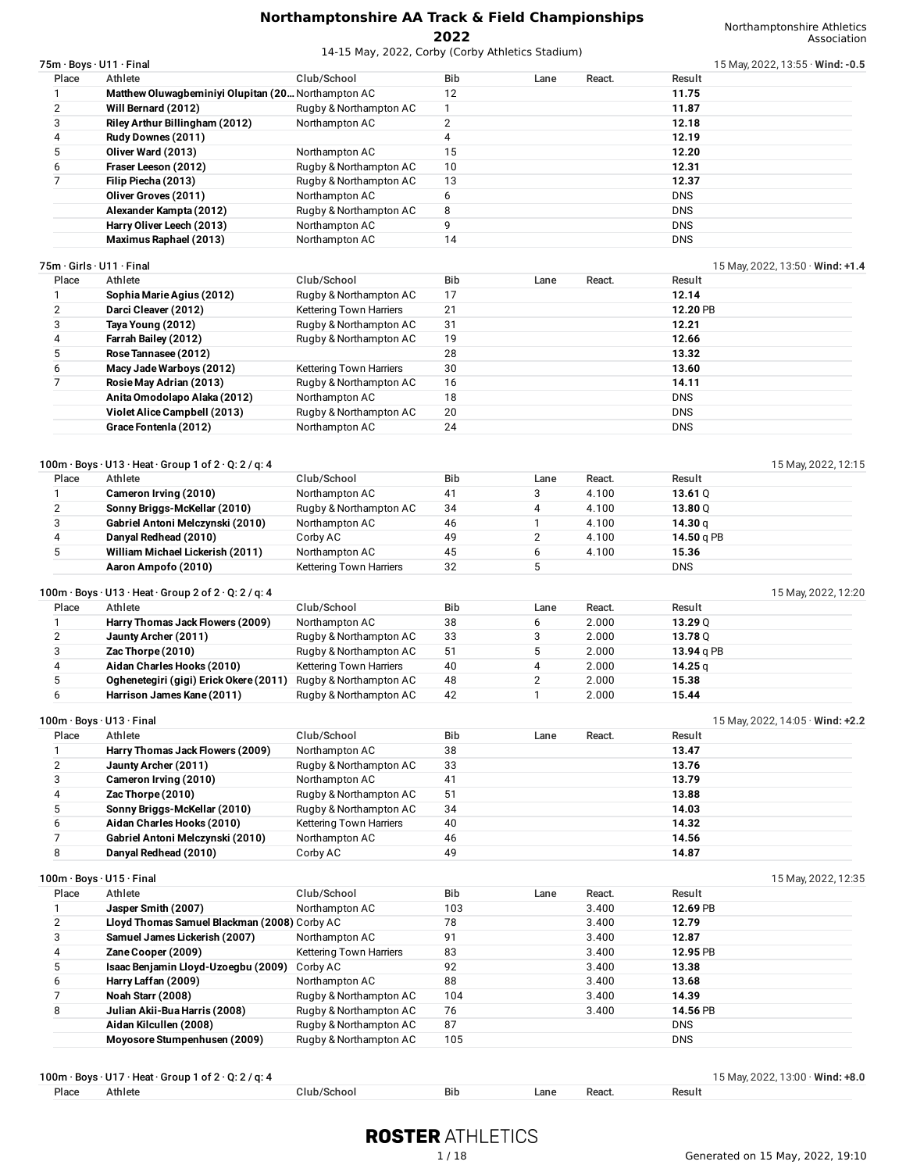|                | 75m · Boys · U11 · Final                                                    |                         |                |                |                | 15 May, 2022, 13:55 $\cdot$ Wind: -0.5 |  |
|----------------|-----------------------------------------------------------------------------|-------------------------|----------------|----------------|----------------|----------------------------------------|--|
| Place          | Athlete                                                                     | Club/School             | Bib            | Lane           | React.         | Result                                 |  |
| 1              | Matthew Oluwagbeminiyi Olupitan (20 Northampton AC                          |                         | 12             |                |                | 11.75                                  |  |
| $\overline{2}$ | Will Bernard (2012)                                                         | Rugby & Northampton AC  | $\mathbf{1}$   |                |                | 11.87                                  |  |
| 3              | Riley Arthur Billingham (2012)                                              | Northampton AC          | $\overline{2}$ |                |                | 12.18                                  |  |
| 4              | Rudy Downes (2011)                                                          |                         | 4              |                |                | 12.19                                  |  |
| 5              | Oliver Ward (2013)                                                          | Northampton AC          | 15             |                |                | 12.20                                  |  |
| 6              | Fraser Leeson (2012)                                                        | Rugby & Northampton AC  | 10             |                |                | 12.31                                  |  |
| 7              | Filip Piecha (2013)                                                         | Rugby & Northampton AC  | 13             |                |                | 12.37                                  |  |
|                | Oliver Groves (2011)                                                        | Northampton AC          | 6              |                |                | <b>DNS</b>                             |  |
|                | Alexander Kampta (2012)                                                     | Rugby & Northampton AC  | 8              |                |                | <b>DNS</b>                             |  |
|                | Harry Oliver Leech (2013)                                                   | Northampton AC          | 9<br>14        |                |                | <b>DNS</b><br><b>DNS</b>               |  |
|                | Maximus Raphael (2013)                                                      | Northampton AC          |                |                |                |                                        |  |
|                | 75m · Girls · U11 · Final                                                   |                         |                |                |                | 15 May, 2022, 13:50 $\cdot$ Wind: +1.4 |  |
| Place          | Athlete                                                                     | Club/School             | Bib            | Lane           | React.         | Result                                 |  |
| 1              | Sophia Marie Agius (2012)                                                   | Rugby & Northampton AC  | 17             |                |                | 12.14                                  |  |
| 2              | Darci Cleaver (2012)                                                        | Kettering Town Harriers | 21             |                |                | 12.20 PB                               |  |
| 3              | Taya Young (2012)                                                           | Rugby & Northampton AC  | 31             |                |                | 12.21                                  |  |
| 4              | Farrah Bailey (2012)                                                        | Rugby & Northampton AC  | 19             |                |                | 12.66                                  |  |
| 5              | Rose Tannasee (2012)                                                        |                         | 28             |                |                | 13.32                                  |  |
| 6              | Macy Jade Warboys (2012)                                                    | Kettering Town Harriers | 30             |                |                | 13.60                                  |  |
| $\overline{7}$ | Rosie May Adrian (2013)                                                     | Rugby & Northampton AC  | 16             |                |                | 14.11                                  |  |
|                | Anita Omodolapo Alaka (2012)                                                | Northampton AC          | 18             |                |                | <b>DNS</b>                             |  |
|                | Violet Alice Campbell (2013)                                                | Rugby & Northampton AC  | 20             |                |                | <b>DNS</b>                             |  |
|                | Grace Fontenla (2012)                                                       | Northampton AC          | 24             |                |                | <b>DNS</b>                             |  |
|                | $100m \cdot Boys \cdot U13 \cdot Heat \cdot Group 1 of 2 \cdot Q: 2 / q: 4$ |                         |                |                |                | 15 May, 2022, 12:15                    |  |
| Place          | Athlete                                                                     | Club/School             | <b>Bib</b>     | Lane           | React.         | Result                                 |  |
| 1              | Cameron Irving (2010)                                                       | Northampton AC          | 41             | 3              | 4.100          | 13.61 $Q$                              |  |
| $\overline{2}$ | Sonny Briggs-McKellar (2010)                                                | Rugby & Northampton AC  | 34             | 4              | 4.100          | 13.80Q                                 |  |
| 3              | Gabriel Antoni Melczynski (2010)                                            | Northampton AC          | 46<br>49       | 1              | 4.100          | 14.30 $q$                              |  |
| 4<br>5         | Danyal Redhead (2010)                                                       | Corby AC                |                | $\overline{2}$ | 4.100          | 14.50 g PB                             |  |
|                | William Michael Lickerish (2011)                                            | Northampton AC          | 45<br>32       | 6<br>5         | 4.100          | 15.36<br><b>DNS</b>                    |  |
|                | Aaron Ampofo (2010)                                                         | Kettering Town Harriers |                |                |                |                                        |  |
|                | 100m · Boys · U13 · Heat · Group 2 of 2 · Q: 2 / q: 4                       |                         |                |                |                | 15 May, 2022, 12:20                    |  |
| Place          | Athlete                                                                     | Club/School             | Bib            | Lane           | React.         | Result                                 |  |
| 1              | Harry Thomas Jack Flowers (2009)                                            | Northampton AC          | 38             | 6              | 2.000          | 13.29 $Q$                              |  |
| $\overline{2}$ | Jaunty Archer (2011)                                                        | Rugby & Northampton AC  | 33             | 3              | 2.000          | 13.78 Q                                |  |
| 3              | Zac Thorpe (2010)                                                           | Rugby & Northampton AC  | 51             | 5              | 2.000          | 13.94 g PB                             |  |
| 4              | Aidan Charles Hooks (2010)                                                  | Kettering Town Harriers | 40             | 4              | 2.000          | 14.25 $q$                              |  |
| 5              | Oghenetegiri (gigi) Erick Okere (2011)                                      | Rugby & Northampton AC  | 48             | $\overline{2}$ | 2.000          | 15.38                                  |  |
|                |                                                                             |                         |                |                |                |                                        |  |
| 6              | Harrison James Kane (2011)                                                  | Rugby & Northampton AC  | 42             | $\mathbf{1}$   | 2.000          | 15.44                                  |  |
|                |                                                                             |                         |                |                |                |                                        |  |
|                | 100m · Boys · U13 · Final                                                   |                         |                |                |                | 15 May, 2022, 14:05 · Wind: +2.2       |  |
| Place          | Athlete                                                                     | Club/School             | <b>Bib</b>     | Lane           | React.         | Result                                 |  |
| 1              | Harry Thomas Jack Flowers (2009)                                            | Northampton AC          | 38             |                |                | 13.47                                  |  |
| $\overline{2}$ | Jaunty Archer (2011)                                                        | Rugby & Northampton AC  | 33             |                |                | 13.76                                  |  |
| 3              | Cameron Irving (2010)                                                       | Northampton AC          | 41             |                |                | 13.79                                  |  |
| 4              | Zac Thorpe (2010)                                                           | Rugby & Northampton AC  | 51             |                |                | 13.88                                  |  |
| 5              | Sonny Briggs-McKellar (2010)                                                | Rugby & Northampton AC  | 34             |                |                | 14.03                                  |  |
| 6              | Aidan Charles Hooks (2010)                                                  | Kettering Town Harriers | 40             |                |                | 14.32                                  |  |
| $\overline{7}$ | Gabriel Antoni Melczynski (2010)                                            | Northampton AC          | 46             |                |                | 14.56                                  |  |
| 8              | Danyal Redhead (2010)                                                       | Corby AC                | 49             |                |                | 14.87                                  |  |
|                | 100m · Boys · U15 · Final                                                   |                         |                |                |                |                                        |  |
| Place          | Athlete                                                                     | Club/School             | Bib            | Lane           | React.         | 15 May, 2022, 12:35<br>Result          |  |
| 1              |                                                                             | Northampton AC          | 103            |                | 3.400          | 12.69 PB                               |  |
|                | Jasper Smith (2007)<br>Lloyd Thomas Samuel Blackman (2008) Corby AC         |                         | 78             |                | 3.400          | 12.79                                  |  |
| 2<br>3         | Samuel James Lickerish (2007)                                               | Northampton AC          | 91             |                | 3.400          | 12.87                                  |  |
| 4              |                                                                             |                         |                |                |                |                                        |  |
| 5              | Zane Cooper (2009)<br>Isaac Benjamin Lloyd-Uzoegbu (2009) Corby AC          | Kettering Town Harriers | 83<br>92       |                | 3.400<br>3.400 | 12.95 PB<br>13.38                      |  |
| 6              | Harry Laffan (2009)                                                         | Northampton AC          | 88             |                | 3.400          | 13.68                                  |  |
| 7              | Noah Starr (2008)                                                           | Rugby & Northampton AC  | 104            |                | 3.400          | 14.39                                  |  |
| 8              | Julian Akii-Bua Harris (2008)                                               | Rugby & Northampton AC  | 76             |                | 3.400          | 14.56 PB                               |  |
|                | Aidan Kilcullen (2008)                                                      | Rugby & Northampton AC  | 87             |                |                | <b>DNS</b>                             |  |

|       | $100m \cdot \text{Boys} \cdot \text{U17} \cdot \text{Heat} \cdot \text{Group 1 of 2} \cdot \text{Q}: 2 / q: 4$ |             |     |      |        | 15 May, 2022, 13:00 $\cdot$ Wind: +8.0 |
|-------|----------------------------------------------------------------------------------------------------------------|-------------|-----|------|--------|----------------------------------------|
| Place | Athlete                                                                                                        | Club/School | Bib | Lane | React. | Result                                 |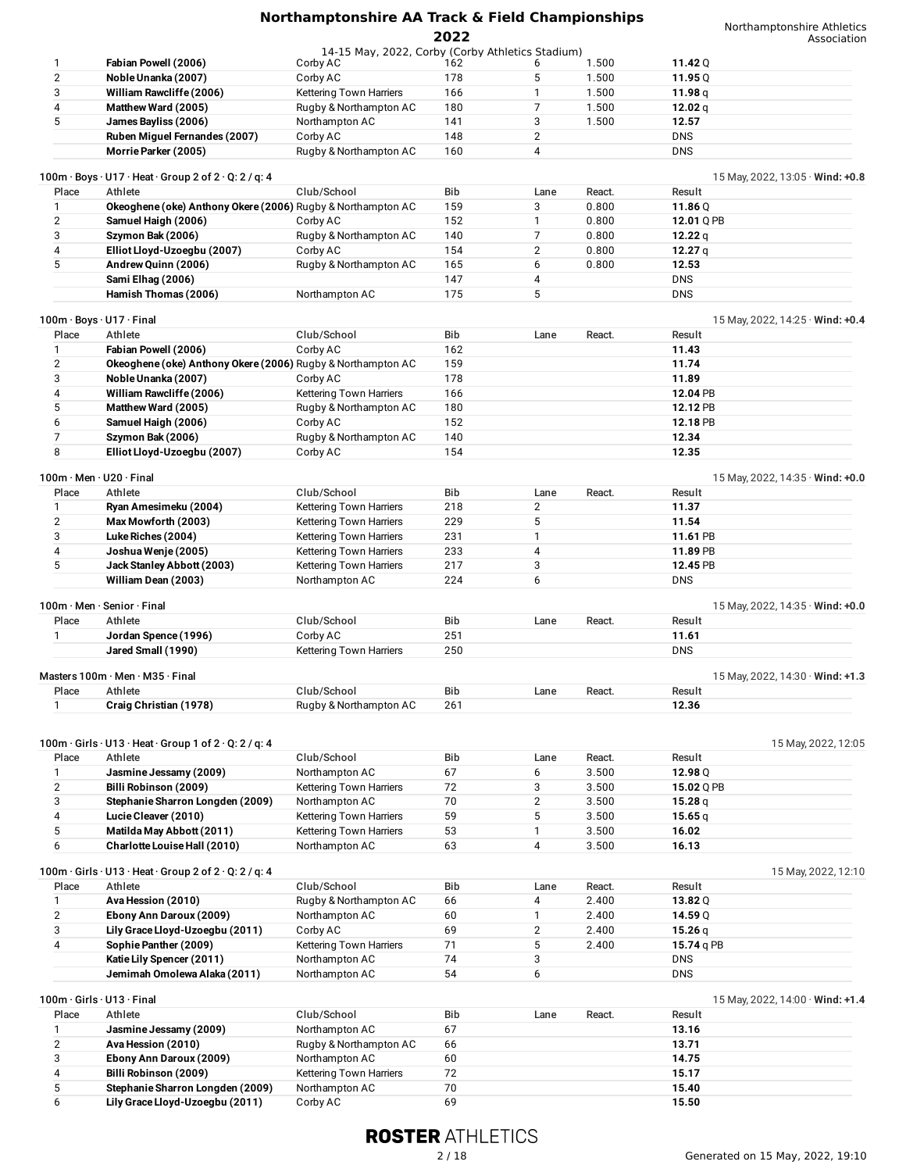| 1              | Fabian Powell (2006)                                                                 | 14-15 May, 2022, Corby (Corby Athletics Stadium)<br>Corby AC | 162 | 6              | 1.500  | 11.42 $Q$                              |
|----------------|--------------------------------------------------------------------------------------|--------------------------------------------------------------|-----|----------------|--------|----------------------------------------|
| $\overline{2}$ | Noble Unanka (2007)                                                                  | Corby AC                                                     | 178 | 5              | 1.500  | 11.95 $Q$                              |
| 3              | William Rawcliffe (2006)                                                             | Kettering Town Harriers                                      | 166 | 1              | 1.500  | 11.98 $q$                              |
| 4              | Matthew Ward (2005)                                                                  | Rugby & Northampton AC                                       | 180 | 7              | 1.500  | 12.02 $q$                              |
| 5              | James Bayliss (2006)                                                                 | Northampton AC                                               | 141 | 3              | 1.500  | 12.57                                  |
|                | Ruben Miquel Fernandes (2007)                                                        | Corby AC                                                     | 148 | $\overline{2}$ |        | <b>DNS</b>                             |
|                | Morrie Parker (2005)                                                                 | Rugby & Northampton AC                                       | 160 | 4              |        | <b>DNS</b>                             |
|                |                                                                                      |                                                              |     |                |        |                                        |
|                | $100m \cdot Boys \cdot U17 \cdot Heat \cdot Group 2 of 2 \cdot Q: 2 / q: 4$          |                                                              |     |                |        | 15 May, 2022, 13:05 $\cdot$ Wind: +0.8 |
| Place          | Athlete                                                                              | Club/School                                                  | Bib | Lane           | React. | Result                                 |
| 1              | Okeoghene (oke) Anthony Okere (2006) Rugby & Northampton AC                          |                                                              | 159 | 3              | 0.800  | 11.86Q                                 |
| 2              | Samuel Haigh (2006)                                                                  | Corby AC                                                     | 152 | 1              | 0.800  | 12.01 Q PB                             |
| 3              | Szymon Bak (2006)                                                                    | Rugby & Northampton AC                                       | 140 | 7              | 0.800  | 12.22 $q$                              |
| 4              | Elliot Lloyd-Uzoegbu (2007)                                                          | Corby AC                                                     | 154 | 2              | 0.800  | 12.27 $q$                              |
| 5              | Andrew Quinn (2006)                                                                  | Rugby & Northampton AC                                       | 165 | 6              | 0.800  | 12.53                                  |
|                | Sami Elhag (2006)                                                                    |                                                              | 147 | 4              |        | <b>DNS</b>                             |
|                | Hamish Thomas (2006)                                                                 | Northampton AC                                               | 175 | 5              |        | <b>DNS</b>                             |
|                |                                                                                      |                                                              |     |                |        |                                        |
|                | 100m · Boys · U17 · Final                                                            |                                                              |     |                |        | 15 May, 2022, 14:25 $\cdot$ Wind: +0.4 |
| Place          | Athlete                                                                              | Club/School                                                  | Bib | Lane           | React. | Result                                 |
| 1              | Fabian Powell (2006)                                                                 | Corby AC                                                     | 162 |                |        | 11.43                                  |
| 2              | Okeoghene (oke) Anthony Okere (2006) Rugby & Northampton AC                          |                                                              | 159 |                |        | 11.74                                  |
| 3              | Noble Unanka (2007)                                                                  | Corby AC                                                     | 178 |                |        | 11.89                                  |
| 4              | William Rawcliffe (2006)                                                             | Kettering Town Harriers                                      | 166 |                |        | 12.04 PB                               |
| 5              | Matthew Ward (2005)                                                                  | Rugby & Northampton AC                                       | 180 |                |        | 12.12 PB                               |
| 6              | Samuel Haigh (2006)                                                                  | Corby AC                                                     | 152 |                |        | 12.18 PB                               |
| 7              | Szymon Bak (2006)                                                                    | Rugby & Northampton AC                                       | 140 |                |        | 12.34                                  |
| 8              | Elliot Lloyd-Uzoegbu (2007)                                                          | Corby AC                                                     | 154 |                |        | 12.35                                  |
|                |                                                                                      |                                                              |     |                |        |                                        |
|                | $100m \cdot$ Men $\cdot$ U20 $\cdot$ Final                                           |                                                              |     |                |        | 15 May, 2022, 14:35 $\cdot$ Wind: +0.0 |
| Place          | Athlete                                                                              | Club/School                                                  | Bib | Lane           | React. | Result                                 |
| 1              | Ryan Amesimeku (2004)                                                                | <b>Kettering Town Harriers</b>                               | 218 | $\overline{2}$ |        | 11.37                                  |
| 2              | Max Mowforth (2003)                                                                  | <b>Kettering Town Harriers</b>                               | 229 | 5              |        | 11.54                                  |
| 3              | Luke Riches (2004)                                                                   | Kettering Town Harriers                                      | 231 | $\mathbf{1}$   |        | 11.61 PB                               |
| 4              | Joshua Wenje (2005)                                                                  | <b>Kettering Town Harriers</b>                               | 233 | 4              |        | 11.89 PB                               |
| 5              |                                                                                      |                                                              | 217 | 3              |        |                                        |
|                | Jack Stanley Abbott (2003)                                                           | Kettering Town Harriers                                      | 224 | 6              |        | 12.45 PB                               |
|                | William Dean (2003)                                                                  | Northampton AC                                               |     |                |        | <b>DNS</b>                             |
|                | 100m · Men · Senior · Final                                                          |                                                              |     |                |        | 15 May, 2022, 14:35 $\cdot$ Wind: +0.0 |
| Place          | Athlete                                                                              | Club/School                                                  | Bib | Lane           | React. | Result                                 |
| 1              | Jordan Spence (1996)                                                                 | Corby AC                                                     | 251 |                |        | 11.61                                  |
|                | Jared Small (1990)                                                                   | Kettering Town Harriers                                      | 250 |                |        | <b>DNS</b>                             |
|                |                                                                                      |                                                              |     |                |        |                                        |
|                | Masters 100m · Men · M35 · Final                                                     |                                                              |     |                |        | 15 May, 2022, 14:30 · Wind: +1.3       |
| Place          | Athlete                                                                              | Club/School                                                  | Bib | Lane           | React. | Result                                 |
| 1              | Craig Christian (1978)                                                               | Rugby & Northampton AC                                       | 261 |                |        | 12.36                                  |
|                |                                                                                      |                                                              |     |                |        |                                        |
|                | $100m \cdot$ Girls $\cdot$ U13 $\cdot$ Heat $\cdot$ Group 1 of 2 $\cdot$ Q: 2 / q: 4 |                                                              |     |                |        | 15 May, 2022, 12:05                    |
| Place          | Athlete                                                                              | Club/School                                                  | Bib | Lane           | React. | Result                                 |
| 1              | Jasmine Jessamy (2009)                                                               | Northampton AC                                               | 67  | 6              | 3.500  | 12.98 Q                                |
| $\overline{2}$ | Billi Robinson (2009)                                                                | Kettering Town Harriers                                      | 72  | 3              | 3.500  | 15.02 Q PB                             |
| 3              | Stephanie Sharron Longden (2009)                                                     | Northampton AC                                               | 70  | $\overline{2}$ | 3.500  | 15.28 $q$                              |
| 4              | Lucie Cleaver (2010)                                                                 | Kettering Town Harriers                                      | 59  | 5              | 3.500  | 15.65q                                 |
| 5              | Matilda May Abbott (2011)                                                            | Kettering Town Harriers                                      | 53  | $\mathbf{1}$   | 3.500  | 16.02                                  |
| 6              | Charlotte Louise Hall (2010)                                                         | Northampton AC                                               | 63  | 4              | 3.500  | 16.13                                  |
|                |                                                                                      |                                                              |     |                |        |                                        |
|                | $100m \cdot$ Girls $\cdot$ U13 $\cdot$ Heat $\cdot$ Group 2 of 2 $\cdot$ Q: 2 / q: 4 |                                                              |     |                |        | 15 May, 2022, 12:10                    |
| Place          | Athlete                                                                              | Club/School                                                  | Bib | Lane           | React. | Result                                 |
| 1              | Ava Hession (2010)                                                                   | Rugby & Northampton AC                                       | 66  | 4              | 2.400  | 13.82Q                                 |
| $\overline{2}$ | Ebony Ann Daroux (2009)                                                              | Northampton AC                                               | 60  | 1              | 2.400  | 14.59 Q                                |
| 3              | Lily Grace Lloyd-Uzoegbu (2011)                                                      | Corby AC                                                     | 69  | $\overline{2}$ | 2.400  | 15.26 $q$                              |
| 4              | Sophie Panther (2009)                                                                | Kettering Town Harriers                                      | 71  | 5              | 2.400  | 15.74 g PB                             |
|                | Katie Lily Spencer (2011)                                                            | Northampton AC                                               | 74  | 3              |        | <b>DNS</b>                             |
|                | Jemimah Omolewa Alaka (2011)                                                         | Northampton AC                                               | 54  | 6              |        | <b>DNS</b>                             |
|                |                                                                                      |                                                              |     |                |        |                                        |
|                | 100m · Girls · U13 · Final                                                           |                                                              |     |                |        | 15 May, 2022, 14:00 · Wind: +1.4       |
| Place          | Athlete                                                                              | Club/School                                                  | Bib | Lane           | React. | Result                                 |
| 1              | Jasmine Jessamy (2009)                                                               | Northampton AC                                               | 67  |                |        | 13.16                                  |
| $\overline{2}$ | Ava Hession (2010)                                                                   | Rugby & Northampton AC                                       | 66  |                |        | 13.71                                  |
| 3              | Ebony Ann Daroux (2009)                                                              | Northampton AC                                               | 60  |                |        | 14.75                                  |
| 4              | Billi Robinson (2009)                                                                | Kettering Town Harriers                                      | 72  |                |        | 15.17                                  |
|                |                                                                                      |                                                              |     |                |        |                                        |
| 5<br>6         | Stephanie Sharron Longden (2009)                                                     | Northampton AC                                               | 70  |                |        | 15.40                                  |
|                | Lily Grace Lloyd-Uzoegbu (2011)                                                      | Corby AC                                                     | 69  |                |        | 15.50                                  |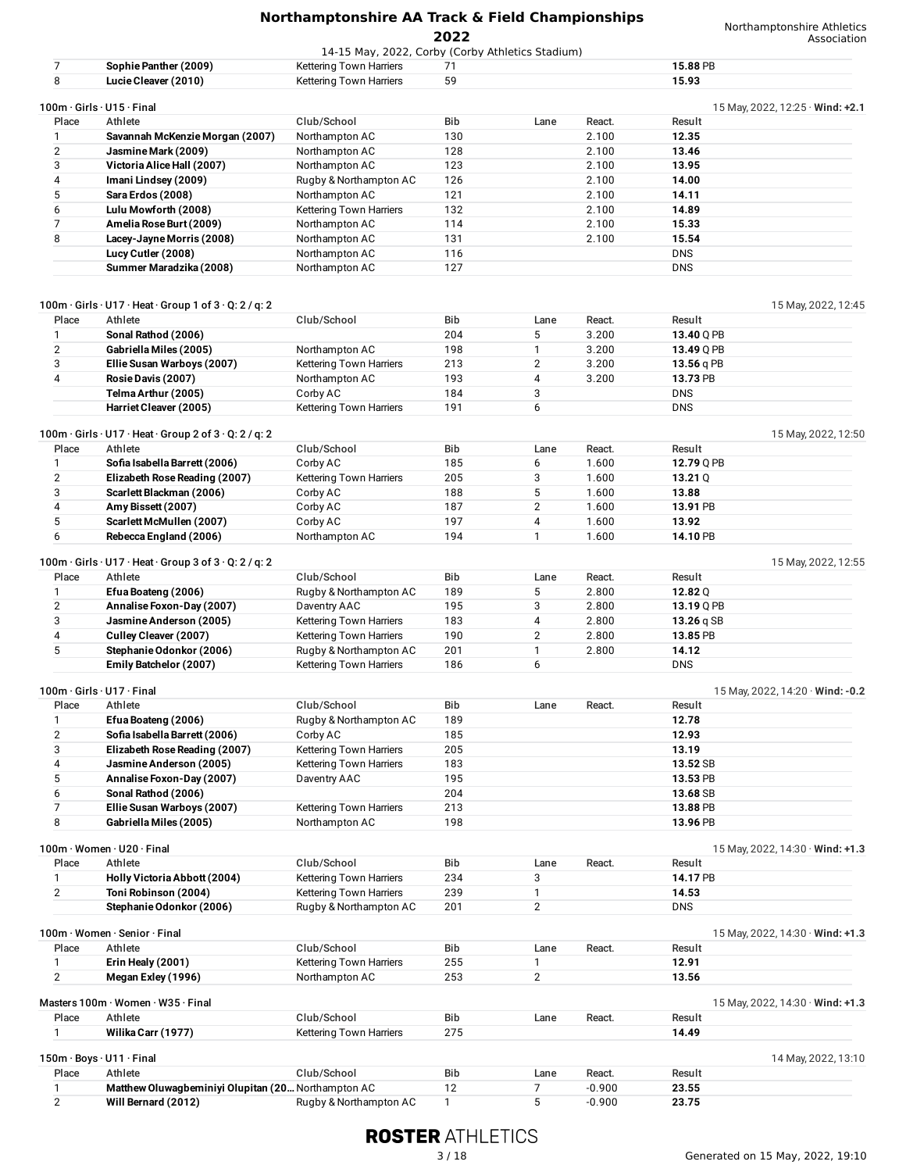|                                |                                                                   |                                                                             | ZUZZ         |                |                | Association                            |
|--------------------------------|-------------------------------------------------------------------|-----------------------------------------------------------------------------|--------------|----------------|----------------|----------------------------------------|
| 7                              | Sophie Panther (2009)                                             | 14-15 May, 2022, Corby (Corby Athletics Stadium)<br>Kettering Town Harriers | 71           |                |                | 15.88 PB                               |
| 8                              | Lucie Cleaver (2010)                                              | Kettering Town Harriers                                                     | 59           |                |                | 15.93                                  |
|                                |                                                                   |                                                                             |              |                |                |                                        |
|                                | 100m · Girls · U15 · Final                                        |                                                                             |              |                |                | 15 May, 2022, 12:25 $\cdot$ Wind: +2.1 |
| Place                          | Athlete                                                           | Club/School                                                                 | Bib          | Lane           | React.         | Result                                 |
| 1                              | Savannah McKenzie Morgan (2007)                                   | Northampton AC                                                              | 130          |                | 2.100          | 12.35                                  |
| $\overline{2}$<br>3            | Jasmine Mark (2009)<br>Victoria Alice Hall (2007)                 | Northampton AC<br>Northampton AC                                            | 128<br>123   |                | 2.100<br>2.100 | 13.46<br>13.95                         |
| 4                              | Imani Lindsey (2009)                                              | Rugby & Northampton AC                                                      | 126          |                | 2.100          | 14.00                                  |
| 5                              | Sara Erdos (2008)                                                 | Northampton AC                                                              | 121          |                | 2.100          | 14.11                                  |
| 6                              | Lulu Mowforth (2008)                                              | Kettering Town Harriers                                                     | 132          |                | 2.100          | 14.89                                  |
| $\overline{7}$                 | Amelia Rose Burt (2009)                                           | Northampton AC                                                              | 114          |                | 2.100          | 15.33                                  |
| 8                              | Lacey-Jayne Morris (2008)                                         | Northampton AC                                                              | 131          |                | 2.100          | 15.54                                  |
|                                | Lucy Cutler (2008)                                                | Northampton AC                                                              | 116          |                |                | <b>DNS</b>                             |
|                                | Summer Maradzika (2008)                                           | Northampton AC                                                              | 127          |                |                | <b>DNS</b>                             |
|                                |                                                                   |                                                                             |              |                |                |                                        |
|                                |                                                                   |                                                                             |              |                |                |                                        |
| Place                          | 100m · Girls · U17 · Heat · Group 1 of 3 · Q: 2 / q: 2<br>Athlete | Club/School                                                                 | Bib          | Lane           | React.         | 15 May, 2022, 12:45<br>Result          |
| 1                              | Sonal Rathod (2006)                                               |                                                                             | 204          | 5              | 3.200          | 13.40 Q PB                             |
| 2                              | Gabriella Miles (2005)                                            | Northampton AC                                                              | 198          | 1              | 3.200          | 13.49 Q PB                             |
| 3                              | Ellie Susan Warboys (2007)                                        | Kettering Town Harriers                                                     | 213          | $\overline{2}$ | 3.200          | 13.56 q PB                             |
| 4                              | Rosie Davis (2007)                                                | Northampton AC                                                              | 193          | 4              | 3.200          | 13.73 PB                               |
|                                | Telma Arthur (2005)                                               | Corby AC                                                                    | 184          | 3              |                | <b>DNS</b>                             |
|                                | Harriet Cleaver (2005)                                            | Kettering Town Harriers                                                     | 191          | 6              |                | <b>DNS</b>                             |
|                                |                                                                   |                                                                             |              |                |                |                                        |
|                                | 100m · Girls · U17 · Heat · Group 2 of 3 · Q: 2 / q: 2            |                                                                             |              |                |                | 15 May, 2022, 12:50                    |
| Place                          | Athlete                                                           | Club/School                                                                 | Bib          | Lane           | React.         | Result                                 |
| 1                              | Sofia Isabella Barrett (2006)                                     | Corby AC                                                                    | 185          | 6              | 1.600          | 12.79 Q PB                             |
| 2                              | Elizabeth Rose Reading (2007)                                     | Kettering Town Harriers                                                     | 205          | 3              | 1.600          | 13.21 $Q$                              |
| 3                              | Scarlett Blackman (2006)                                          | Corby AC                                                                    | 188          | 5              | 1.600          | 13.88                                  |
| 4                              | Amy Bissett (2007)                                                | Corby AC                                                                    | 187          | $\overline{2}$ | 1.600          | 13.91 PB                               |
| 5                              | Scarlett McMullen (2007)                                          | Corby AC                                                                    | 197          | 4              | 1.600          | 13.92                                  |
| 6                              | Rebecca England (2006)                                            | Northampton AC                                                              | 194          | $\mathbf{1}$   | 1.600          | 14.10 PB                               |
|                                | 100m · Girls · U17 · Heat · Group 3 of 3 · Q: 2 / q: 2            |                                                                             |              |                |                | 15 May, 2022, 12:55                    |
| Place                          | Athlete                                                           | Club/School                                                                 | Bib          | Lane           | React.         | Result                                 |
| $\mathbf{1}$                   | Efua Boateng (2006)                                               | Rugby & Northampton AC                                                      | 189          | 5              | 2.800          | 12.82 $Q$                              |
| 2                              | Annalise Foxon-Day (2007)                                         | Daventry AAC                                                                | 195          | 3              | 2.800          | 13.19 Q PB                             |
| 3                              | Jasmine Anderson (2005)                                           | Kettering Town Harriers                                                     | 183          | 4              | 2.800          | 13.26 $qSB$                            |
| 4                              | Culley Cleaver (2007)                                             | Kettering Town Harriers                                                     | 190          | $\overline{2}$ | 2.800          | 13.85 PB                               |
| 5                              | Stephanie Odonkor (2006)                                          | Rugby & Northampton AC                                                      | 201          | 1              | 2.800          | 14.12                                  |
|                                | Emily Batchelor (2007)                                            | Kettering Town Harriers                                                     | 186          | 6              |                | <b>DNS</b>                             |
|                                |                                                                   |                                                                             |              |                |                |                                        |
| 100m · Girls · U17 · Final     |                                                                   | Club/School                                                                 | Bib          |                |                | 15 May, 2022, 14:20 $\cdot$ Wind: -0.2 |
| Place                          | Athlete                                                           |                                                                             |              | Lane           | React.         | Result                                 |
| $\mathbf{1}$<br>$\overline{2}$ | Efua Boateng (2006)<br>Sofia Isabella Barrett (2006)              | Rugby & Northampton AC<br>Corby AC                                          | 189<br>185   |                |                | 12.78<br>12.93                         |
| 3                              |                                                                   |                                                                             | 205          |                |                | 13.19                                  |
| 4                              | Elizabeth Rose Reading (2007)<br>Jasmine Anderson (2005)          | Kettering Town Harriers<br>Kettering Town Harriers                          | 183          |                |                | 13.52 SB                               |
| 5                              | Annalise Foxon-Day (2007)                                         | Daventry AAC                                                                | 195          |                |                | 13.53 PB                               |
| 6                              | Sonal Rathod (2006)                                               |                                                                             | 204          |                |                | 13.68 SB                               |
| $\overline{7}$                 | Ellie Susan Warboys (2007)                                        | Kettering Town Harriers                                                     | 213          |                |                | 13.88 PB                               |
| 8                              | Gabriella Miles (2005)                                            | Northampton AC                                                              | 198          |                |                | 13.96 PB                               |
|                                |                                                                   |                                                                             |              |                |                |                                        |
|                                | 100m · Women · U20 · Final                                        |                                                                             |              |                |                | 15 May, 2022, 14:30 $\cdot$ Wind: +1.3 |
| Place                          | Athlete                                                           | Club/School                                                                 | Bib          | Lane           | React.         | Result                                 |
| 1                              | Holly Victoria Abbott (2004)                                      | Kettering Town Harriers                                                     | 234          | 3              |                | 14.17 PB                               |
| $\mathbf{2}$                   | Toni Robinson (2004)                                              | Kettering Town Harriers                                                     | 239          | 1              |                | 14.53                                  |
|                                | Stephanie Odonkor (2006)                                          | Rugby & Northampton AC                                                      | 201          | $\overline{2}$ |                | <b>DNS</b>                             |
|                                | 100m · Women · Senior · Final                                     |                                                                             |              |                |                | 15 May, 2022, 14:30 $\cdot$ Wind: +1.3 |
| Place                          | Athlete                                                           | Club/School                                                                 | Bib          | Lane           | React.         | Result                                 |
| 1                              | Erin Healy (2001)                                                 | Kettering Town Harriers                                                     | 255          | 1              |                | 12.91                                  |
| 2                              | Megan Exley (1996)                                                | Northampton AC                                                              | 253          | $\overline{2}$ |                | 13.56                                  |
|                                |                                                                   |                                                                             |              |                |                |                                        |
|                                | Masters 100m · Women · W35 · Final                                |                                                                             |              |                |                | 15 May, 2022, 14:30 $\cdot$ Wind: +1.3 |
| Place                          | Athlete                                                           | Club/School                                                                 | Bib          | Lane           | React.         | Result                                 |
| 1                              | Wilika Carr (1977)                                                | Kettering Town Harriers                                                     | 275          |                |                | 14.49                                  |
|                                | 150m · Boys · U11 · Final                                         |                                                                             |              |                |                |                                        |
| Place                          | Athlete                                                           | Club/School                                                                 | Bib          | Lane           | React.         | 14 May, 2022, 13:10<br>Result          |
| $\mathbf{1}$                   | Matthew Oluwagbeminiyi Olupitan (20 Northampton AC                |                                                                             | 12           | 7              | $-0.900$       | 23.55                                  |
| $\overline{2}$                 | Will Bernard (2012)                                               | Rugby & Northampton AC                                                      | $\mathbf{1}$ | 5              | $-0.900$       | 23.75                                  |
|                                |                                                                   |                                                                             |              |                |                |                                        |

Will **Bernard** (2012) **Rugby & Northampton AC** 1 5 -0.900 23.75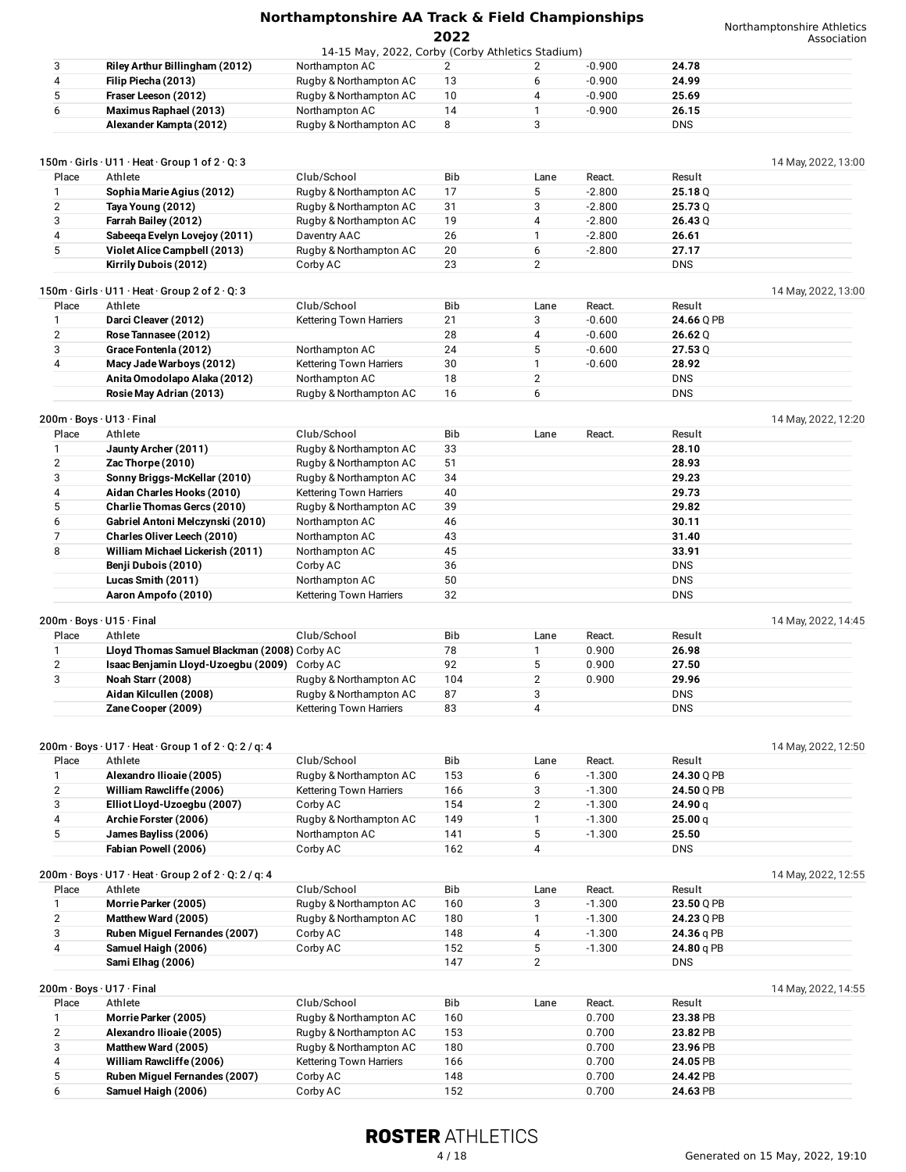Northamptonshire Athletics on

|                |                                                                                                                           |                                                  | ZUZZ       |                     |                      |                    | Association         |
|----------------|---------------------------------------------------------------------------------------------------------------------------|--------------------------------------------------|------------|---------------------|----------------------|--------------------|---------------------|
| 3              |                                                                                                                           | 14-15 May, 2022, Corby (Corby Athletics Stadium) | 2          |                     | $-0.900$             | 24.78              |                     |
| 4              | Riley Arthur Billingham (2012)<br>Filip Piecha (2013)                                                                     | Northampton AC                                   | 13         | 2<br>6              | $-0.900$             | 24.99              |                     |
| 5              | Fraser Leeson (2012)                                                                                                      | Rugby & Northampton AC                           | 10         | 4                   | $-0.900$             | 25.69              |                     |
|                |                                                                                                                           | Rugby & Northampton AC                           |            |                     |                      |                    |                     |
| 6              | Maximus Raphael (2013)                                                                                                    | Northampton AC                                   | 14<br>8    | 1<br>3              | $-0.900$             | 26.15              |                     |
|                | Alexander Kampta (2012)                                                                                                   | Rugby & Northampton AC                           |            |                     |                      | <b>DNS</b>         |                     |
|                | 150m · Girls · U11 · Heat · Group 1 of 2 · Q: 3                                                                           |                                                  |            |                     |                      |                    | 14 May, 2022, 13:00 |
| Place          | Athlete                                                                                                                   | Club/School                                      | Bib        | Lane                | React.               | Result             |                     |
| 1              | Sophia Marie Agius (2012)                                                                                                 | Rugby & Northampton AC                           | 17         | 5                   | $-2.800$             | 25.18Q             |                     |
| $\overline{2}$ | Taya Young (2012)                                                                                                         | Rugby & Northampton AC                           | 31         | 3                   | $-2.800$             | 25.73 Q            |                     |
| 3              | Farrah Bailey (2012)                                                                                                      | Rugby & Northampton AC                           | 19         | 4                   | $-2.800$             | 26.43Q             |                     |
| 4              | Sabeeqa Evelyn Lovejoy (2011)                                                                                             | Daventry AAC                                     | 26         | 1                   | $-2.800$             | 26.61              |                     |
| 5              | Violet Alice Campbell (2013)                                                                                              | Rugby & Northampton AC                           | 20         | 6                   | $-2.800$             | 27.17              |                     |
|                | Kirrily Dubois (2012)                                                                                                     | Corby AC                                         | 23         | $\overline{2}$      |                      | <b>DNS</b>         |                     |
|                | 150m · Girls · U11 · Heat · Group 2 of 2 · Q: 3                                                                           |                                                  |            |                     |                      |                    | 14 May, 2022, 13:00 |
| Place          | Athlete                                                                                                                   | Club/School                                      | <b>Bib</b> | Lane                | React.               | Result             |                     |
| 1              | Darci Cleaver (2012)                                                                                                      | Kettering Town Harriers                          | 21         | 3                   | $-0.600$             | 24.66 Q PB         |                     |
| 2              | Rose Tannasee (2012)                                                                                                      |                                                  | 28         | 4                   | $-0.600$             | 26.62Q             |                     |
| 3              | Grace Fontenla (2012)                                                                                                     | Northampton AC                                   | 24         | 5                   | $-0.600$             | 27.53Q             |                     |
| 4              | Macy Jade Warboys (2012)                                                                                                  | Kettering Town Harriers                          | 30         | 1                   | $-0.600$             | 28.92              |                     |
|                | Anita Omodolapo Alaka (2012)                                                                                              | Northampton AC                                   | 18         | $\overline{2}$      |                      | <b>DNS</b>         |                     |
|                | Rosie May Adrian (2013)                                                                                                   | Rugby & Northampton AC                           | 16         | 6                   |                      | <b>DNS</b>         |                     |
|                | 200m · Boys · U13 · Final                                                                                                 |                                                  |            |                     |                      |                    | 14 May, 2022, 12:20 |
| Place          | Athlete                                                                                                                   | Club/School                                      | <b>Bib</b> | Lane                | React.               | Result             |                     |
| 1              | Jaunty Archer (2011)                                                                                                      | Rugby & Northampton AC                           | 33         |                     |                      | 28.10              |                     |
| $\overline{2}$ | Zac Thorpe (2010)                                                                                                         | Rugby & Northampton AC                           | 51         |                     |                      | 28.93              |                     |
| 3              | Sonny Briggs-McKellar (2010)                                                                                              | Rugby & Northampton AC                           | 34         |                     |                      | 29.23              |                     |
| 4              | Aidan Charles Hooks (2010)                                                                                                | Kettering Town Harriers                          | 40         |                     |                      | 29.73              |                     |
| 5              | <b>Charlie Thomas Gercs (2010)</b>                                                                                        | Rugby & Northampton AC                           | 39         |                     |                      | 29.82              |                     |
| 6              | Gabriel Antoni Melczynski (2010)                                                                                          | Northampton AC                                   | 46         |                     |                      | 30.11              |                     |
| $\overline{7}$ | Charles Oliver Leech (2010)                                                                                               | Northampton AC                                   | 43         |                     |                      | 31.40              |                     |
| 8              | William Michael Lickerish (2011)                                                                                          | Northampton AC                                   | 45         |                     |                      | 33.91              |                     |
|                | Benji Dubois (2010)                                                                                                       | Corby AC                                         | 36         |                     |                      | <b>DNS</b>         |                     |
|                | Lucas Smith (2011)                                                                                                        | Northampton AC                                   | 50         |                     |                      | <b>DNS</b>         |                     |
|                | Aaron Ampofo (2010)                                                                                                       | Kettering Town Harriers                          | 32         |                     |                      | <b>DNS</b>         |                     |
|                | 200m · Boys · U15 · Final                                                                                                 |                                                  |            |                     |                      |                    | 14 May, 2022, 14:45 |
| Place          | Athlete                                                                                                                   | Club/School                                      | Bib        | Lane                | React.               | Result             |                     |
| 1              | Lloyd Thomas Samuel Blackman (2008) Corby AC                                                                              |                                                  | 78         | 1                   | 0.900                | 26.98              |                     |
| $\overline{2}$ | Isaac Benjamin Lloyd-Uzoegbu (2009) Corby AC                                                                              |                                                  | 92         | 5                   | 0.900                | 27.50              |                     |
| 3              | Noah Starr (2008)                                                                                                         | Rugby & Northampton AC                           | 104        | $\overline{2}$      | 0.900                | 29.96              |                     |
|                | Aidan Kilcullen (2008)                                                                                                    | Rugby & Northampton AC                           | 87         | 3                   |                      | <b>DNS</b>         |                     |
|                | Zane Cooper (2009)                                                                                                        | Kettering Town Harriers                          | 83         | 4                   |                      | <b>DNS</b>         |                     |
|                |                                                                                                                           |                                                  |            |                     |                      |                    |                     |
|                | $200m \cdot$ Boys $\cdot$ U17 $\cdot$ Heat $\cdot$ Group 1 of 2 $\cdot$ Q: 2 / g: 4<br>Athlete                            | Club/School                                      |            |                     |                      | Result             | 14 May, 2022, 12:50 |
| Place<br>1     | Alexandro Ilioaie (2005)                                                                                                  | Rugby & Northampton AC                           | Bib<br>153 | Lane<br>6           | React.<br>$-1.300$   | 24.30 Q PB         |                     |
| $\mathbf{2}$   |                                                                                                                           |                                                  |            |                     |                      |                    |                     |
| 3              | William Rawcliffe (2006)<br>Elliot Lloyd-Uzoegbu (2007)                                                                   | Kettering Town Harriers<br>Corby AC              | 166<br>154 | 3<br>$\overline{2}$ | $-1.300$             | 24.50 Q PB         |                     |
| 4              | Archie Forster (2006)                                                                                                     | Rugby & Northampton AC                           | 149        | 1                   | $-1.300$<br>$-1.300$ | 24.90 q<br>25.00 q |                     |
| 5              | James Bayliss (2006)                                                                                                      | Northampton AC                                   | 141        | 5                   | $-1.300$             | 25.50              |                     |
|                | Fabian Powell (2006)                                                                                                      | Corby AC                                         | 162        | 4                   |                      | <b>DNS</b>         |                     |
|                |                                                                                                                           |                                                  |            |                     |                      |                    |                     |
| Place          | $200m \cdot \text{Boys} \cdot \text{U17} \cdot \text{Heat} \cdot \text{Group 2 of 2} \cdot \text{Q: 2 / q: 4}$<br>Athlete | Club/School                                      | Bib        | Lane                | React.               | Result             | 14 May, 2022, 12:55 |
| 1              | Morrie Parker (2005)                                                                                                      | Rugby & Northampton AC                           | 160        | 3                   | $-1.300$             | 23.50 Q PB         |                     |
| $\overline{2}$ | Matthew Ward (2005)                                                                                                       | Rugby & Northampton AC                           | 180        | 1                   | $-1.300$             | 24.23 Q PB         |                     |
| 3              | Ruben Miguel Fernandes (2007)                                                                                             | Corby AC                                         | 148        | 4                   | $-1.300$             | 24.36 q PB         |                     |
| 4              | Samuel Haigh (2006)                                                                                                       | Corby AC                                         | 152        | 5                   | $-1.300$             | 24.80 q PB         |                     |
|                | Sami Elhag (2006)                                                                                                         |                                                  | 147        | $\overline{2}$      |                      | <b>DNS</b>         |                     |
|                | 200m · Boys · U17 · Final                                                                                                 |                                                  |            |                     |                      |                    |                     |
| Place          | Athlete                                                                                                                   | Club/School                                      | Bib        | Lane                | React.               | Result             | 14 May, 2022, 14:55 |
|                | Morrie Parker (2005)                                                                                                      | Rugby & Northampton AC                           | 160        |                     | 0.700                | 23.38 PB           |                     |

| Place | Athlete                       | Club/School             | <b>Bib</b> | Lane | React. | Result   |
|-------|-------------------------------|-------------------------|------------|------|--------|----------|
|       | Morrie Parker (2005)          | Rugby & Northampton AC  | 160        |      | 0.700  | 23.38 PB |
|       | Alexandro Ilioaie (2005)      | Rugby & Northampton AC  | 153        |      | 0.700  | 23.82 PB |
|       | Matthew Ward (2005)           | Rugby & Northampton AC  | 180        |      | 0.700  | 23.96 PB |
|       | William Rawcliffe (2006)      | Kettering Town Harriers | 166        |      | 0.700  | 24.05 PB |
|       | Ruben Miguel Fernandes (2007) | Corby AC                | 148        |      | 0.700  | 24.42 PB |
|       | Samuel Haigh (2006)           | Corby AC                | 152        |      | 0.700  | 24.63 PB |

## **ROSTER ATHLETICS**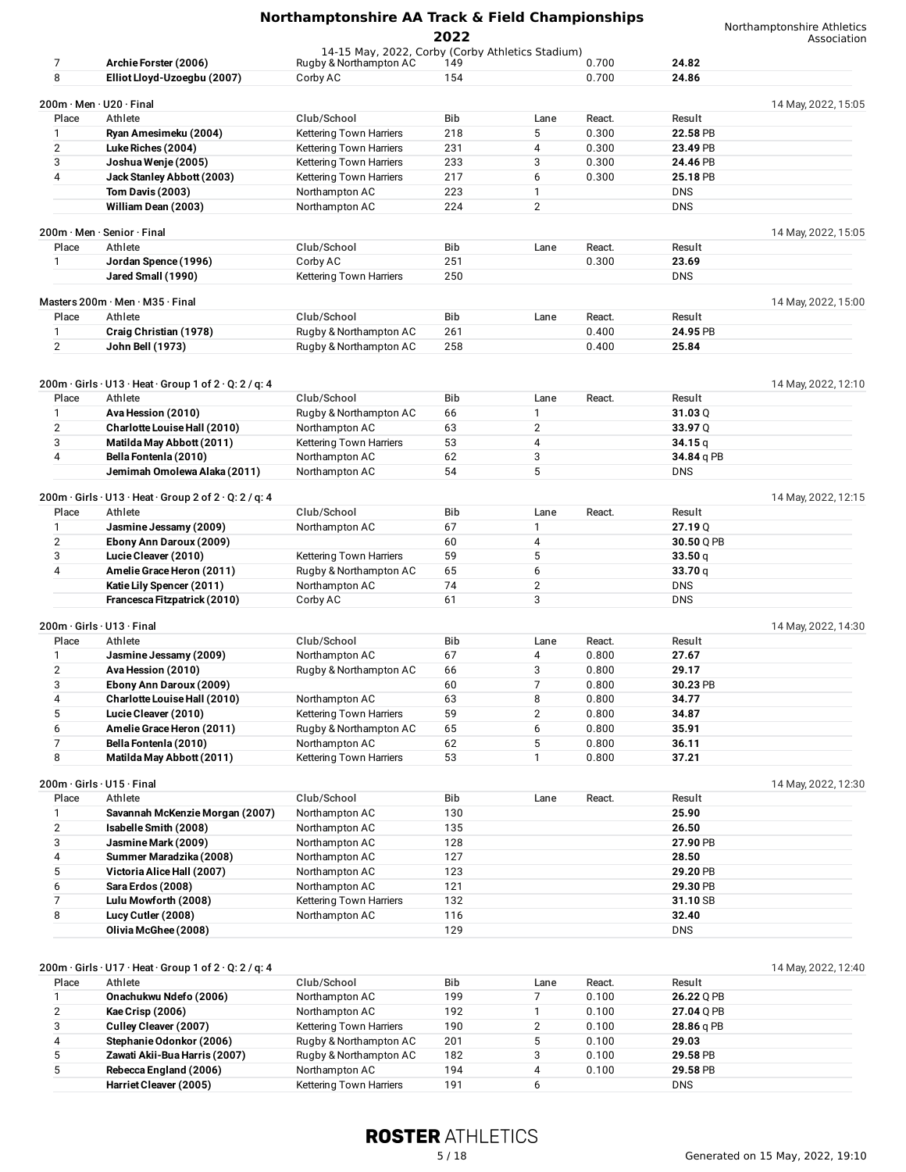| Northamptonshire AA Track & Field Championships |  |  |  |
|-------------------------------------------------|--|--|--|
|                                                 |  |  |  |

Northamptonshire Athletics

|                |                                                                                         |                                                  | 2022       |                         |        |            | Association         |
|----------------|-----------------------------------------------------------------------------------------|--------------------------------------------------|------------|-------------------------|--------|------------|---------------------|
|                |                                                                                         | 14-15 May, 2022, Corby (Corby Athletics Stadium) |            |                         |        |            |                     |
| 7              | Archie Forster (2006)                                                                   | Rugby & Northampton AC                           | 149        |                         | 0.700  | 24.82      |                     |
| 8              | Elliot Lloyd-Uzoegbu (2007)                                                             | Corby AC                                         | 154        |                         | 0.700  | 24.86      |                     |
|                | $200m \cdot$ Men $\cdot$ U20 $\cdot$ Final                                              |                                                  |            |                         |        |            | 14 May, 2022, 15:05 |
| Place          | Athlete                                                                                 | Club/School                                      | Bib        | Lane                    | React. | Result     |                     |
| 1              | Ryan Amesimeku (2004)                                                                   | <b>Kettering Town Harriers</b>                   | 218        | 5                       | 0.300  | 22.58 PB   |                     |
| $\overline{2}$ | Luke Riches (2004)                                                                      | <b>Kettering Town Harriers</b>                   | 231        | 4                       | 0.300  | 23.49 PB   |                     |
| 3              | Joshua Wenje (2005)                                                                     | <b>Kettering Town Harriers</b>                   | 233        | 3                       | 0.300  | 24.46 PB   |                     |
| 4              | Jack Stanley Abbott (2003)                                                              | <b>Kettering Town Harriers</b>                   | 217        | 6                       | 0.300  | 25.18 PB   |                     |
|                | <b>Tom Davis (2003)</b>                                                                 | Northampton AC                                   | 223        | 1                       |        | <b>DNS</b> |                     |
|                | William Dean (2003)                                                                     | Northampton AC                                   | 224        | $\overline{2}$          |        | <b>DNS</b> |                     |
|                |                                                                                         |                                                  |            |                         |        |            |                     |
|                | 200m · Men · Senior · Final                                                             |                                                  |            |                         |        |            | 14 May, 2022, 15:05 |
| Place          | Athlete                                                                                 | Club/School                                      | Bib        | Lane                    | React. | Result     |                     |
| $\mathbf{1}$   | Jordan Spence (1996)                                                                    | Corby AC                                         | 251        |                         | 0.300  | 23.69      |                     |
|                | Jared Small (1990)                                                                      | <b>Kettering Town Harriers</b>                   | 250        |                         |        | <b>DNS</b> |                     |
|                |                                                                                         |                                                  |            |                         |        |            |                     |
|                | Masters $200m \cdot$ Men $\cdot$ M35 $\cdot$ Final                                      |                                                  |            |                         |        |            | 14 May, 2022, 15:00 |
| Place          | Athlete                                                                                 | Club/School                                      | Bib        | Lane                    | React. | Result     |                     |
| 1              | Craig Christian (1978)                                                                  | Rugby & Northampton AC                           | 261        |                         | 0.400  | 24.95 PB   |                     |
| $\mathbf{2}$   | John Bell (1973)                                                                        | Rugby & Northampton AC                           | 258        |                         | 0.400  | 25.84      |                     |
|                |                                                                                         |                                                  |            |                         |        |            |                     |
|                |                                                                                         |                                                  |            |                         |        |            |                     |
| Place          | $200m \cdot Girls \cdot U13 \cdot Heat \cdot Group 1 of 2 \cdot Q: 2 / q: 4$<br>Athlete | Club/School                                      | Bib        | Lane                    | React. | Result     | 14 May, 2022, 12:10 |
|                |                                                                                         |                                                  |            |                         |        |            |                     |
| 1              | Ava Hession (2010)                                                                      | Rugby & Northampton AC                           | 66         | 1                       |        | 31.03Q     |                     |
| $\overline{2}$ | Charlotte Louise Hall (2010)                                                            | Northampton AC                                   | 63         | $\overline{2}$          |        | 33.97 Q    |                     |
| 3<br>4         | Matilda May Abbott (2011)                                                               | <b>Kettering Town Harriers</b>                   | 53         | 4                       |        | 34.15q     |                     |
|                | Bella Fontenla (2010)                                                                   | Northampton AC                                   | 62<br>54   | 3<br>5                  |        | 34.84 q PB |                     |
|                | Jemimah Omolewa Alaka (2011)                                                            | Northampton AC                                   |            |                         |        | <b>DNS</b> |                     |
|                | $200m \cdot Girls \cdot U13 \cdot Heat \cdot Group 2 of 2 \cdot Q: 2 / q: 4$            |                                                  |            |                         |        |            | 14 May, 2022, 12:15 |
| Place          | Athlete                                                                                 | Club/School                                      | <b>Bib</b> | Lane                    | React. | Result     |                     |
| 1              | Jasmine Jessamy (2009)                                                                  | Northampton AC                                   | 67         | 1                       |        | 27.19Q     |                     |
| $\overline{2}$ | Ebony Ann Daroux (2009)                                                                 |                                                  | 60         | 4                       |        | 30.50 Q PB |                     |
| 3              | Lucie Cleaver (2010)                                                                    | <b>Kettering Town Harriers</b>                   | 59         | 5                       |        | 33.50q     |                     |
| 4              | Amelie Grace Heron (2011)                                                               | Rugby & Northampton AC                           | 65         | 6                       |        | 33.70q     |                     |
|                | Katie Lily Spencer (2011)                                                               | Northampton AC                                   | 74         | $\overline{2}$          |        | <b>DNS</b> |                     |
|                | Francesca Fitzpatrick (2010)                                                            | Corby AC                                         | 61         | 3                       |        | <b>DNS</b> |                     |
|                |                                                                                         |                                                  |            |                         |        |            |                     |
|                | 200m · Girls · U13 · Final                                                              |                                                  |            |                         |        |            | 14 May, 2022, 14:30 |
| Place          | Athlete                                                                                 | Club/School                                      | <b>Bib</b> | Lane                    | React. | Result     |                     |
| 1              | Jasmine Jessamy (2009)                                                                  | Northampton AC                                   | 67         | 4                       | 0.800  | 27.67      |                     |
| 2              | Ava Hession (2010)                                                                      | Rugby & Northampton AC                           | 66         | 3                       | 0.800  | 29.17      |                     |
| 3              | Ebony Ann Daroux (2009)                                                                 |                                                  | 60         | 7                       | 0.800  | 30.23 PB   |                     |
| 4              | Charlotte Louise Hall (2010)                                                            | Northampton AC                                   | 63         | 8                       | 0.800  | 34.77      |                     |
| 5              | Lucie Cleaver (2010)                                                                    | <b>Kettering Town Harriers</b>                   | 59         | $\overline{\mathbf{c}}$ | 0.800  | 34.87      |                     |
| 6              | Amelie Grace Heron (2011)                                                               | Rugby & Northampton AC                           | 65         | 6                       | 0.800  | 35.91      |                     |
| 7              | Bella Fontenla (2010)                                                                   | Northampton AC                                   | 62         | 5                       | 0.800  | 36.11      |                     |
| 8              | Matilda May Abbott (2011)                                                               | Kettering Town Harriers                          | 53         | 1                       | 0.800  | 37.21      |                     |
|                |                                                                                         |                                                  |            |                         |        |            |                     |
|                | 200m · Girls · U15 · Final                                                              |                                                  |            |                         |        |            | 14 May, 2022, 12:30 |
| Place          | Athlete                                                                                 | Club/School                                      | Bib        | Lane                    | React. | Result     |                     |
| 1              | Savannah McKenzie Morgan (2007)                                                         | Northampton AC                                   | 130        |                         |        | 25.90      |                     |
| $\mathbf{2}$   | Isabelle Smith (2008)                                                                   | Northampton AC                                   | 135        |                         |        | 26.50      |                     |
| 3              | Jasmine Mark (2009)                                                                     | Northampton AC                                   | 128        |                         |        | 27.90 PB   |                     |
| 4              | Summer Maradzika (2008)                                                                 | Northampton AC                                   | 127        |                         |        | 28.50      |                     |
| 5              | Victoria Alice Hall (2007)                                                              | Northampton AC                                   | 123        |                         |        | 29.20 PB   |                     |
| 6              | Sara Erdos (2008)                                                                       | Northampton AC                                   | 121        |                         |        | 29.30 PB   |                     |
| 7              | Lulu Mowforth (2008)                                                                    | Kettering Town Harriers                          | 132        |                         |        | 31.10 SB   |                     |
| 8              | Lucy Cutler (2008)                                                                      | Northampton AC                                   | 116        |                         |        | 32.40      |                     |
|                | Olivia McGhee (2008)                                                                    |                                                  | 129        |                         |        | <b>DNS</b> |                     |
|                |                                                                                         |                                                  |            |                         |        |            |                     |
|                |                                                                                         |                                                  |            |                         |        |            |                     |
|                | 200m · Girls · U17 · Heat · Group 1 of 2 · Q: 2 / q: 4                                  |                                                  |            |                         |        |            | 14 May, 2022, 12:40 |
| Place          | Athlete                                                                                 | Club/School                                      | Bib<br>199 | Lane                    | React. | Result     |                     |
| 1              | Onachukwu Ndefo (2006)                                                                  | Northampton AC                                   |            | 7                       | 0.100  | 26.22 Q PB |                     |
| $\overline{2}$ | Kae Crisp (2006)                                                                        | Northampton AC                                   | 192        | $\mathbf{1}$            | 0.100  | 27.04 Q PB |                     |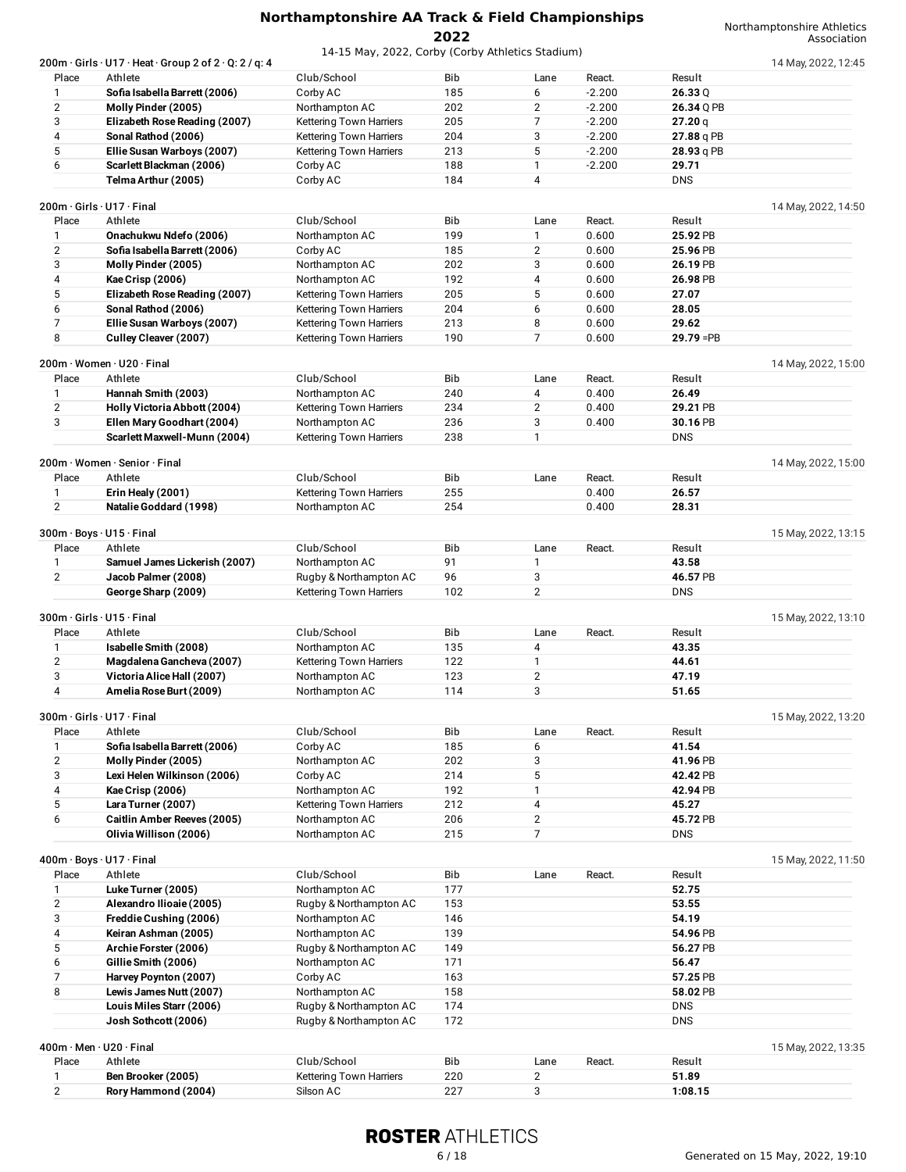|                | $200$ m·Girls·U17·Heat·Group 2 of 2·Q: 2 / q: 4 |                                |     |                |          |              | 14 May, 2022, 12:45 |
|----------------|-------------------------------------------------|--------------------------------|-----|----------------|----------|--------------|---------------------|
| Place          | Athlete                                         | Club/School                    | Bib | Lane           | React.   | Result       |                     |
| 1              | Sofia Isabella Barrett (2006)                   | Corby AC                       | 185 | 6              | $-2.200$ | 26.33Q       |                     |
| $\mathbf{2}$   | Molly Pinder (2005)                             | Northampton AC                 | 202 | $\mathbf{2}$   | $-2.200$ | 26.34 Q PB   |                     |
| 3              | Elizabeth Rose Reading (2007)                   | Kettering Town Harriers        | 205 | $\overline{7}$ | $-2.200$ | 27.20q       |                     |
| 4              | Sonal Rathod (2006)                             | <b>Kettering Town Harriers</b> | 204 | 3              | $-2.200$ | 27.88 g PB   |                     |
| 5              | Ellie Susan Warboys (2007)                      | Kettering Town Harriers        | 213 | 5              | $-2.200$ | 28.93 q PB   |                     |
| 6              | Scarlett Blackman (2006)                        | Corby AC                       | 188 | $\mathbf{1}$   | $-2.200$ | 29.71        |                     |
|                | Telma Arthur (2005)                             | Corby AC                       | 184 | $\overline{4}$ |          | <b>DNS</b>   |                     |
|                | 200m · Girls · U17 · Final                      |                                |     |                |          |              | 14 May, 2022, 14:50 |
| Place          | Athlete                                         | Club/School                    | Bib | Lane           | React.   | Result       |                     |
| 1              | Onachukwu Ndefo (2006)                          | Northampton AC                 | 199 | $\mathbf{1}$   | 0.600    | 25.92 PB     |                     |
| $\mathbf{2}$   | Sofia Isabella Barrett (2006)                   | Corby AC                       | 185 | 2              | 0.600    | 25.96 PB     |                     |
| 3              | Molly Pinder (2005)                             | Northampton AC                 | 202 | 3              | 0.600    | 26.19 PB     |                     |
| 4              |                                                 |                                | 192 | 4              | 0.600    | 26.98 PB     |                     |
| 5              | Kae Crisp (2006)                                | Northampton AC                 |     | 5              |          |              |                     |
|                | Elizabeth Rose Reading (2007)                   | Kettering Town Harriers        | 205 |                | 0.600    | 27.07        |                     |
| 6              | Sonal Rathod (2006)                             | Kettering Town Harriers        | 204 | 6              | 0.600    | 28.05        |                     |
| 7              | Ellie Susan Warboys (2007)                      | <b>Kettering Town Harriers</b> | 213 | 8              | 0.600    | 29.62        |                     |
| 8              | Culley Cleaver (2007)                           | Kettering Town Harriers        | 190 | $\overline{7}$ | 0.600    | $29.79 = PB$ |                     |
|                | 200m · Women · U20 · Final                      |                                |     |                |          |              | 14 May, 2022, 15:00 |
| Place          | Athlete                                         | Club/School                    | Bib | Lane           | React.   | Result       |                     |
| 1              | Hannah Smith (2003)                             | Northampton AC                 | 240 | 4              | 0.400    | 26.49        |                     |
| $\overline{2}$ | Holly Victoria Abbott (2004)                    | <b>Kettering Town Harriers</b> | 234 | $\overline{2}$ | 0.400    | 29.21 PB     |                     |
| 3              | Ellen Mary Goodhart (2004)                      | Northampton AC                 | 236 | 3              | 0.400    | 30.16 PB     |                     |
|                | Scarlett Maxwell-Munn (2004)                    | Kettering Town Harriers        | 238 | $\mathbf{1}$   |          | <b>DNS</b>   |                     |
|                |                                                 |                                |     |                |          |              |                     |
|                | 200m · Women · Senior · Final<br>Athlete        |                                |     |                |          |              | 14 May, 2022, 15:00 |
| Place          |                                                 | Club/School                    | Bib | Lane           | React.   | Result       |                     |
| 1              | Erin Healy (2001)                               | <b>Kettering Town Harriers</b> | 255 |                | 0.400    | 26.57        |                     |
| $\mathbf{2}$   | Natalie Goddard (1998)                          | Northampton AC                 | 254 |                | 0.400    | 28.31        |                     |
|                | 300m · Boys · U15 · Final                       |                                |     |                |          |              | 15 May, 2022, 13:15 |
| Place          | Athlete                                         | Club/School                    | Bib | Lane           | React.   | Result       |                     |
| 1              | Samuel James Lickerish (2007)                   | Northampton AC                 | 91  | $\mathbf{1}$   |          | 43.58        |                     |
| $\overline{2}$ | Jacob Palmer (2008)                             | Rugby & Northampton AC         | 96  | 3              |          | 46.57 PB     |                     |
|                | George Sharp (2009)                             | Kettering Town Harriers        | 102 | $\mathbf{2}$   |          | <b>DNS</b>   |                     |
|                |                                                 |                                |     |                |          |              |                     |
|                | 300m · Girls · U15 · Final                      |                                |     |                |          |              | 15 May, 2022, 13:10 |
| Place          | Athlete                                         | Club/School                    | Bib | Lane           | React.   | Result       |                     |
| 1              | Isabelle Smith (2008)                           | Northampton AC                 | 135 | 4              |          | 43.35        |                     |
| 2              | Magdalena Gancheva (2007)                       | Kettering Town Harriers        | 122 | $\mathbf{1}$   |          | 44.61        |                     |
| 3              | Victoria Alice Hall (2007)                      | Northampton AC                 | 123 | $\overline{2}$ |          | 47.19        |                     |
| 4              | Amelia Rose Burt (2009)                         | Northampton AC                 | 114 | 3              |          | 51.65        |                     |
|                | 300m · Girls · U17 · Final                      |                                |     |                |          |              | 15 May, 2022, 13:20 |
| Place          | Athlete                                         | Club/School                    | Bib | Lane           | React.   | Result       |                     |
| 1              | Sofia Isabella Barrett (2006)                   | Corby AC                       | 185 | 6              |          | 41.54        |                     |
| $\mathbf{2}$   | Molly Pinder (2005)                             | Northampton AC                 | 202 | 3              |          | 41.96 PB     |                     |
| 3              | Lexi Helen Wilkinson (2006)                     | Corby AC                       | 214 | 5              |          | 42.42 PB     |                     |
| 4              | Kae Crisp (2006)                                | Northampton AC                 | 192 | $\mathbf{1}$   |          | 42.94 PB     |                     |
| 5              | Lara Turner (2007)                              | Kettering Town Harriers        | 212 | 4              |          | 45.27        |                     |
| 6              | <b>Caitlin Amber Reeves (2005)</b>              | Northampton AC                 | 206 | $\overline{2}$ |          | 45.72 PB     |                     |
|                | Olivia Willison (2006)                          | Northampton AC                 | 215 | 7              |          | <b>DNS</b>   |                     |
|                |                                                 |                                |     |                |          |              |                     |
|                | 400m · Boys · U17 · Final                       |                                |     |                |          |              | 15 May, 2022, 11:50 |
| Place          | Athlete                                         | Club/School                    | Bib | Lane           | React.   | Result       |                     |
| 1              | Luke Turner (2005)                              | Northampton AC                 | 177 |                |          | 52.75        |                     |
| $\mathbf{2}$   | Alexandro Ilioaie (2005)                        | Rugby & Northampton AC         | 153 |                |          | 53.55        |                     |
| 3              | Freddie Cushing (2006)                          | Northampton AC                 | 146 |                |          | 54.19        |                     |
| 4              | Keiran Ashman (2005)                            | Northampton AC                 | 139 |                |          | 54.96 PB     |                     |
| 5              | Archie Forster (2006)                           | Rugby & Northampton AC         | 149 |                |          | 56.27 PB     |                     |
| 6              | Gillie Smith (2006)                             | Northampton AC                 | 171 |                |          | 56.47        |                     |
| 7              | Harvey Poynton (2007)                           | Corby AC                       | 163 |                |          | 57.25 PB     |                     |
| 8              | Lewis James Nutt (2007)                         | Northampton AC                 | 158 |                |          | 58.02 PB     |                     |
|                | Louis Miles Starr (2006)                        | Rugby & Northampton AC         | 174 |                |          | <b>DNS</b>   |                     |
|                | Josh Sothcott (2006)                            | Rugby & Northampton AC         | 172 |                |          | <b>DNS</b>   |                     |
|                | 400m · Men · U20 · Final                        |                                |     |                |          |              |                     |
| Place          | Athlete                                         | Club/School                    | Bib | Lane           | React.   | Result       | 15 May, 2022, 13:35 |
| 1              | Ben Brooker (2005)                              | Kettering Town Harriers        | 220 | $\overline{2}$ |          | 51.89        |                     |
| $\overline{2}$ | Rory Hammond (2004)                             | Silson AC                      | 227 | 3              |          | 1:08.15      |                     |
|                |                                                 |                                |     |                |          |              |                     |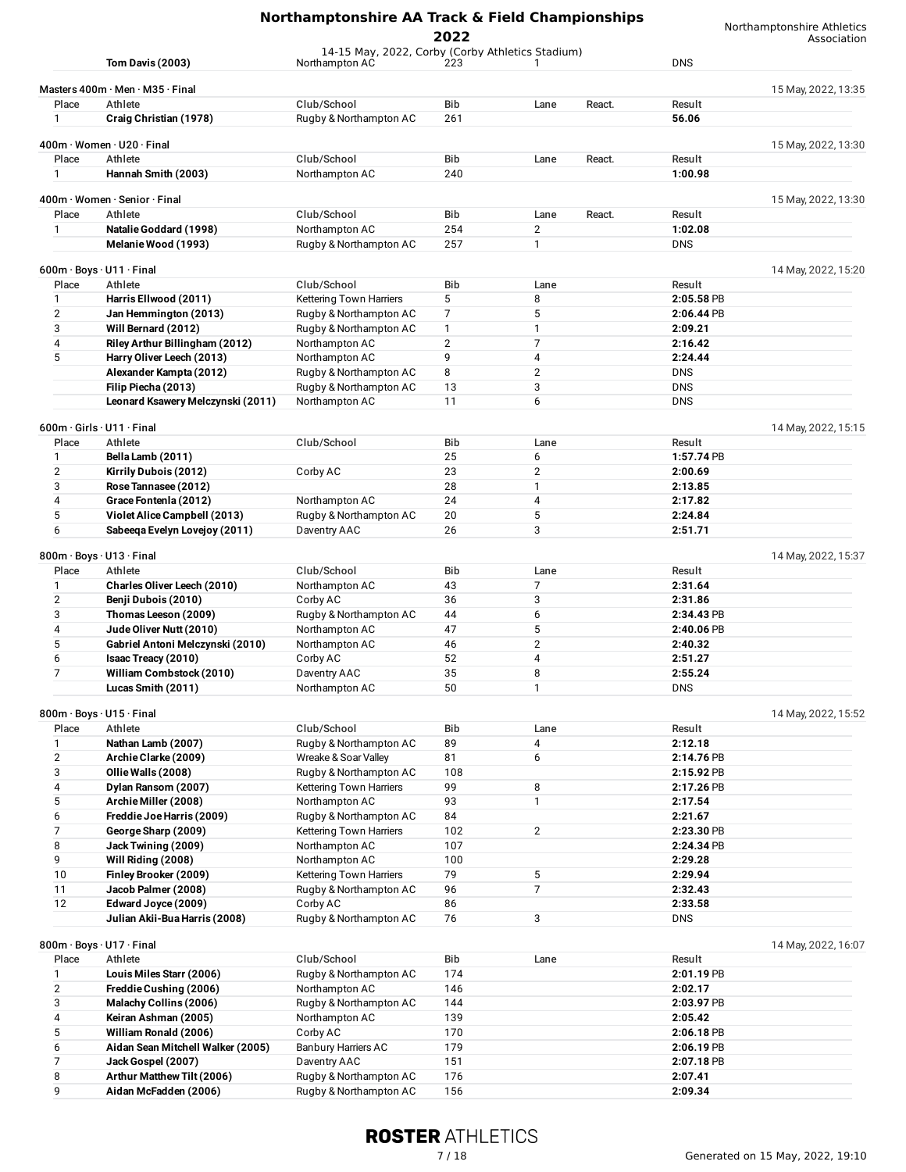|                       | Northamptonshire AA Track & Field Championships         | Northamptonshire Athletics<br>Association         |                |                     |                       |                     |
|-----------------------|---------------------------------------------------------|---------------------------------------------------|----------------|---------------------|-----------------------|---------------------|
|                       |                                                         | 14-15 May, 2022, Corby (Corby Athletics Stadium)  | 2022           |                     |                       |                     |
|                       | <b>Tom Davis (2003)</b>                                 | Northampton AC                                    | 223            | 1                   | <b>DNS</b>            |                     |
|                       | Masters 400m · Men · M35 · Final                        |                                                   |                |                     |                       | 15 May, 2022, 13:35 |
| Place                 | Athlete                                                 | Club/School                                       | Bib            | Lane<br>React.      | Result                |                     |
| 1                     | Craig Christian (1978)                                  | Rugby & Northampton AC                            | 261            |                     | 56.06                 |                     |
|                       | 400m · Women · U20 · Final                              |                                                   |                |                     |                       | 15 May, 2022, 13:30 |
| Place                 | Athlete                                                 | Club/School                                       | Bib            | React.<br>Lane      | Result                |                     |
| 1                     | Hannah Smith (2003)                                     | Northampton AC                                    | 240            |                     | 1:00.98               |                     |
|                       | 400m · Women · Senior · Final                           |                                                   |                |                     |                       | 15 May, 2022, 13:30 |
| Place                 | Athlete                                                 | Club/School                                       | Bib            | React.<br>Lane      | Result                |                     |
| $\mathbf{1}$          | Natalie Goddard (1998)                                  | Northampton AC                                    | 254            | $\overline{2}$      | 1:02.08               |                     |
|                       | Melanie Wood (1993)                                     | Rugby & Northampton AC                            | 257            | $\mathbf{1}$        | <b>DNS</b>            |                     |
|                       | $600m \cdot$ Boys $\cdot$ U11 $\cdot$ Final             |                                                   |                |                     |                       | 14 May, 2022, 15:20 |
| Place                 | Athlete                                                 | Club/School                                       | Bib            | Lane                | Result                |                     |
| $\mathbf{1}$          | Harris Ellwood (2011)                                   | <b>Kettering Town Harriers</b>                    | 5              | 8                   | 2:05.58 PB            |                     |
| $\overline{2}$        | Jan Hemmington (2013)                                   | Rugby & Northampton AC                            | 7              | 5                   | 2:06.44 PB            |                     |
| 3                     | Will Bernard (2012)                                     | Rugby & Northampton AC                            | 1              | 1                   | 2:09.21               |                     |
| 4                     | Riley Arthur Billingham (2012)                          | Northampton AC                                    | $\overline{2}$ | $\overline{7}$      | 2:16.42               |                     |
| 5                     | Harry Oliver Leech (2013)                               | Northampton AC<br>Rugby & Northampton AC          | 9<br>8         | 4<br>$\overline{2}$ | 2:24.44<br><b>DNS</b> |                     |
|                       | Alexander Kampta (2012)<br>Filip Piecha (2013)          | Rugby & Northampton AC                            | 13             | 3                   | <b>DNS</b>            |                     |
|                       | Leonard Ksawery Melczynski (2011)                       | Northampton AC                                    | 11             | 6                   | <b>DNS</b>            |                     |
|                       |                                                         |                                                   |                |                     |                       |                     |
|                       | 600m · Girls · U11 · Final                              |                                                   |                |                     |                       | 14 May, 2022, 15:15 |
| Place<br>$\mathbf{1}$ | Athlete                                                 | Club/School                                       | Bib<br>25      | Lane<br>6           | Result<br>1:57.74 PB  |                     |
| $\overline{2}$        | Bella Lamb (2011)<br>Kirrily Dubois (2012)              | Corby AC                                          | 23             | 2                   | 2:00.69               |                     |
| 3                     | Rose Tannasee (2012)                                    |                                                   | 28             | 1                   | 2:13.85               |                     |
| 4                     | Grace Fontenla (2012)                                   | Northampton AC                                    | 24             | 4                   | 2:17.82               |                     |
| 5                     | Violet Alice Campbell (2013)                            | Rugby & Northampton AC                            | 20             | 5                   | 2:24.84               |                     |
| 6                     | Sabeeqa Evelyn Lovejoy (2011)                           | Daventry AAC                                      | 26             | 3                   | 2:51.71               |                     |
|                       | 800m · Boys · U13 · Final                               |                                                   |                |                     |                       | 14 May, 2022, 15:37 |
| Place                 | Athlete                                                 | Club/School                                       | Bib            | Lane                | Result                |                     |
| 1                     | Charles Oliver Leech (2010)                             | Northampton AC                                    | 43             | 7                   | 2:31.64               |                     |
| $\overline{2}$        | Benji Dubois (2010)                                     | Corby AC                                          | 36             | 3                   | 2:31.86               |                     |
| 3                     | Thomas Leeson (2009)                                    | Rugby & Northampton AC                            | 44             | 6                   | 2:34.43 PB            |                     |
| 4                     | Jude Oliver Nutt (2010)                                 | Northampton AC                                    | 47             | 5                   | 2:40.06 PB            |                     |
| 5<br>6                | Gabriel Antoni Melczynski (2010)<br>Isaac Treacy (2010) | Northampton AC<br>Corby AC                        | 46<br>52       | $\overline{2}$<br>4 | 2:40.32<br>2:51.27    |                     |
| 7                     | William Combstock (2010)                                | Daventry AAC                                      | 35             | 8                   | 2:55.24               |                     |
|                       | Lucas Smith (2011)                                      | Northampton AC                                    | 50             | 1                   | <b>DNS</b>            |                     |
|                       |                                                         |                                                   |                |                     |                       |                     |
| Place                 | 800m · Boys · U15 · Final<br>Athlete                    | Club/School                                       | Bib            | Lane                | Result                | 14 May, 2022, 15:52 |
| 1                     | Nathan Lamb (2007)                                      | Rugby & Northampton AC                            | 89             | 4                   | 2:12.18               |                     |
| $\mathbf{2}$          | Archie Clarke (2009)                                    | Wreake & Soar Valley                              | 81             | 6                   | 2:14.76 PB            |                     |
| 3                     | Ollie Walls (2008)                                      | Rugby & Northampton AC                            | 108            |                     | 2:15.92 PB            |                     |
| 4                     | Dylan Ransom (2007)                                     | <b>Kettering Town Harriers</b>                    | 99             | 8                   | 2:17.26 PB            |                     |
| 5                     | Archie Miller (2008)                                    | Northampton AC                                    | 93             | $\mathbf{1}$        | 2:17.54               |                     |
| 6<br>7                | Freddie Joe Harris (2009)                               | Rugby & Northampton AC<br>Kettering Town Harriers | 84<br>102      | $\overline{2}$      | 2:21.67<br>2:23.30 PB |                     |
| 8                     | George Sharp (2009)<br>Jack Twining (2009)              | Northampton AC                                    | 107            |                     | 2:24.34 PB            |                     |
| 9                     | Will Riding (2008)                                      | Northampton AC                                    | 100            |                     | 2:29.28               |                     |
| 10                    | Finley Brooker (2009)                                   | Kettering Town Harriers                           | 79             | 5                   | 2:29.94               |                     |
| 11                    | Jacob Palmer (2008)                                     | Rugby & Northampton AC                            | 96             | 7                   | 2:32.43               |                     |
| 12                    | Edward Joyce (2009)                                     | Corby AC                                          | 86             |                     | 2:33.58               |                     |
|                       | Julian Akii-Bua Harris (2008)                           | Rugby & Northampton AC                            | 76             | 3                   | <b>DNS</b>            |                     |
|                       | 800m · Boys · U17 · Final                               |                                                   |                |                     |                       | 14 May, 2022, 16:07 |
| Place                 | Athlete                                                 | Club/School                                       | Bib            | Lane                | Result                |                     |
| 1                     | Louis Miles Starr (2006)                                | Rugby & Northampton AC                            | 174            |                     | 2:01.19 PB            |                     |
| $\mathbf{2}$          | Freddie Cushing (2006)                                  | Northampton AC                                    | 146            |                     | 2:02.17               |                     |
| 3<br>4                | Malachy Collins (2006)<br>Keiran Ashman (2005)          | Rugby & Northampton AC<br>Northampton AC          | 144<br>139     |                     | 2:03.97 PB<br>2:05.42 |                     |
| 5                     | William Ronald (2006)                                   | Corby AC                                          | 170            |                     | 2:06.18 PB            |                     |
| 6                     | Aidan Sean Mitchell Walker (2005)                       | <b>Banbury Harriers AC</b>                        | 179            |                     | 2:06.19 PB            |                     |
| $\overline{7}$        | Jack Gospel (2007)                                      | Daventry AAC                                      | 151            |                     | 2:07.18 PB            |                     |
| 8                     | Arthur Matthew Tilt (2006)                              | Rugby & Northampton AC                            | 176            |                     | 2:07.41               |                     |
| 9                     | Aidan McFadden (2006)                                   | Rugby & Northampton AC                            | 156            |                     | 2:09.34               |                     |

## **ROSTER ATHLETICS**

**Rugby & Northampton AC** 

#### 7 / 18 Generated on 15 May, 2022, 19:10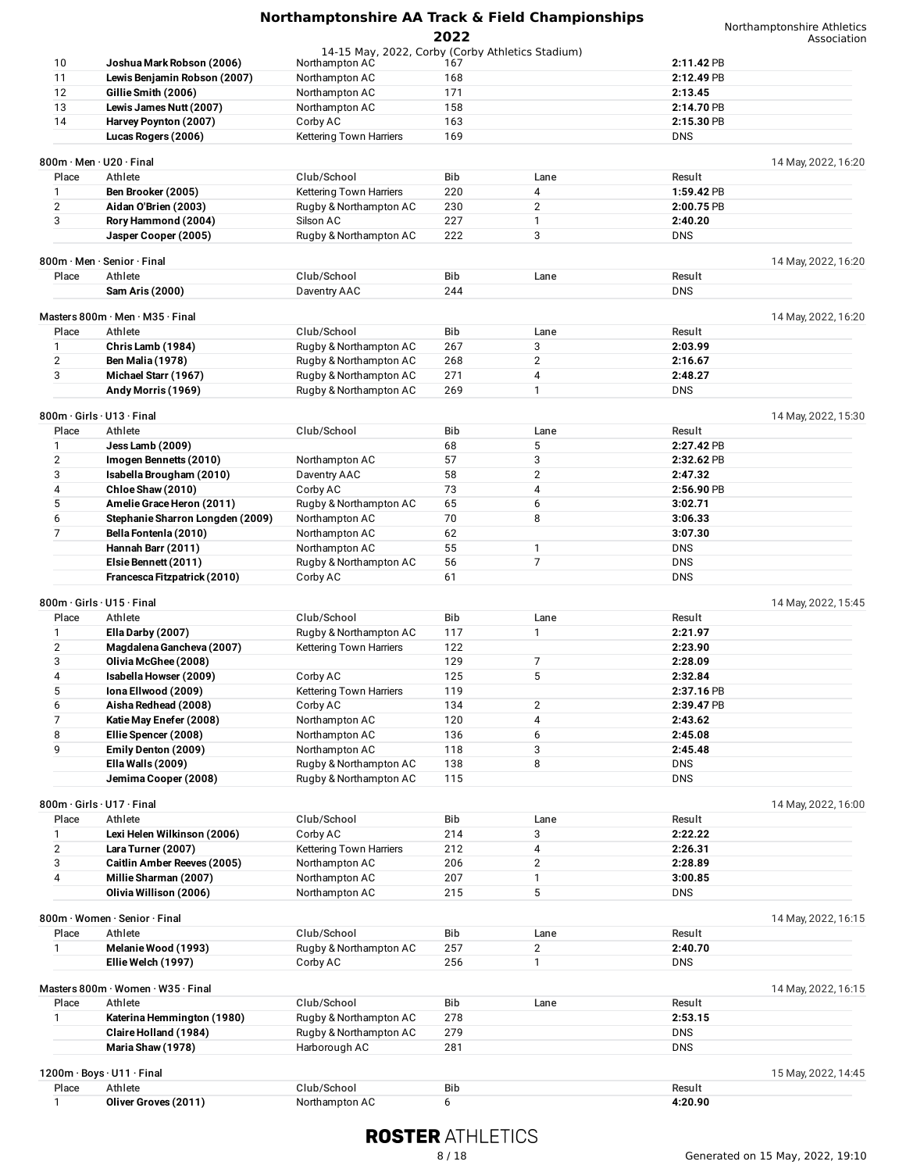|                              |                                                    | Northamptonshire AA Track & Field Championships                    |            |                |                       | Northamptonshire Athletics |
|------------------------------|----------------------------------------------------|--------------------------------------------------------------------|------------|----------------|-----------------------|----------------------------|
|                              |                                                    |                                                                    | 2022       |                |                       | Association                |
| 10                           | Joshua Mark Robson (2006)                          | 14-15 May, 2022, Corby (Corby Athletics Stadium)<br>Northampton AC | 167        |                | 2:11.42 PB            |                            |
| 11                           | Lewis Benjamin Robson (2007)                       | Northampton AC                                                     | 168        |                | 2:12.49 PB            |                            |
| 12                           | Gillie Smith (2006)                                | Northampton AC                                                     | 171        |                | 2:13.45               |                            |
| 13                           | Lewis James Nutt (2007)                            | Northampton AC                                                     | 158        |                | 2:14.70 PB            |                            |
| 14                           | Harvey Poynton (2007)                              | Corby AC                                                           | 163        |                | 2:15.30 PB            |                            |
|                              | Lucas Rogers (2006)                                | Kettering Town Harriers                                            | 169        |                | <b>DNS</b>            |                            |
|                              |                                                    |                                                                    |            |                |                       |                            |
|                              | 800m · Men · U20 · Final                           |                                                                    |            |                |                       | 14 May, 2022, 16:20        |
| Place<br>1                   | Athlete                                            | Club/School                                                        | Bib<br>220 | Lane<br>4      | Result<br>1:59.42 PB  |                            |
|                              | Ben Brooker (2005)                                 | <b>Kettering Town Harriers</b>                                     | 230        | 2              |                       |                            |
| $\overline{\mathbf{c}}$<br>3 | Aidan O'Brien (2003)<br>Rory Hammond (2004)        | Rugby & Northampton AC<br>Silson AC                                | 227        | $\mathbf{1}$   | 2:00.75 PB<br>2:40.20 |                            |
|                              | Jasper Cooper (2005)                               | Rugby & Northampton AC                                             | 222        | 3              | <b>DNS</b>            |                            |
|                              |                                                    |                                                                    |            |                |                       |                            |
|                              | 800m · Men · Senior · Final                        |                                                                    |            |                |                       | 14 May, 2022, 16:20        |
| Place                        | Athlete                                            | Club/School                                                        | Bib        | Lane           | Result                |                            |
|                              | Sam Aris (2000)                                    | Daventry AAC                                                       | 244        |                | <b>DNS</b>            |                            |
|                              |                                                    |                                                                    |            |                |                       |                            |
|                              | Masters 800m $\cdot$ Men $\cdot$ M35 $\cdot$ Final |                                                                    |            |                |                       | 14 May, 2022, 16:20        |
| Place                        | Athlete                                            | Club/School                                                        | Bib<br>267 | Lane<br>3      | Result<br>2:03.99     |                            |
| 1<br>$\overline{2}$          | Chris Lamb (1984)<br><b>Ben Malia (1978)</b>       | Rugby & Northampton AC<br>Rugby & Northampton AC                   | 268        | $\overline{2}$ | 2:16.67               |                            |
| 3                            | Michael Starr (1967)                               | Rugby & Northampton AC                                             | 271        | 4              | 2:48.27               |                            |
|                              | Andy Morris (1969)                                 | Rugby & Northampton AC                                             | 269        | $\mathbf{1}$   | <b>DNS</b>            |                            |
|                              |                                                    |                                                                    |            |                |                       |                            |
|                              | 800m · Girls · U13 · Final                         |                                                                    |            |                |                       | 14 May, 2022, 15:30        |
| Place                        | Athlete                                            | Club/School                                                        | Bib        | Lane           | Result                |                            |
| 1                            | Jess Lamb (2009)                                   |                                                                    | 68         | 5              | 2:27.42 PB            |                            |
| $\overline{2}$               | Imogen Bennetts (2010)                             | Northampton AC                                                     | 57         | 3              | 2:32.62 PB            |                            |
| 3                            | Isabella Brougham (2010)                           | Daventry AAC                                                       | 58         | $\overline{2}$ | 2:47.32               |                            |
| 4                            | Chloe Shaw (2010)                                  | Corby AC                                                           | 73         | 4              | 2:56.90 PB            |                            |
| 5                            | Amelie Grace Heron (2011)                          | Rugby & Northampton AC                                             | 65         | 6              | 3:02.71               |                            |
| 6                            | Stephanie Sharron Longden (2009)                   | Northampton AC                                                     | 70         | 8              | 3:06.33               |                            |
| 7                            | Bella Fontenla (2010)                              | Northampton AC                                                     | 62         |                | 3:07.30               |                            |
|                              | Hannah Barr (2011)                                 | Northampton AC                                                     | 55         | $\mathbf{1}$   | <b>DNS</b>            |                            |
|                              | Elsie Bennett (2011)                               | Rugby & Northampton AC                                             | 56         | $\overline{7}$ | <b>DNS</b>            |                            |
|                              | Francesca Fitzpatrick (2010)                       | Corby AC                                                           | 61         |                | <b>DNS</b>            |                            |
|                              | 800m · Girls · U15 · Final                         |                                                                    |            |                |                       | 14 May, 2022, 15:45        |
| Place                        | Athlete                                            | Club/School                                                        | <b>Bib</b> | Lane           | Result                |                            |
| 1                            | Ella Darby (2007)                                  | Rugby & Northampton AC                                             | 117        | 1              | 2:21.97               |                            |
| 2                            | Magdalena Gancheva (2007)                          | Kettering Town Harriers                                            | 122        |                | 2:23.90               |                            |
| 3                            | Olivia McGhee (2008)                               |                                                                    | 129        | 7              | 2:28.09               |                            |
| 4                            | Isabella Howser (2009)                             | Corby AC                                                           | 125        | 5              | 2:32.84               |                            |
| 5                            | Iona Ellwood (2009)                                | Kettering Town Harriers                                            | 119        |                | 2:37.16 PB            |                            |
| 6                            | Aisha Redhead (2008)                               | Corby AC                                                           | 134        | 2              | 2:39.47 PB            |                            |
| 7                            | Katie May Enefer (2008)                            | Northampton AC                                                     | 120        | 4              | 2:43.62               |                            |
| 8                            | Ellie Spencer (2008)                               | Northampton AC                                                     | 136        | 6              | 2:45.08               |                            |
| 9                            | Emily Denton (2009)                                | Northampton AC                                                     | 118        | 3              | 2:45.48               |                            |
|                              | Ella Walls (2009)                                  | Rugby & Northampton AC                                             | 138        | 8              | <b>DNS</b>            |                            |
|                              | Jemima Cooper (2008)                               | Rugby & Northampton AC                                             | 115        |                | <b>DNS</b>            |                            |
|                              |                                                    |                                                                    |            |                |                       |                            |
|                              | 800m · Girls · U17 · Final                         |                                                                    |            |                |                       | 14 May, 2022, 16:00        |
| Place<br>1                   | Athlete<br>Lexi Helen Wilkinson (2006)             | Club/School<br>Corby AC                                            | Bib<br>214 | Lane<br>3      | Result<br>2:22.22     |                            |
| $\overline{2}$               | Lara Turner (2007)                                 | Kettering Town Harriers                                            | 212        | 4              | 2:26.31               |                            |
| 3                            | <b>Caitlin Amber Reeves (2005)</b>                 | Northampton AC                                                     | 206        | $\overline{2}$ | 2:28.89               |                            |
|                              |                                                    |                                                                    |            |                |                       |                            |

| 15 May, 2022, 14:4 |  |
|--------------------|--|
|--------------------|--|

| $1200m \cdot \text{Boys} \cdot \text{U11} \cdot \text{Final}$<br>15 May, 2022, 14:45 |                      |                |     |         |
|--------------------------------------------------------------------------------------|----------------------|----------------|-----|---------|
| Place                                                                                | Athlete              | Club/School    | Bib | Result  |
|                                                                                      | Oliver Groves (2011) | Northampton AC |     | 1:20.90 |

3 **Caitlin Amber Reeves (2005)** Northampton AC 206 2 **2:28.89** 4 **Millie Sharman (2007)** Northampton AC 207 1 **3:00.85 Olivia Willison (2006)** Northampton AC 215 5 DNS

Place Athlete Club/School Bib Lane Result 1 **Melanie Wood (1993)** Rugby & Northampton AC 257 2 **2:40.70 Ellie Welch (1997)** Corby AC 256 1 DNS

Place Athlete Club/School Bib Lane Result 1 **Katerina Hemmington (1980)** Rugby & Northampton AC 278 **2:53.15 Claire Holland (1984)** Rugby & Northampton AC 279 DNS **Maria Shaw (1978)** Harborough AC 281 DNS

## **ROSTER ATHLETICS**

800m · Women · Senior · Final 14 May, 2022, 16:15

Masters 800m · Women · W35 · Final The Club/School Club is a club of the Bib is the contract to the club of the Club/School Club/School Bib is the club of the club of the club of the club of the club of the club of the clu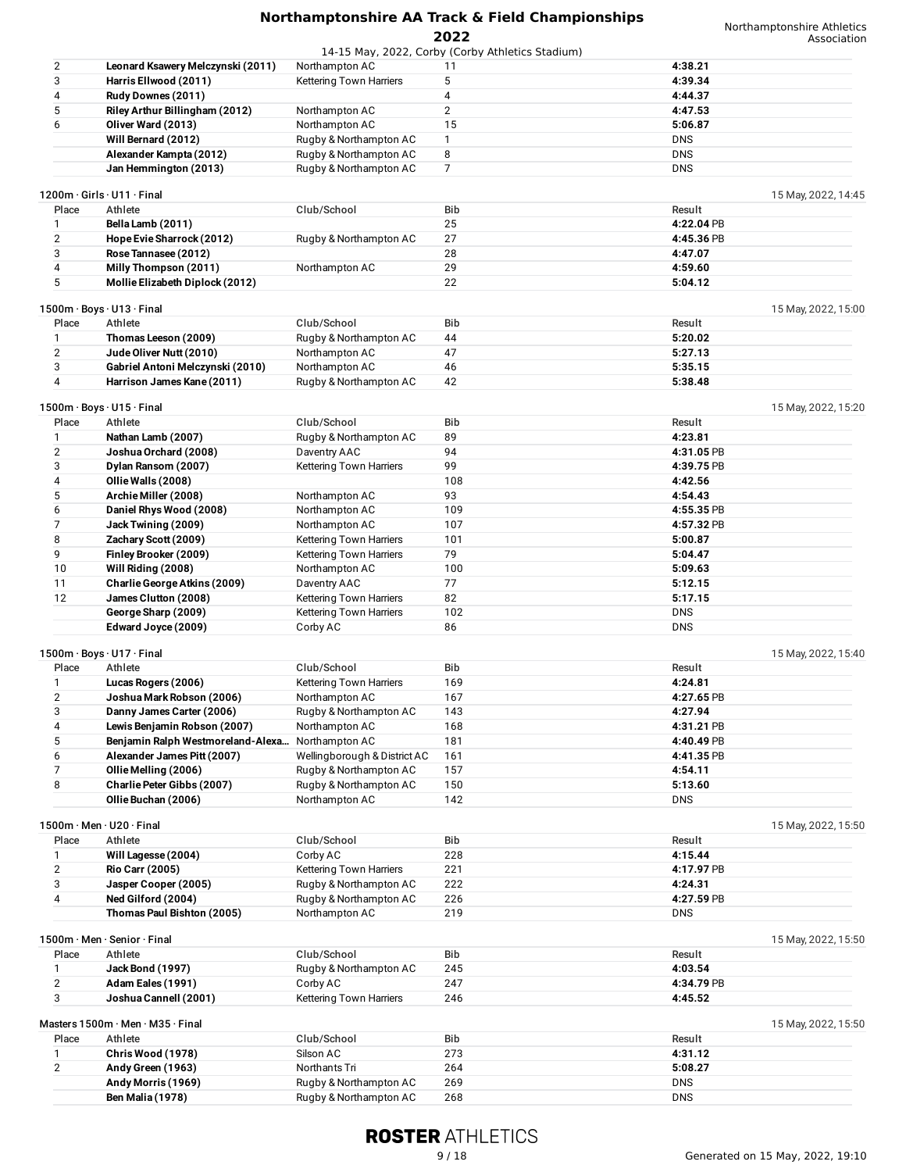|       |                                                  |                              | 14-15 May, 2022, Corby (Corby Athletics Stadium) |                     |
|-------|--------------------------------------------------|------------------------------|--------------------------------------------------|---------------------|
| 2     | Leonard Ksawery Melczynski (2011)                | Northampton AC               | 11                                               | 4:38.21             |
| 3     | Harris Ellwood (2011)                            | Kettering Town Harriers      | 5                                                | 4:39.34             |
| 4     | Rudy Downes (2011)                               |                              | 4                                                | 4:44.37             |
| 5     | Riley Arthur Billingham (2012)                   | Northampton AC               | $\mathbf{2}$                                     | 4:47.53             |
| 6     | Oliver Ward (2013)                               | Northampton AC               | 15                                               | 5:06.87             |
|       | Will Bernard (2012)                              | Rugby & Northampton AC       | $\mathbf{1}$                                     | <b>DNS</b>          |
|       |                                                  |                              | 8                                                | <b>DNS</b>          |
|       | Alexander Kampta (2012)                          | Rugby & Northampton AC       |                                                  |                     |
|       | Jan Hemmington (2013)                            | Rugby & Northampton AC       | 7                                                | <b>DNS</b>          |
|       | $1200m \cdot$ Girls $\cdot$ U11 $\cdot$ Final    |                              |                                                  | 15 May, 2022, 14:45 |
|       |                                                  |                              |                                                  |                     |
| Place | Athlete                                          | Club/School                  | Bib                                              | Result              |
| 1     | Bella Lamb (2011)                                |                              | 25                                               | 4:22.04 PB          |
| 2     | Hope Evie Sharrock (2012)                        | Rugby & Northampton AC       | 27                                               | 4:45.36 PB          |
| 3     | Rose Tannasee (2012)                             |                              | 28                                               | 4:47.07             |
| 4     | Milly Thompson (2011)                            | Northampton AC               | 29                                               | 4:59.60             |
| 5     | Mollie Elizabeth Diplock (2012)                  |                              | 22                                               | 5:04.12             |
|       |                                                  |                              |                                                  |                     |
|       | 1500m · Boys · U13 · Final                       |                              |                                                  | 15 May, 2022, 15:00 |
| Place | Athlete                                          | Club/School                  | <b>Bib</b>                                       | Result              |
| 1     | Thomas Leeson (2009)                             | Rugby & Northampton AC       | 44                                               | 5:20.02             |
| 2     | Jude Oliver Nutt (2010)                          | Northampton AC               | 47                                               | 5:27.13             |
| 3     | Gabriel Antoni Melczynski (2010)                 | Northampton AC               | 46                                               | 5:35.15             |
| 4     | Harrison James Kane (2011)                       | Rugby & Northampton AC       | 42                                               | 5:38.48             |
|       |                                                  |                              |                                                  |                     |
|       | $1500m \cdot Boys \cdot U15 \cdot Final$         |                              |                                                  | 15 May, 2022, 15:20 |
| Place | Athlete                                          | Club/School                  | <b>Bib</b>                                       | Result              |
| 1     | Nathan Lamb (2007)                               | Rugby & Northampton AC       | 89                                               | 4:23.81             |
| 2     |                                                  |                              | 94                                               |                     |
|       | Joshua Orchard (2008)                            | Daventry AAC                 |                                                  | 4:31.05 PB          |
| 3     | Dylan Ransom (2007)                              | Kettering Town Harriers      | 99                                               | 4:39.75 PB          |
| 4     | Ollie Walls (2008)                               |                              | 108                                              | 4:42.56             |
| 5     | Archie Miller (2008)                             | Northampton AC               | 93                                               | 4:54.43             |
| 6     | Daniel Rhys Wood (2008)                          | Northampton AC               | 109                                              | 4:55.35 PB          |
| 7     | Jack Twining (2009)                              | Northampton AC               | 107                                              | 4:57.32 PB          |
| 8     | Zachary Scott (2009)                             | Kettering Town Harriers      | 101                                              | 5:00.87             |
| 9     | Finley Brooker (2009)                            | Kettering Town Harriers      | 79                                               | 5:04.47             |
| 10    | Will Riding (2008)                               | Northampton AC               | 100                                              | 5:09.63             |
| 11    | Charlie George Atkins (2009)                     | Daventry AAC                 | 77                                               | 5:12.15             |
| 12    | James Clutton (2008)                             | Kettering Town Harriers      | 82                                               | 5:17.15             |
|       |                                                  |                              |                                                  |                     |
|       | George Sharp (2009)                              | Kettering Town Harriers      | 102                                              | <b>DNS</b>          |
|       | Edward Joyce (2009)                              | Corby AC                     | 86                                               | <b>DNS</b>          |
|       |                                                  |                              |                                                  |                     |
|       | 1500m · Boys · U17 · Final                       |                              |                                                  | 15 May, 2022, 15:40 |
| Place | Athlete                                          | Club/School                  | Bib                                              | Result              |
| 1     | Lucas Rogers (2006)                              | Kettering Town Harriers      | 169                                              | 4:24.81             |
| 2     | Joshua Mark Robson (2006)                        | Northampton AC               | 167                                              | 4:27.65 PB          |
| 3     | Danny James Carter (2006)                        | Rugby & Northampton AC       | 143                                              | 4:27.94             |
| 4     | Lewis Benjamin Robson (2007)                     | Northampton AC               | 168                                              | 4:31.21 PB          |
| 5     | Benjamin Ralph Westmoreland-Alexa Northampton AC |                              | 181                                              | 4:40.49 PB          |
| 6     | Alexander James Pitt (2007)                      | Wellingborough & District AC | 161                                              | 4:41.35 PB          |
| 7     | Ollie Melling (2006)                             | Rugby & Northampton AC       | 157                                              | 4:54.11             |
| 8     | Charlie Peter Gibbs (2007)                       | Rugby & Northampton AC       | 150                                              | 5:13.60             |
|       | Ollie Buchan (2006)                              | Northampton AC               | 142                                              | <b>DNS</b>          |
|       |                                                  |                              |                                                  |                     |
|       | 1500m · Men · U20 · Final                        |                              |                                                  | 15 May, 2022, 15:50 |
| Place | Athlete                                          | Club/School                  | Bib                                              | Result              |
|       |                                                  |                              |                                                  |                     |
| 1     | Will Lagesse (2004)                              | Corby AC                     | 228                                              | 4:15.44             |
| 2     | <b>Rio Carr (2005)</b>                           | Kettering Town Harriers      | 221                                              | 4:17.97 PB          |
| 3     | Jasper Cooper (2005)                             | Rugby & Northampton AC       | 222                                              | 4:24.31             |
| 4     | Ned Gilford (2004)                               | Rugby & Northampton AC       | 226                                              | 4:27.59 PB          |
|       | Thomas Paul Bishton (2005)                       | Northampton AC               | 219                                              | <b>DNS</b>          |
|       |                                                  |                              |                                                  |                     |
|       | 1500m · Men · Senior · Final                     |                              |                                                  | 15 May, 2022, 15:50 |
| Place | Athlete                                          | Club/School                  | Bib                                              | Result              |
| 1     | <b>Jack Bond (1997)</b>                          | Rugby & Northampton AC       | 245                                              | 4:03.54             |
| 2     | Adam Eales (1991)                                | Corby AC                     | 247                                              | 4:34.79 PB          |
| 3     | Joshua Cannell (2001)                            | Kettering Town Harriers      | 246                                              | 4:45.52             |
|       |                                                  |                              |                                                  |                     |
|       | Masters 1500m · Men · M35 · Final                |                              |                                                  | 15 May, 2022, 15:50 |
| Place | Athlete                                          | Club/School                  | Bib                                              | Result              |
| 1     | Chris Wood (1978)                                | Silson AC                    | 273                                              | 4:31.12             |
| 2     | Andy Green (1963)                                | Northants Tri                | 264                                              | 5:08.27             |
|       |                                                  |                              |                                                  |                     |
|       | Andy Morris (1969)                               | Rugby & Northampton AC       | 269                                              | <b>DNS</b>          |
|       | <b>Ben Malia (1978)</b>                          | Rugby & Northampton AC       | 268                                              | <b>DNS</b>          |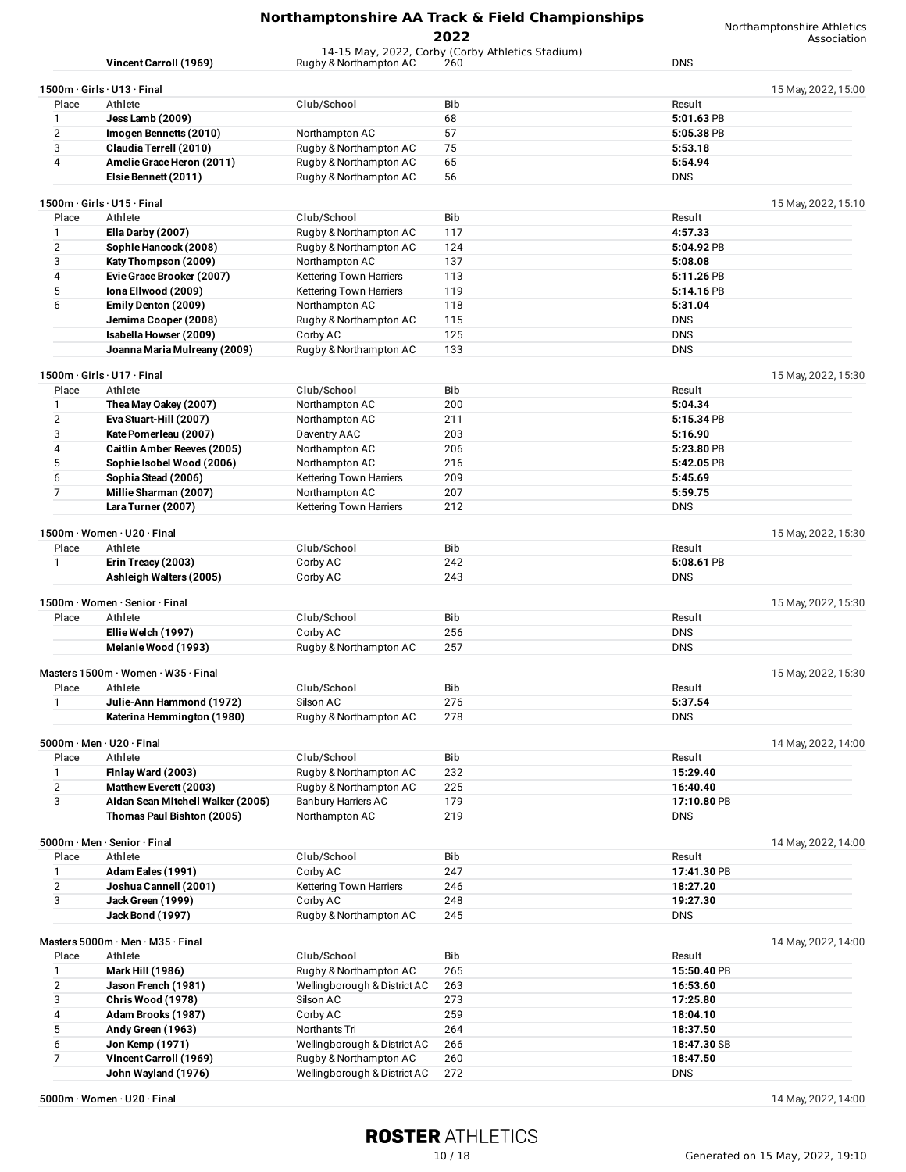**2022**

14-15 May, 2022, Corby (Corby Athletics Stadium)

Northamptonshire Athletics Association

|                | Vincent Carroll (1969)                                   | Rugby & Northampton AC         | 260        | <b>DNS</b>  |                     |
|----------------|----------------------------------------------------------|--------------------------------|------------|-------------|---------------------|
|                | $1500m \cdot$ Girls $\cdot$ U13 $\cdot$ Final            |                                |            |             | 15 May, 2022, 15:00 |
| Place          | Athlete                                                  |                                | <b>Bib</b> | Result      |                     |
|                |                                                          | Club/School                    |            |             |                     |
| 1              | Jess Lamb (2009)                                         |                                | 68         | 5:01.63 PB  |                     |
| $\overline{2}$ | Imogen Bennetts (2010)                                   | Northampton AC                 | 57         | 5:05.38 PB  |                     |
| 3              | Claudia Terrell (2010)                                   | Rugby & Northampton AC         | 75         | 5:53.18     |                     |
| 4              | Amelie Grace Heron (2011)                                | Rugby & Northampton AC         | 65         | 5:54.94     |                     |
|                | Elsie Bennett (2011)                                     | Rugby & Northampton AC         | 56         | <b>DNS</b>  |                     |
|                |                                                          |                                |            |             |                     |
| Place          | $1500m \cdot$ Girls $\cdot$ U15 $\cdot$ Final<br>Athlete | Club/School                    | Bib        | Result      | 15 May, 2022, 15:10 |
|                |                                                          |                                |            |             |                     |
| 1              | Ella Darby (2007)                                        | Rugby & Northampton AC         | 117        | 4:57.33     |                     |
| $\overline{2}$ | Sophie Hancock (2008)                                    | Rugby & Northampton AC         | 124        | 5:04.92 PB  |                     |
| 3              | Katy Thompson (2009)                                     | Northampton AC                 | 137        | 5:08.08     |                     |
| 4              | Evie Grace Brooker (2007)                                | Kettering Town Harriers        | 113        | 5:11.26 PB  |                     |
| 5              | Iona Ellwood (2009)                                      | Kettering Town Harriers        | 119        | 5:14.16 PB  |                     |
| 6              | Emily Denton (2009)                                      | Northampton AC                 | 118        | 5:31.04     |                     |
|                |                                                          |                                | 115        | <b>DNS</b>  |                     |
|                | Jemima Cooper (2008)                                     | Rugby & Northampton AC         |            |             |                     |
|                | Isabella Howser (2009)                                   | Corby AC                       | 125        | <b>DNS</b>  |                     |
|                | Joanna Maria Mulreany (2009)                             | Rugby & Northampton AC         | 133        | <b>DNS</b>  |                     |
|                | 1500m · Girls · U17 · Final                              |                                |            |             | 15 May, 2022, 15:30 |
| Place          | Athlete                                                  | Club/School                    | Bib        | Result      |                     |
| 1              | Thea May Oakey (2007)                                    | Northampton AC                 | 200        | 5:04.34     |                     |
| $\overline{2}$ | Eva Stuart-Hill (2007)                                   | Northampton AC                 | 211        | 5:15.34 PB  |                     |
| 3              | Kate Pomerleau (2007)                                    | Daventry AAC                   | 203        | 5:16.90     |                     |
| 4              | <b>Caitlin Amber Reeves (2005)</b>                       | Northampton AC                 | 206        | 5:23.80 PB  |                     |
|                |                                                          |                                |            |             |                     |
| 5              | Sophie Isobel Wood (2006)                                | Northampton AC                 | 216        | 5:42.05 PB  |                     |
| 6              | Sophia Stead (2006)                                      | <b>Kettering Town Harriers</b> | 209        | 5:45.69     |                     |
| $\overline{7}$ | Millie Sharman (2007)                                    | Northampton AC                 | 207        | 5:59.75     |                     |
|                | Lara Turner (2007)                                       | Kettering Town Harriers        | 212        | <b>DNS</b>  |                     |
|                | 1500m · Women · U20 · Final                              |                                |            |             | 15 May, 2022, 15:30 |
| Place          | Athlete                                                  | Club/School                    | Bib        | Result      |                     |
|                |                                                          |                                |            |             |                     |
| 1              | Erin Treacy (2003)                                       | Corby AC                       | 242        | 5:08.61 PB  |                     |
|                | Ashleigh Walters (2005)                                  | Corby AC                       | 243        | <b>DNS</b>  |                     |
|                | 1500m · Women · Senior · Final                           |                                |            |             | 15 May, 2022, 15:30 |
| Place          | Athlete                                                  | Club/School                    | Bib        | Result      |                     |
|                | Ellie Welch (1997)                                       | Corby AC                       | 256        | <b>DNS</b>  |                     |
|                | Melanie Wood (1993)                                      | Rugby & Northampton AC         | 257        | <b>DNS</b>  |                     |
|                |                                                          |                                |            |             |                     |
|                | Masters 1500m · Women · W35 · Final                      |                                |            |             | 15 May, 2022, 15:30 |
| Place          | Athlete                                                  | Club/School                    | Bib        | Result      |                     |
| 1              | Julie-Ann Hammond (1972)                                 | Silson AC                      | 276        | 5:37.54     |                     |
|                | Katerina Hemmington (1980)                               | Rugby & Northampton AC         | 278        | <b>DNS</b>  |                     |
|                | $5000m \cdot$ Men $\cdot$ U20 $\cdot$ Final              |                                |            |             | 14 May, 2022, 14:00 |
| Place          | Athlete                                                  | Club/School                    | Bib        | Result      |                     |
|                |                                                          |                                |            | 15:29.40    |                     |
| 1              | Finlay Ward (2003)                                       | Rugby & Northampton AC         | 232        |             |                     |
| $\sqrt{2}$     | Matthew Everett (2003)                                   | Rugby & Northampton AC         | 225        | 16:40.40    |                     |
| 3              | Aidan Sean Mitchell Walker (2005)                        | <b>Banbury Harriers AC</b>     | 179        | 17:10.80 PB |                     |
|                | Thomas Paul Bishton (2005)                               | Northampton AC                 | 219        | <b>DNS</b>  |                     |
|                | 5000m · Men · Senior · Final                             |                                |            |             | 14 May, 2022, 14:00 |
| Place          | Athlete                                                  | Club/School                    | <b>Bib</b> | Result      |                     |
| $\mathbf{1}$   | Adam Eales (1991)                                        | Corby AC                       | 247        | 17:41.30 PB |                     |
| $\overline{2}$ | Joshua Cannell (2001)                                    | Kettering Town Harriers        | 246        | 18:27.20    |                     |
|                |                                                          |                                |            |             |                     |
| 3              | Jack Green (1999)                                        | Corby AC                       | 248        | 19:27.30    |                     |
|                | <b>Jack Bond (1997)</b>                                  | Rugby & Northampton AC         | 245        | <b>DNS</b>  |                     |
|                | Masters 5000m · Men · M35 · Final                        |                                |            |             | 14 May, 2022, 14:00 |
| Place          | Athlete                                                  | Club/School                    | Bib        | Result      |                     |
| $\mathbf{1}$   | <b>Mark Hill (1986)</b>                                  | Rugby & Northampton AC         | 265        | 15:50.40 PB |                     |
| $\overline{2}$ | Jason French (1981)                                      | Wellingborough & District AC   | 263        | 16:53.60    |                     |
| 3              | Chris Wood (1978)                                        | Silson AC                      | 273        | 17:25.80    |                     |
| 4              |                                                          |                                | 259        |             |                     |
|                | Adam Brooks (1987)                                       | Corby AC                       |            | 18:04.10    |                     |
| 5              | Andy Green (1963)                                        | Northants Tri                  | 264        | 18:37.50    |                     |
| 6              | Jon Kemp (1971)                                          | Wellingborough & District AC   | 266        | 18:47.30 SB |                     |
| $\overline{7}$ | Vincent Carroll (1969)                                   | Rugby & Northampton AC         | 260        | 18:47.50    |                     |
|                | John Wayland (1976)                                      | Wellingborough & District AC   | 272        | <b>DNS</b>  |                     |

**5000m** · Women · U20 · Final 14 May, 2022, 14:00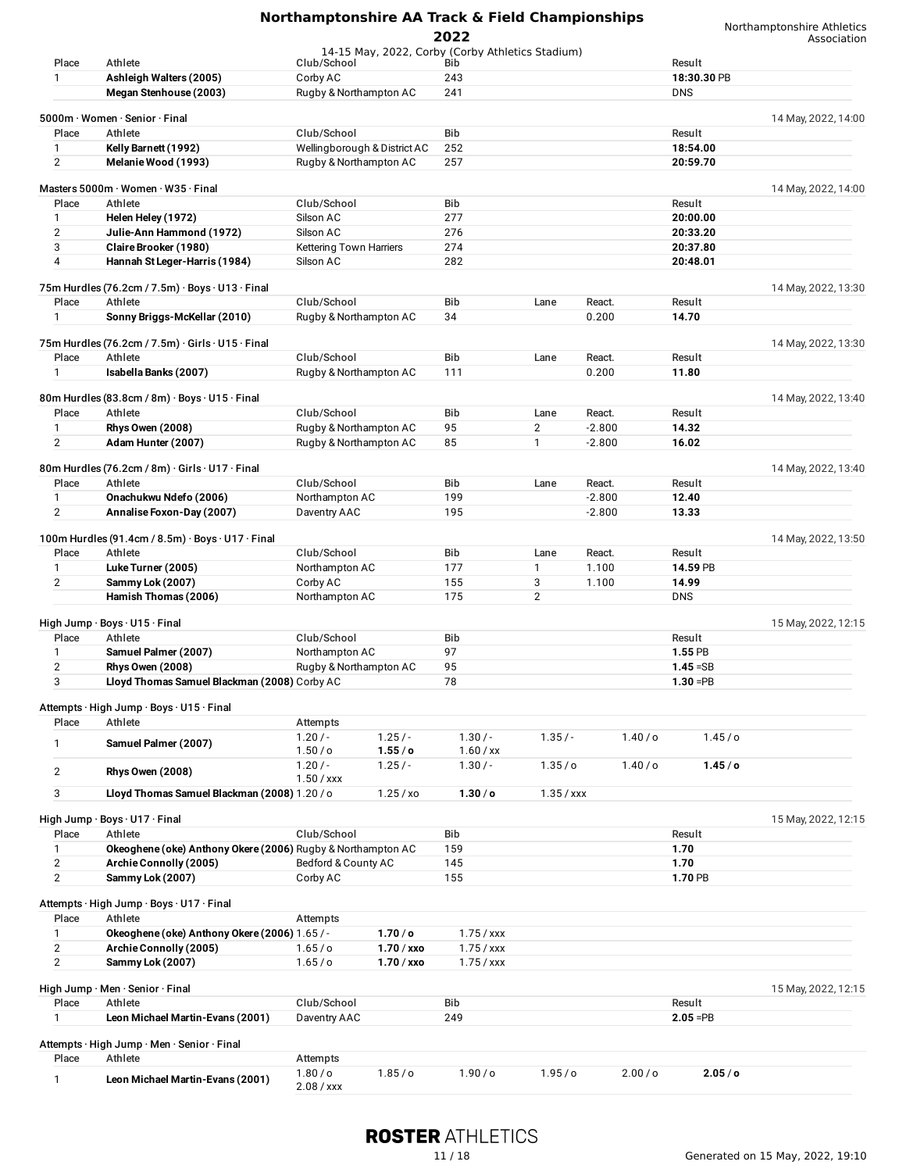|                |                                                             |                         |                              | 2022                                             |                    |                    |                    | Northamptonshire Athletics<br>Association |
|----------------|-------------------------------------------------------------|-------------------------|------------------------------|--------------------------------------------------|--------------------|--------------------|--------------------|-------------------------------------------|
|                |                                                             |                         |                              | 14-15 May, 2022, Corby (Corby Athletics Stadium) |                    |                    |                    |                                           |
| Place          | Athlete                                                     | Club/School             |                              | Bib                                              |                    |                    | Result             |                                           |
| 1              | Ashleigh Walters (2005)                                     | Corby AC                |                              | 243                                              |                    |                    | 18:30.30 PB        |                                           |
|                | Megan Stenhouse (2003)                                      | Rugby & Northampton AC  |                              | 241                                              |                    |                    | <b>DNS</b>         |                                           |
|                |                                                             |                         |                              |                                                  |                    |                    |                    |                                           |
|                | 5000m · Women · Senior · Final                              |                         |                              |                                                  |                    |                    |                    | 14 May, 2022, 14:00                       |
| Place          | Athlete                                                     | Club/School             |                              | Bib                                              |                    |                    | Result             |                                           |
| 1              | Kelly Barnett (1992)                                        |                         | Wellingborough & District AC | 252                                              |                    |                    | 18:54.00           |                                           |
| $\mathbf{2}$   | Melanie Wood (1993)                                         | Rugby & Northampton AC  |                              | 257                                              |                    |                    | 20:59.70           |                                           |
|                |                                                             |                         |                              |                                                  |                    |                    |                    |                                           |
|                | Masters 5000m · Women · W35 · Final                         |                         |                              |                                                  |                    |                    |                    | 14 May, 2022, 14:00                       |
| Place          | Athlete                                                     | Club/School             |                              | Bib                                              |                    |                    | Result             |                                           |
| 1              | Helen Heley (1972)                                          | Silson AC               |                              | 277                                              |                    |                    | 20:00.00           |                                           |
| 2              | Julie-Ann Hammond (1972)                                    | Silson AC               |                              | 276                                              |                    |                    | 20:33.20           |                                           |
| 3              | Claire Brooker (1980)                                       | Kettering Town Harriers |                              | 274                                              |                    |                    | 20:37.80           |                                           |
| 4              | Hannah St Leger-Harris (1984)                               | Silson AC               |                              | 282                                              |                    |                    | 20:48.01           |                                           |
|                |                                                             |                         |                              |                                                  |                    |                    |                    |                                           |
|                | 75m Hurdles (76.2cm / 7.5m) · Boys · U13 · Final            |                         |                              |                                                  |                    |                    |                    | 14 May, 2022, 13:30                       |
| Place          | Athlete                                                     | Club/School             |                              | Bib                                              | Lane               | React.             | Result             |                                           |
| 1              | Sonny Briggs-McKellar (2010)                                | Rugby & Northampton AC  |                              | 34                                               |                    | 0.200              | 14.70              |                                           |
|                |                                                             |                         |                              |                                                  |                    |                    |                    |                                           |
|                | 75m Hurdles (76.2cm / 7.5m) · Girls · U15 · Final           |                         |                              |                                                  |                    |                    |                    | 14 May, 2022, 13:30                       |
| Place          | Athlete                                                     | Club/School             |                              | Bib                                              | Lane               | React.             | Result             |                                           |
| 1              | Isabella Banks (2007)                                       | Rugby & Northampton AC  |                              | 111                                              |                    | 0.200              | 11.80              |                                           |
|                |                                                             |                         |                              |                                                  |                    |                    |                    |                                           |
|                | 80m Hurdles (83.8cm / 8m) · Boys · U15 · Final              |                         |                              |                                                  |                    |                    |                    | 14 May, 2022, 13:40                       |
| Place          | Athlete                                                     | Club/School             |                              | Bib                                              | Lane               | React.             | Result             |                                           |
|                |                                                             |                         |                              |                                                  |                    |                    |                    |                                           |
| 1              | <b>Rhys Owen (2008)</b>                                     | Rugby & Northampton AC  |                              | 95                                               | $\overline{2}$     | $-2.800$           | 14.32              |                                           |
| 2              | Adam Hunter (2007)                                          | Rugby & Northampton AC  |                              | 85                                               | $\mathbf{1}$       | $-2.800$           | 16.02              |                                           |
|                |                                                             |                         |                              |                                                  |                    |                    |                    |                                           |
|                | 80m Hurdles (76.2cm / 8m) · Girls · U17 · Final             |                         |                              |                                                  |                    |                    |                    | 14 May, 2022, 13:40                       |
| Place          | Athlete                                                     | Club/School             |                              | Bib                                              | Lane               | React.             | Result             |                                           |
| $\mathbf{1}$   | Onachukwu Ndefo (2006)                                      | Northampton AC          |                              | 199                                              |                    | $-2.800$           | 12.40              |                                           |
| $\overline{2}$ | Annalise Foxon-Day (2007)                                   | Daventry AAC            |                              | 195                                              |                    | $-2.800$           | 13.33              |                                           |
|                |                                                             |                         |                              |                                                  |                    |                    |                    |                                           |
|                | 100m Hurdles (91.4cm / 8.5m) · Boys · U17 · Final           |                         |                              |                                                  |                    |                    |                    | 14 May, 2022, 13:50                       |
| Place          | Athlete                                                     | Club/School             |                              | Bib                                              | Lane               | React.             | Result             |                                           |
| 1              | Luke Turner (2005)                                          | Northampton AC          |                              | 177                                              | $\mathbf{1}$       | 1.100              | 14.59 PB           |                                           |
| $\mathbf{2}$   | Sammy Lok (2007)                                            | Corby AC                |                              | 155                                              | 3                  | 1.100              | 14.99              |                                           |
|                | Hamish Thomas (2006)                                        | Northampton AC          |                              | 175                                              | 2                  |                    | <b>DNS</b>         |                                           |
|                |                                                             |                         |                              |                                                  |                    |                    |                    |                                           |
|                | High Jump · Boys · U15 · Final                              |                         |                              |                                                  |                    |                    |                    | 15 May, 2022, 12:15                       |
| Place          | Athlete                                                     | Club/School             |                              | Bib                                              |                    |                    | Result             |                                           |
| 1              | Samuel Palmer (2007)                                        | Northampton AC          |                              | 97                                               |                    |                    | 1.55 PB            |                                           |
| 2              | <b>Rhys Owen (2008)</b>                                     | Rugby & Northampton AC  |                              | 95                                               |                    |                    | $1.45 = SB$        |                                           |
| 3              | Lloyd Thomas Samuel Blackman (2008) Corby AC                |                         |                              | 78                                               |                    |                    | $1.30 = PB$        |                                           |
|                |                                                             |                         |                              |                                                  |                    |                    |                    |                                           |
|                | Attempts · High Jump · Boys · U15 · Final                   |                         |                              |                                                  |                    |                    |                    |                                           |
| Place          | Athlete                                                     | Attempts                |                              |                                                  |                    |                    |                    |                                           |
|                |                                                             | $1.20/-$                | $1.25/-$                     | $1.30/-$                                         | $1.35/-$           | 1.40/o             | 1.45/°             |                                           |
| 1              | Samuel Palmer (2007)                                        | 1.50/ <sub>o</sub>      | 1.55/ <sub>o</sub>           | $1.60$ / xx                                      |                    |                    |                    |                                           |
|                |                                                             | $1.20/-$                | $1.25/-$                     | $1.30/-$                                         | 1.35/ <sub>o</sub> | 1.40/o             | 1.45/c             |                                           |
| $\overline{2}$ | <b>Rhys Owen (2008)</b>                                     | $1.50 /$ xxx            |                              |                                                  |                    |                    |                    |                                           |
| 3              | Lloyd Thomas Samuel Blackman (2008) 1.20 / o                |                         | 1.25 / x0                    | 1.30/ <sub>o</sub>                               | $1.35 /$ xxx       |                    |                    |                                           |
|                |                                                             |                         |                              |                                                  |                    |                    |                    |                                           |
|                | High Jump · Boys · U17 · Final                              |                         |                              |                                                  |                    |                    |                    | 15 May, 2022, 12:15                       |
| Place          | Athlete                                                     | Club/School             |                              | Bib                                              |                    |                    | Result             |                                           |
|                | Okeoghene (oke) Anthony Okere (2006) Rugby & Northampton AC |                         |                              |                                                  |                    |                    |                    |                                           |
| $\mathbf{1}$   |                                                             |                         |                              | 159                                              |                    |                    | 1.70               |                                           |
| $\mathbf{2}$   | Archie Connolly (2005)                                      | Bedford & County AC     |                              | 145                                              |                    |                    | 1.70               |                                           |
| $\overline{2}$ | Sammy Lok (2007)                                            | Corby AC                |                              | 155                                              |                    |                    | 1.70 PB            |                                           |
|                |                                                             |                         |                              |                                                  |                    |                    |                    |                                           |
|                | Attempts · High Jump · Boys · U17 · Final                   |                         |                              |                                                  |                    |                    |                    |                                           |
| Place          | Athlete                                                     | Attempts                |                              |                                                  |                    |                    |                    |                                           |
| 1              | Okeoghene (oke) Anthony Okere (2006) 1.65 / -               |                         | 1.70/ <sub>o</sub>           | $1.75 /$ xxx                                     |                    |                    |                    |                                           |
| $\overline{2}$ | Archie Connolly (2005)                                      | 1.65/0                  | $1.70 /$ xxo                 | $1.75 /$ xxx                                     |                    |                    |                    |                                           |
| $\overline{2}$ | Sammy Lok (2007)                                            | 1.65/0                  | $1.70 /$ xxo                 | $1.75 /$ xxx                                     |                    |                    |                    |                                           |
|                |                                                             |                         |                              |                                                  |                    |                    |                    |                                           |
|                | High Jump · Men · Senior · Final                            |                         |                              |                                                  |                    |                    |                    | 15 May, 2022, 12:15                       |
| Place          | Athlete                                                     | Club/School             |                              | Bib                                              |                    |                    | Result             |                                           |
| 1              | Leon Michael Martin-Evans (2001)                            | Daventry AAC            |                              | 249                                              |                    |                    | $2.05 = PB$        |                                           |
|                |                                                             |                         |                              |                                                  |                    |                    |                    |                                           |
|                | Attempts · High Jump · Men · Senior · Final                 |                         |                              |                                                  |                    |                    |                    |                                           |
| Place          | Athlete                                                     | Attempts                |                              |                                                  |                    |                    |                    |                                           |
|                |                                                             | $1.80/$ o               | 1.85/ <sub>o</sub>           | $1.90/$ o                                        | 1.95/ <sub>o</sub> | 2.00/ <sub>o</sub> | 2.05/ <sub>o</sub> |                                           |
| $\mathbf{1}$   | Leon Michael Martin-Evans (2001)                            | 0.001                   |                              |                                                  |                    |                    |                    |                                           |

## **ROSTER ATHLETICS**

2.08 / xxx

#### 11 / 18 Generated on 15 May, 2022, 19:10

Northamptonshire Athletics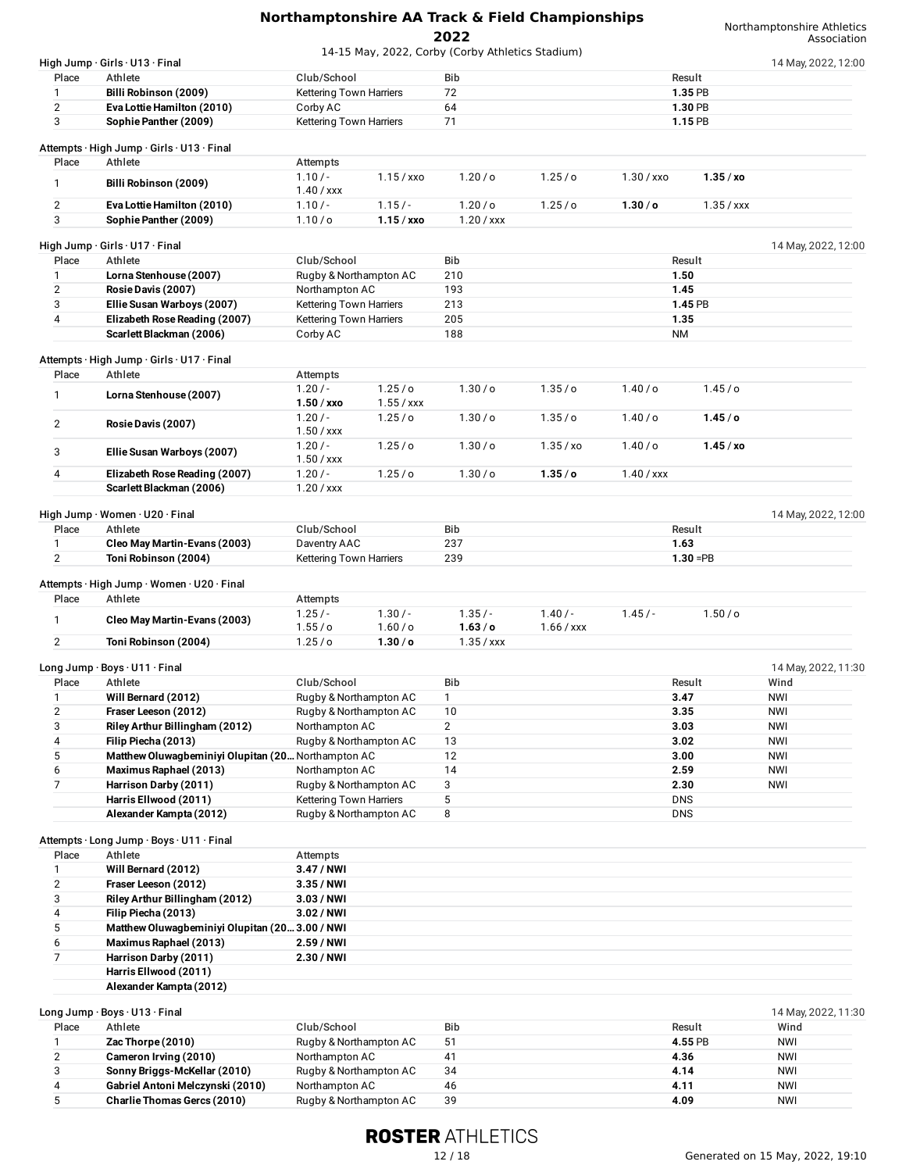|                              |                                                                              |                                          |                    | 2022                                             |                |              |              | Association         |
|------------------------------|------------------------------------------------------------------------------|------------------------------------------|--------------------|--------------------------------------------------|----------------|--------------|--------------|---------------------|
|                              | High Jump · Girls · U13 · Final                                              |                                          |                    | 14-15 May, 2022, Corby (Corby Athletics Stadium) |                |              |              | 14 May, 2022, 12:00 |
| Place                        | Athlete                                                                      | Club/School                              |                    | Bib                                              |                |              | Result       |                     |
| $\mathbf{1}$                 | Billi Robinson (2009)                                                        | Kettering Town Harriers                  |                    | 72                                               |                |              | 1.35 PB      |                     |
| $\mathbf{2}$                 | Eva Lottie Hamilton (2010)                                                   | Corby AC                                 |                    | 64                                               |                |              | 1.30 PB      |                     |
| 3                            | Sophie Panther (2009)                                                        | Kettering Town Harriers                  |                    | 71                                               |                |              | 1.15 PB      |                     |
|                              |                                                                              |                                          |                    |                                                  |                |              |              |                     |
|                              | Attempts · High Jump · Girls · U13 · Final                                   |                                          |                    |                                                  |                |              |              |                     |
| Place                        | Athlete                                                                      | Attempts                                 |                    |                                                  |                |              |              |                     |
| $\mathbf{1}$                 | Billi Robinson (2009)                                                        | $1.10/-$                                 | $1.15 /$ xxo       | 1.20 / o                                         | 1.25/0         | $1.30 /$ xxo | 1.35 / xo    |                     |
| $\overline{2}$               | Eva Lottie Hamilton (2010)                                                   | $1.40 /$ xxx<br>$1.10/-$                 | $1.15/-$           | 1.20/ <sub>o</sub>                               | 1.25/c         | 1.30 / o     | $1.35 /$ xxx |                     |
| 3                            | Sophie Panther (2009)                                                        | 1.10/ <sub>O</sub>                       | $1.15 /$ xxo       | $1.20 /$ xxx                                     |                |              |              |                     |
|                              |                                                                              |                                          |                    |                                                  |                |              |              |                     |
|                              | High Jump $\cdot$ Girls $\cdot$ U17 $\cdot$ Final                            |                                          |                    |                                                  |                |              |              | 14 May, 2022, 12:00 |
| Place                        | Athlete                                                                      | Club/School                              |                    | Bib                                              |                |              | Result       |                     |
| 1                            | Lorna Stenhouse (2007)                                                       | Rugby & Northampton AC                   |                    | 210                                              |                | 1.50         |              |                     |
| 2                            | Rosie Davis (2007)                                                           | Northampton AC                           |                    | 193                                              |                | 1.45         |              |                     |
| 3                            | Ellie Susan Warboys (2007)                                                   | Kettering Town Harriers                  |                    | 213                                              |                |              | 1.45 PB      |                     |
| 4                            | Elizabeth Rose Reading (2007)                                                | Kettering Town Harriers                  |                    | 205                                              |                | 1.35         |              |                     |
|                              | Scarlett Blackman (2006)                                                     | Corby AC                                 |                    | 188                                              |                | ΝM           |              |                     |
|                              | Attempts · High Jump · Girls · U17 · Final                                   |                                          |                    |                                                  |                |              |              |                     |
| Place                        | Athlete                                                                      | Attempts                                 |                    |                                                  |                |              |              |                     |
|                              |                                                                              | $1.20/-$                                 | $1.25$ /o          | 1.30 / o                                         | 1.35/0         | 1.40/o       | 1.45/c       |                     |
| $\mathbf{1}$                 | Lorna Stenhouse (2007)                                                       | $1.50 /$ xxo                             | $1.55 /$ xxx       |                                                  |                |              |              |                     |
|                              |                                                                              | $1.20/-$                                 | 1.25/ <sub>o</sub> | 1.30 / o                                         | 1.35/0         | 1.40/o       | 1.45/c       |                     |
| $\overline{2}$               | Rosie Davis (2007)                                                           | $1.50 /$ xxx                             |                    |                                                  |                |              |              |                     |
| 3                            | Ellie Susan Warboys (2007)                                                   | $1.20/-$                                 | 1.25/ <sub>o</sub> | 1.30 / o                                         | 1.35 / xo      | $1.40/$ o    | 1.45/xo      |                     |
|                              |                                                                              | $1.50 /$ xxx                             |                    |                                                  |                |              |              |                     |
| 4                            | Elizabeth Rose Reading (2007)                                                | $1.20/-$                                 | $1.25$ /o          | 1.30/c                                           | 1.35/c         | $1.40 /$ xxx |              |                     |
|                              | Scarlett Blackman (2006)                                                     | $1.20 /$ xxx                             |                    |                                                  |                |              |              |                     |
|                              |                                                                              |                                          |                    |                                                  |                |              |              |                     |
| Place                        | High Jump · Women · U20 · Final<br>Athlete                                   | Club/School                              |                    | Bib                                              |                |              | Result       | 14 May, 2022, 12:00 |
|                              |                                                                              |                                          |                    |                                                  |                |              |              |                     |
| $\mathbf{1}$<br>$\mathbf{2}$ | Cleo May Martin-Evans (2003)                                                 | Daventry AAC                             |                    | 237<br>239                                       |                | 1.63         | $1.30 = PB$  |                     |
|                              | Toni Robinson (2004)                                                         | <b>Kettering Town Harriers</b>           |                    |                                                  |                |              |              |                     |
|                              | Attempts · High Jump · Women · U20 · Final                                   |                                          |                    |                                                  |                |              |              |                     |
| Place                        | Athlete                                                                      | Attempts                                 |                    |                                                  |                |              |              |                     |
|                              |                                                                              | $1.25/-$                                 | $1.30/-$           | $1.35/-$                                         | $1.40/-$       | $1.45/-$     | $1.50/$ o    |                     |
| $\mathbf{1}$                 | Cleo May Martin-Evans (2003)                                                 | 1.55/ <sub>o</sub>                       | 1.60 / o           | 1.63/0                                           | $1.66$ / $xxx$ |              |              |                     |
| 2                            | Toni Robinson (2004)                                                         | 1.25/0                                   | 1.30 / o           | $1.35 /$ xxx                                     |                |              |              |                     |
|                              |                                                                              |                                          |                    |                                                  |                |              |              |                     |
|                              | Long Jump · Boys · U11 · Final                                               |                                          |                    |                                                  |                |              |              | 14 May, 2022, 11:30 |
| Place                        | Athlete                                                                      | Club/School                              |                    | Bib                                              |                |              | Result       | Wind                |
| 1                            | Will Bernard (2012)                                                          | Rugby & Northampton AC                   |                    | $\mathbf{1}$                                     |                |              | 3.47         | <b>NWI</b>          |
| $\overline{2}$               | Fraser Leeson (2012)                                                         | Rugby & Northampton AC<br>Northampton AC |                    | 10<br>$\mathbf{2}^{\prime}$                      |                | 3.35         |              | <b>NWI</b>          |
| 3<br>4                       | Riley Arthur Billingham (2012)<br>Filip Piecha (2013)                        |                                          |                    |                                                  |                |              | 3.03         | NWI                 |
| 5                            |                                                                              | Rugby & Northampton AC                   |                    | 13<br>12                                         |                | 3.00         | 3.02         | NWI<br><b>NWI</b>   |
| 6                            | Matthew Oluwagbeminiyi Olupitan (20 Northampton AC<br>Maximus Raphael (2013) | Northampton AC                           |                    | 14                                               |                | 2.59         |              | <b>NWI</b>          |
| $\overline{7}$               | Harrison Darby (2011)                                                        | Rugby & Northampton AC                   |                    | 3                                                |                | 2.30         |              | NWI                 |
|                              | Harris Ellwood (2011)                                                        | Kettering Town Harriers                  |                    | 5                                                |                | <b>DNS</b>   |              |                     |
|                              | Alexander Kampta (2012)                                                      | Rugby & Northampton AC                   |                    | 8                                                |                | <b>DNS</b>   |              |                     |
|                              |                                                                              |                                          |                    |                                                  |                |              |              |                     |
|                              | Attempts · Long Jump · Boys · U11 · Final                                    |                                          |                    |                                                  |                |              |              |                     |
| Place                        | Athlete                                                                      | Attempts                                 |                    |                                                  |                |              |              |                     |
| 1                            | Will Bernard (2012)                                                          | 3.47 / NWI                               |                    |                                                  |                |              |              |                     |
| 2                            | Fraser Leeson (2012)                                                         | 3.35 / NWI                               |                    |                                                  |                |              |              |                     |
| 3                            | Riley Arthur Billingham (2012)                                               | $3.03/$ NWI                              |                    |                                                  |                |              |              |                     |
| 4                            | Filip Piecha (2013)                                                          | 3.02 / NWI                               |                    |                                                  |                |              |              |                     |
| 5                            | Matthew Oluwagbeminiyi Olupitan (20 3.00 / NWI                               |                                          |                    |                                                  |                |              |              |                     |
| 6                            | Maximus Raphael (2013)                                                       | 2.59 / NWI                               |                    |                                                  |                |              |              |                     |
| 7                            | Harrison Darby (2011)                                                        | 2.30 / NWI                               |                    |                                                  |                |              |              |                     |
|                              | Harris Ellwood (2011)                                                        |                                          |                    |                                                  |                |              |              |                     |
|                              | Alexander Kampta (2012)                                                      |                                          |                    |                                                  |                |              |              |                     |
|                              |                                                                              |                                          |                    |                                                  |                |              |              |                     |
|                              | Long Jump · Boys · U13 · Final                                               |                                          |                    |                                                  |                |              |              | 14 May, 2022, 11:30 |
| Place                        | Athlete                                                                      | Club/School                              |                    | Bib                                              |                |              | Result       | Wind                |
| $\mathbf{1}$                 | Zac Thorpe (2010)                                                            | Rugby & Northampton AC                   |                    | 51                                               |                |              | 4.55 PB      | NWI                 |
| $\overline{2}$               | Cameron Irving (2010)                                                        | Northampton AC                           |                    | 41                                               |                | 4.36         |              | <b>NWI</b>          |

# **ROSTER ATHLETICS**

3 **Sonny Briggs-McKellar (2010)** Rugby & Northampton AC 34 **4.14** NWI 4 **Gabriel Antoni Melczynski (2010)** Northampton AC 46 **4.11** NWI

 $$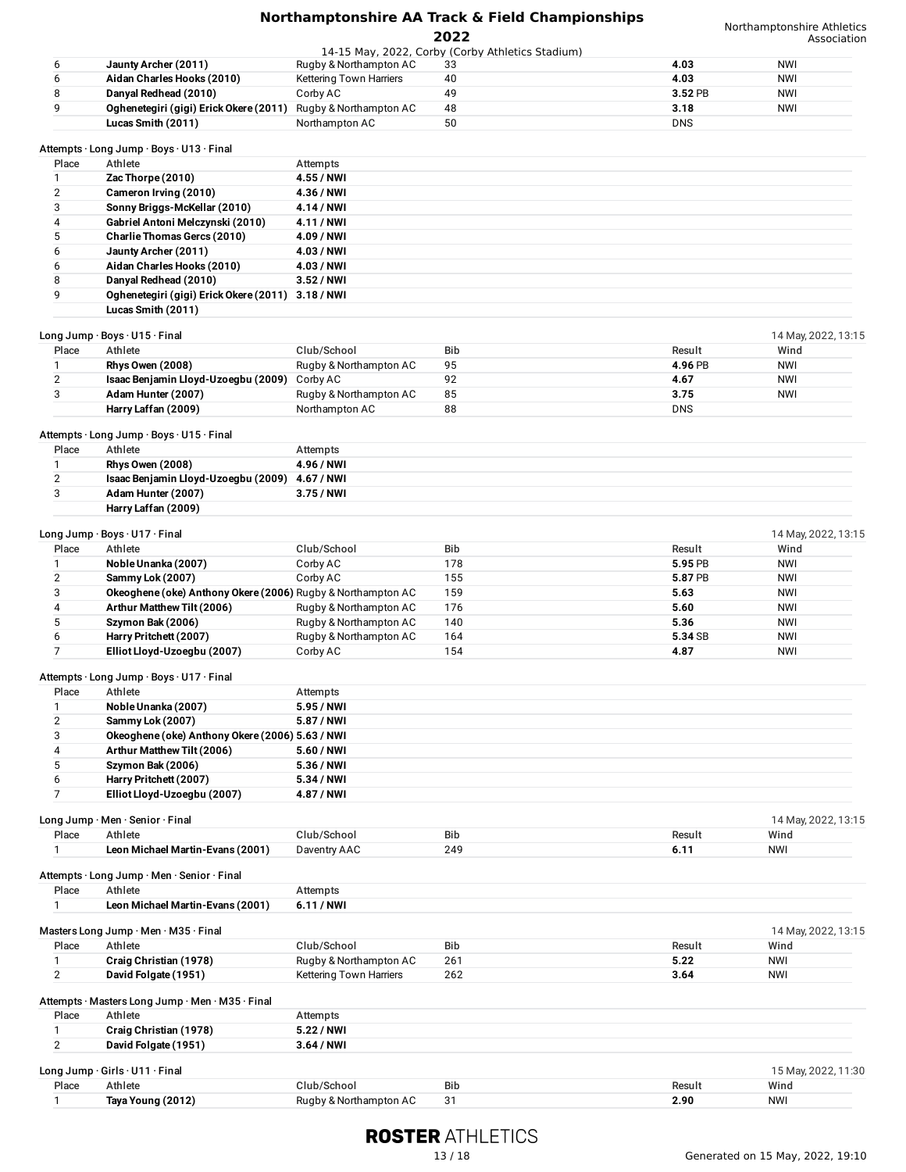| Northamptonshire AA Track & Field Championships |
|-------------------------------------------------|
| 2022                                            |

|                |                                                              |                                          |                                                        |                    | ASSOCIALION         |
|----------------|--------------------------------------------------------------|------------------------------------------|--------------------------------------------------------|--------------------|---------------------|
| 6              | Jaunty Archer (2011)                                         | Rugby & Northampton AC                   | 14-15 May, 2022, Corby (Corby Athletics Stadium)<br>33 | 4.03               | <b>NWI</b>          |
| 6              | Aidan Charles Hooks (2010)                                   | Kettering Town Harriers                  | 40                                                     | 4.03               | <b>NWI</b>          |
| 8              | Danyal Redhead (2010)                                        | Corby AC                                 | 49                                                     | 3.52 PB            | <b>NWI</b>          |
| 9              |                                                              |                                          |                                                        |                    |                     |
|                | Oghenetegiri (gigi) Erick Okere (2011)<br>Lucas Smith (2011) | Rugby & Northampton AC<br>Northampton AC | 48<br>50                                               | 3.18<br><b>DNS</b> | <b>NWI</b>          |
|                |                                                              |                                          |                                                        |                    |                     |
| Place          | Attempts · Long Jump · Boys · U13 · Final<br>Athlete         | Attempts                                 |                                                        |                    |                     |
| $\mathbf{1}$   | Zac Thorpe (2010)                                            | 4.55 / NWI                               |                                                        |                    |                     |
|                |                                                              |                                          |                                                        |                    |                     |
| 2              | Cameron Irving (2010)                                        | 4.36 / NWI                               |                                                        |                    |                     |
| 3              | Sonny Briggs-McKellar (2010)                                 | 4.14 / NWI                               |                                                        |                    |                     |
| 4              | Gabriel Antoni Melczynski (2010)                             | 4.11 / NWI                               |                                                        |                    |                     |
| 5              | Charlie Thomas Gercs (2010)                                  | 4.09 / NWI                               |                                                        |                    |                     |
| 6              | Jaunty Archer (2011)                                         | 4.03 / NWI                               |                                                        |                    |                     |
| 6              | Aidan Charles Hooks (2010)                                   | 4.03 / NWI                               |                                                        |                    |                     |
| 8              | Danyal Redhead (2010)                                        | $3.52/$ NWI                              |                                                        |                    |                     |
| 9              | Oghenetegiri (gigi) Erick Okere (2011) 3.18 / NWI            |                                          |                                                        |                    |                     |
|                | Lucas Smith (2011)                                           |                                          |                                                        |                    |                     |
|                | Long Jump · Boys · U15 · Final                               |                                          |                                                        |                    | 14 May, 2022, 13:15 |
| Place          | Athlete                                                      | Club/School                              | Bib                                                    | Result             | Wind                |
| 1              | <b>Rhys Owen (2008)</b>                                      | Rugby & Northampton AC                   | 95                                                     | 4.96 PB            | <b>NWI</b>          |
| $\overline{2}$ | Isaac Benjamin Lloyd-Uzoegbu (2009) Corby AC                 |                                          | 92                                                     | 4.67               | <b>NWI</b>          |
| 3              | Adam Hunter (2007)                                           | Rugby & Northampton AC                   | 85                                                     | 3.75               | <b>NWI</b>          |
|                | Harry Laffan (2009)                                          | Northampton AC                           | 88                                                     | <b>DNS</b>         |                     |
|                |                                                              |                                          |                                                        |                    |                     |
| Place          | Attempts · Long Jump · Boys · U15 · Final<br>Athlete         | Attempts                                 |                                                        |                    |                     |
| 1              | <b>Rhys Owen (2008)</b>                                      | 4.96 / NWI                               |                                                        |                    |                     |
| $\overline{2}$ | Isaac Benjamin Lloyd-Uzoegbu (2009)                          | 4.67 / NWI                               |                                                        |                    |                     |
| 3              | Adam Hunter (2007)                                           | 3.75 / NWI                               |                                                        |                    |                     |
|                | Harry Laffan (2009)                                          |                                          |                                                        |                    |                     |
|                |                                                              |                                          |                                                        |                    |                     |
|                | Long Jump · Boys · U17 · Final                               |                                          |                                                        |                    | 14 May, 2022, 13:15 |
| Place          | Athlete                                                      | Club/School                              | Bib                                                    | Result             | Wind                |
| 1              | Noble Unanka (2007)                                          | Corby AC                                 | 178                                                    | 5.95 PB            | <b>NWI</b>          |
| $\overline{2}$ | Sammy Lok (2007)                                             | Corby AC                                 | 155                                                    | 5.87 PB            | <b>NWI</b>          |
| 3              | Okeoghene (oke) Anthony Okere (2006) Rugby & Northampton AC  |                                          | 159                                                    | 5.63               | <b>NWI</b>          |
| 4              | Arthur Matthew Tilt (2006)                                   | Rugby & Northampton AC                   | 176                                                    | 5.60               | NWI                 |
| 5              | Szymon Bak (2006)                                            | Rugby & Northampton AC                   | 140                                                    | 5.36               | <b>NWI</b>          |
| 6              | Harry Pritchett (2007)                                       | Rugby & Northampton AC                   | 164                                                    | 5.34 SB            | NWI                 |
| $\overline{7}$ | Elliot Lloyd-Uzoegbu (2007)                                  | Corby AC                                 | 154                                                    | 4.87               | <b>NWI</b>          |
|                |                                                              |                                          |                                                        |                    |                     |
| Place          | Attempts · Long Jump · Boys · U17 · Final<br>Athlete         | Attempts                                 |                                                        |                    |                     |
|                |                                                              |                                          |                                                        |                    |                     |
|                | Noble Unanka (2007)                                          | 5.95 / NWI                               |                                                        |                    |                     |
| $\mathbf{2}$   | Sammy Lok (2007)                                             | 5.87 / NWI                               |                                                        |                    |                     |
| 3              | Okeoghene (oke) Anthony Okere (2006) 5.63 / NWI              |                                          |                                                        |                    |                     |
| 4              | Arthur Matthew Tilt (2006)                                   | 5.60 / NWI                               |                                                        |                    |                     |
| 5              | Szymon Bak (2006)                                            | 5.36 / NWI                               |                                                        |                    |                     |
| 6              | Harry Pritchett (2007)                                       | 5.34 / NWI                               |                                                        |                    |                     |
| 7              | Elliot Lloyd-Uzoegbu (2007)                                  | 4.87 / NWI                               |                                                        |                    |                     |
|                | Long Jump · Men · Senior · Final                             |                                          |                                                        |                    | 14 May, 2022, 13:15 |
| Place          | Athlete                                                      | Club/School                              | Bib                                                    | Result             | Wind                |
| 1              | Leon Michael Martin-Evans (2001)                             | Daventry AAC                             | 249                                                    | 6.11               | NWI                 |
|                |                                                              |                                          |                                                        |                    |                     |
|                | Attempts · Long Jump · Men · Senior · Final                  |                                          |                                                        |                    |                     |
| Place          | Athlete                                                      | Attempts                                 |                                                        |                    |                     |
| 1              | Leon Michael Martin-Evans (2001)                             | 6.11/NWI                                 |                                                        |                    |                     |
|                | Masters Long Jump · Men · M35 · Final                        |                                          |                                                        |                    | 14 May, 2022, 13:15 |
| Place          | Athlete                                                      | Club/School                              | Bib                                                    | Result             | Wind                |
|                |                                                              |                                          |                                                        |                    |                     |
| 1              | Craig Christian (1978)                                       | Rugby & Northampton AC                   | 261                                                    | 5.22               | <b>NWI</b>          |
| $\mathbf{2}$   | David Folgate (1951)                                         | Kettering Town Harriers                  | 262                                                    | 3.64               | <b>NWI</b>          |
|                | Attempts · Masters Long Jump · Men · M35 · Final             |                                          |                                                        |                    |                     |
| Place          | Athlete                                                      | Attempts                                 |                                                        |                    |                     |
| 1              | Craig Christian (1978)                                       | 5.22 / NWI                               |                                                        |                    |                     |
| $\overline{2}$ | David Folgate (1951)                                         | 3.64 / NWI                               |                                                        |                    |                     |
|                |                                                              |                                          |                                                        |                    |                     |
|                | Long Jump · Girls · U11 · Final                              |                                          |                                                        |                    | 15 May, 2022, 11:30 |

|       | LUING JUING UNIS UTT THICH |                        |            |         | $1 \cup 1$ viay, $2 \cup 22$ , $11.0$ |
|-------|----------------------------|------------------------|------------|---------|---------------------------------------|
| Place | Athlete                    | ∵lub/Schoo.            | <b>Bib</b> | Resul . | Wind                                  |
|       | Tava Young (2012)          | Rugby & Northampton AC | الت        | 2.90    | <b>NWI</b>                            |
|       |                            |                        |            |         |                                       |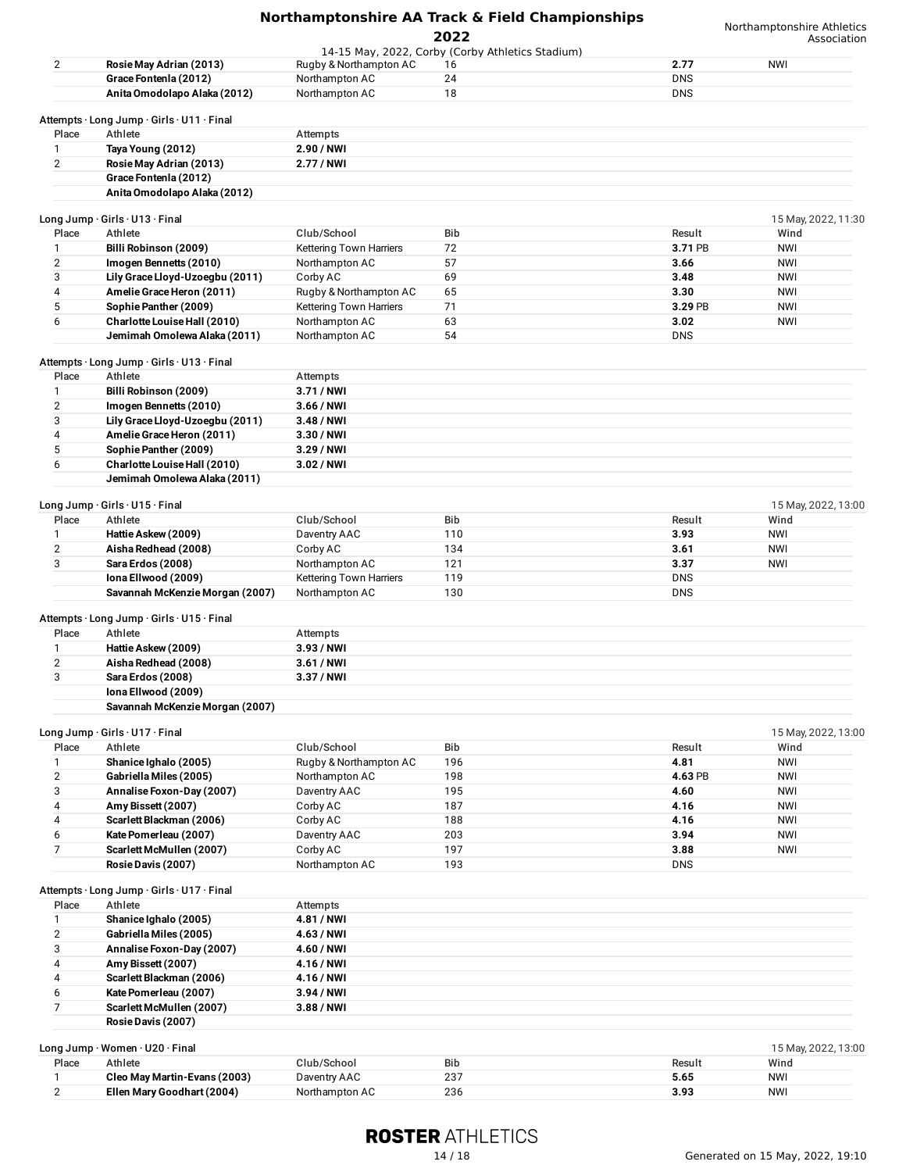|                         |                                                        |                            | 2022                                             |                    | Northamptonshire Athletics<br>Association |
|-------------------------|--------------------------------------------------------|----------------------------|--------------------------------------------------|--------------------|-------------------------------------------|
|                         |                                                        |                            | 14-15 May, 2022, Corby (Corby Athletics Stadium) |                    |                                           |
| $\overline{2}$          | Rosie May Adrian (2013)                                | Rugby & Northampton AC     | 16                                               | 2.77               | <b>NWI</b>                                |
|                         | Grace Fontenla (2012)                                  | Northampton AC             | 24                                               | <b>DNS</b>         |                                           |
|                         | Anita Omodolapo Alaka (2012)                           | Northampton AC             | 18                                               | <b>DNS</b>         |                                           |
|                         |                                                        |                            |                                                  |                    |                                           |
| Place                   | Attempts · Long Jump · Girls · U11 · Final<br>Athlete  | Attempts                   |                                                  |                    |                                           |
| 1                       | Taya Young (2012)                                      | 2.90 / NWI                 |                                                  |                    |                                           |
| $\overline{2}$          | Rosie May Adrian (2013)                                | 2.77 / NWI                 |                                                  |                    |                                           |
|                         |                                                        |                            |                                                  |                    |                                           |
|                         | Grace Fontenia (2012)<br>Anita Omodolapo Alaka (2012)  |                            |                                                  |                    |                                           |
|                         |                                                        |                            |                                                  |                    |                                           |
|                         | Long Jump · Girls · U13 · Final                        |                            |                                                  |                    | 15 May, 2022, 11:30                       |
| Place                   | Athlete                                                | Club/School                | Bib                                              | Result             | Wind                                      |
| 1                       | Billi Robinson (2009)                                  | Kettering Town Harriers    | 72                                               | 3.71 PB            | <b>NWI</b>                                |
| $\overline{2}$          | Imogen Bennetts (2010)                                 | Northampton AC             | 57                                               | 3.66               | <b>NWI</b>                                |
| 3                       | Lily Grace Lloyd-Uzoegbu (2011)                        | Corby AC                   | 69                                               | 3.48               | <b>NWI</b>                                |
| 4                       | Amelie Grace Heron (2011)                              | Rugby & Northampton AC     | 65                                               | 3.30               | <b>NWI</b>                                |
| 5                       | Sophie Panther (2009)                                  | Kettering Town Harriers    | 71                                               | 3.29 PB            | <b>NWI</b>                                |
| 6                       | Charlotte Louise Hall (2010)                           | Northampton AC             | 63                                               | 3.02               | <b>NWI</b>                                |
|                         | Jemimah Omolewa Alaka (2011)                           | Northampton AC             | 54                                               | <b>DNS</b>         |                                           |
|                         | Attempts · Long Jump · Girls · U13 · Final             |                            |                                                  |                    |                                           |
| Place                   | Athlete                                                | Attempts                   |                                                  |                    |                                           |
| 1                       | Billi Robinson (2009)                                  | 3.71 / NWI                 |                                                  |                    |                                           |
|                         |                                                        |                            |                                                  |                    |                                           |
| 2                       | Imogen Bennetts (2010)                                 | 3.66 / NWI                 |                                                  |                    |                                           |
| 3                       | Lily Grace Lloyd-Uzoegbu (2011)                        | 3.48 / NWI                 |                                                  |                    |                                           |
| 4                       | Amelie Grace Heron (2011)                              | $3.30/$ NWI                |                                                  |                    |                                           |
| 5                       | Sophie Panther (2009)                                  | 3.29 / NWI                 |                                                  |                    |                                           |
| 6                       | Charlotte Louise Hall (2010)                           | 3.02 / NWI                 |                                                  |                    |                                           |
|                         | Jemimah Omolewa Alaka (2011)                           |                            |                                                  |                    |                                           |
|                         | Long Jump · Girls · U15 · Final                        |                            |                                                  |                    | 15 May, 2022, 13:00                       |
| Place                   | Athlete                                                | Club/School                | Bib                                              | Result             | Wind                                      |
|                         |                                                        |                            | 110                                              | 3.93               | <b>NWI</b>                                |
| 1                       | Hattie Askew (2009)                                    | Daventry AAC               |                                                  |                    |                                           |
| $\overline{2}$          | Aisha Redhead (2008)                                   | Corby AC                   | 134                                              | 3.61               | <b>NWI</b>                                |
| 3                       | Sara Erdos (2008)                                      | Northampton AC             | 121                                              | 3.37               | <b>NWI</b>                                |
|                         | Iona Ellwood (2009)                                    | Kettering Town Harriers    | 119                                              | <b>DNS</b>         |                                           |
|                         | Savannah McKenzie Morgan (2007)                        | Northampton AC             | 130                                              | <b>DNS</b>         |                                           |
|                         | Attempts · Long Jump · Girls · U15 · Final             |                            |                                                  |                    |                                           |
| Place                   | Athlete                                                | Attempts                   |                                                  |                    |                                           |
| 1                       | Hattie Askew (2009)                                    | $3.93/$ NWI                |                                                  |                    |                                           |
| $\overline{2}$          | Aisha Redhead (2008)                                   | $3.61/$ NWI                |                                                  |                    |                                           |
|                         | Sara Erdos (2008)                                      |                            |                                                  |                    |                                           |
| 3                       |                                                        | 3.37 / NWI                 |                                                  |                    |                                           |
|                         | Iona Ellwood (2009)<br>Savannah McKenzie Morgan (2007) |                            |                                                  |                    |                                           |
|                         |                                                        |                            |                                                  |                    |                                           |
|                         | Long Jump · Girls · U17 · Final                        |                            |                                                  |                    | 15 May, 2022, 13:00                       |
| Place                   | Athlete                                                | Club/School                | Bib                                              | Result             | Wind                                      |
| 1                       | Shanice Ighalo (2005)                                  | Rugby & Northampton AC     | 196                                              | 4.81               | <b>NWI</b>                                |
| $\overline{2}$          | Gabriella Miles (2005)                                 | Northampton AC             | 198                                              | 4.63 PB            | <b>NWI</b>                                |
| 3                       | Annalise Foxon-Day (2007)                              | Daventry AAC               | 195                                              | 4.60               | <b>NWI</b>                                |
| 4                       | Amy Bissett (2007)                                     | Corby AC                   | 187                                              | 4.16               | <b>NWI</b>                                |
| 4                       | Scarlett Blackman (2006)                               | Corby AC                   | 188                                              | 4.16               | <b>NWI</b>                                |
|                         |                                                        |                            |                                                  |                    |                                           |
| 6                       | Kate Pomerleau (2007)                                  | Daventry AAC               | 203                                              | 3.94               | NWI                                       |
| $\overline{7}$          | Scarlett McMullen (2007)                               | Corby AC<br>Northampton AC | 197<br>193                                       | 3.88<br><b>DNS</b> | <b>NWI</b>                                |
|                         | Rosie Davis (2007)                                     |                            |                                                  |                    |                                           |
|                         | Attempts · Long Jump · Girls · U17 · Final             |                            |                                                  |                    |                                           |
| Place                   | Athlete                                                | Attempts                   |                                                  |                    |                                           |
| 1                       | Shanice Ighalo (2005)                                  | 4.81 / NWI                 |                                                  |                    |                                           |
| $\overline{\mathbf{c}}$ | Gabriella Miles (2005)                                 | 4.63 / NWI                 |                                                  |                    |                                           |
| 3                       | Annalise Foxon-Day (2007)                              | 4.60 / NWI                 |                                                  |                    |                                           |
| 4                       | Amy Bissett (2007)                                     | 4.16 / NWI                 |                                                  |                    |                                           |
| 4                       | Scarlett Blackman (2006)                               | 4.16 / NWI                 |                                                  |                    |                                           |
| 6                       | Kate Pomerleau (2007)                                  | 3.94 / NWI                 |                                                  |                    |                                           |
| $\overline{7}$          |                                                        |                            |                                                  |                    |                                           |
|                         | Scarlett McMullen (2007)                               | 3.88 / NWI                 |                                                  |                    |                                           |
|                         | Rosie Davis (2007)                                     |                            |                                                  |                    |                                           |
|                         | Long Jump · Women · U20 · Final                        |                            |                                                  |                    | 15 May, 2022, 13:00                       |
| Place                   | Athlete                                                | Club/School                | Bib                                              | Result             | Wind                                      |
| $\mathbf{1}$            | Cleo May Martin-Evans (2003)                           | Daventry AAC               | 237                                              | 5.65               | <b>NWI</b>                                |
| $\mathbf{2}$            | Ellen Mary Goodhart (2004)                             | Northampton AC             | 236                                              | 3.93               | <b>NWI</b>                                |
|                         |                                                        |                            |                                                  |                    |                                           |

## **ROSTER ATHLETICS**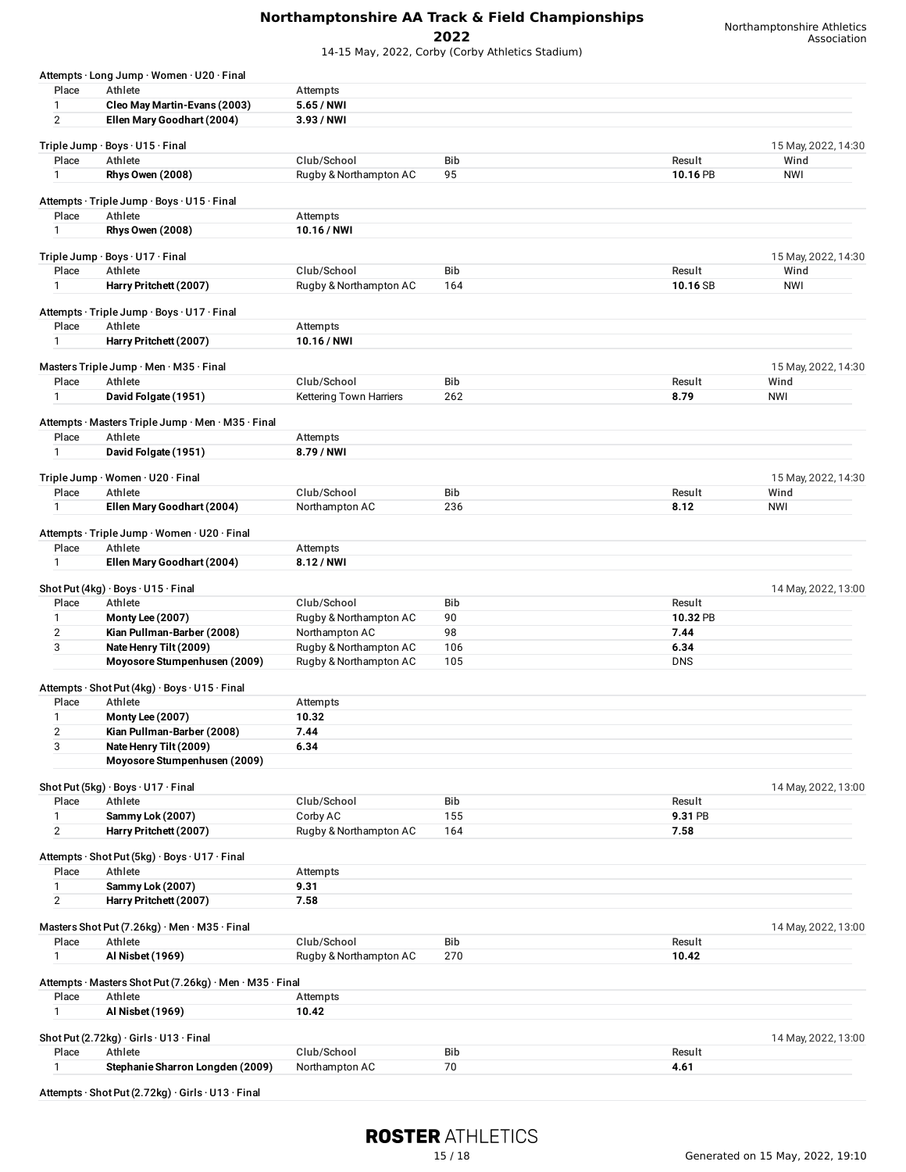14-15 May, 2022, Corby (Corby Athletics Stadium)

Northamptonshire Athletics Association

|                         | Attempts · Long Jump · Women · U20 · Final               |                         |            |            |                     |
|-------------------------|----------------------------------------------------------|-------------------------|------------|------------|---------------------|
| Place                   | Athlete                                                  | Attempts                |            |            |                     |
| 1                       | Cleo May Martin-Evans (2003)                             | 5.65 / NWI              |            |            |                     |
| $\overline{2}$          | Ellen Mary Goodhart (2004)                               | 3.93 / NWI              |            |            |                     |
|                         | Triple Jump · Boys · U15 · Final                         |                         |            |            | 15 May, 2022, 14:30 |
| Place                   | Athlete                                                  | Club/School             | Bib        | Result     | Wind                |
| 1                       | <b>Rhys Owen (2008)</b>                                  | Rugby & Northampton AC  | 95         | 10.16 PB   | <b>NWI</b>          |
|                         |                                                          |                         |            |            |                     |
| Place                   | Attempts · Triple Jump · Boys · U15 · Final<br>Athlete   | Attempts                |            |            |                     |
| $\mathbf{1}$            | <b>Rhys Owen (2008)</b>                                  | 10.16 / NWI             |            |            |                     |
|                         |                                                          |                         |            |            |                     |
|                         | Triple Jump · Boys · U17 · Final                         |                         |            |            | 15 May, 2022, 14:30 |
| Place                   | Athlete                                                  | Club/School             | <b>Bib</b> | Result     | Wind                |
| 1                       | Harry Pritchett (2007)                                   | Rugby & Northampton AC  | 164        | 10.16 SB   | <b>NWI</b>          |
|                         | Attempts · Triple Jump · Boys · U17 · Final              |                         |            |            |                     |
| Place                   | Athlete                                                  | Attempts                |            |            |                     |
| 1                       | Harry Pritchett (2007)                                   | 10.16 / NWI             |            |            |                     |
|                         |                                                          |                         |            |            |                     |
|                         | Masters Triple Jump · Men · M35 · Final                  |                         |            |            | 15 May, 2022, 14:30 |
| Place                   | Athlete                                                  | Club/School             | Bib        | Result     | Wind                |
| $\mathbf{1}$            | David Folgate (1951)                                     | Kettering Town Harriers | 262        | 8.79       | <b>NWI</b>          |
|                         | Attempts · Masters Triple Jump · Men · M35 · Final       |                         |            |            |                     |
| Place                   | Athlete                                                  | Attempts                |            |            |                     |
| $\mathbf{1}$            | David Folgate (1951)                                     | 8.79 / NWI              |            |            |                     |
|                         |                                                          |                         |            |            |                     |
|                         | Triple Jump · Women · U20 · Final                        |                         |            |            | 15 May, 2022, 14:30 |
| Place                   | Athlete                                                  | Club/School             | Bib        | Result     | Wind                |
| $\mathbf{1}$            | Ellen Mary Goodhart (2004)                               | Northampton AC          | 236        | 8.12       | <b>NWI</b>          |
|                         | Attempts · Triple Jump · Women · U20 · Final             |                         |            |            |                     |
| Place                   | Athlete                                                  | Attempts                |            |            |                     |
| $\mathbf{1}$            | Ellen Mary Goodhart (2004)                               | 8.12 / NWI              |            |            |                     |
|                         |                                                          |                         |            |            |                     |
|                         | Shot Put (4kg) · Boys · U15 · Final                      |                         |            |            | 14 May, 2022, 13:00 |
| Place                   | Athlete                                                  | Club/School             | Bib        | Result     |                     |
| 1                       | Monty Lee (2007)                                         | Rugby & Northampton AC  | 90         | 10.32 PB   |                     |
| $\overline{\mathbf{c}}$ | Kian Pullman-Barber (2008)                               | Northampton AC          | 98         | 7.44       |                     |
| 3                       | Nate Henry Tilt (2009)                                   | Rugby & Northampton AC  | 106        | 6.34       |                     |
|                         | Moyosore Stumpenhusen (2009)                             | Rugby & Northampton AC  | 105        | <b>DNS</b> |                     |
|                         | Attempts · Shot Put (4kg) · Boys · U15 · Final           |                         |            |            |                     |
| Place                   | Athlete                                                  | Attempts                |            |            |                     |
| 1                       | Monty Lee (2007)                                         | 10.32                   |            |            |                     |
| $\overline{\mathbf{c}}$ | Kian Pullman-Barber (2008)                               | 7.44                    |            |            |                     |
| 3                       | Nate Henry Tilt (2009)                                   | 6.34                    |            |            |                     |
|                         | Moyosore Stumpenhusen (2009)                             |                         |            |            |                     |
|                         |                                                          |                         |            |            |                     |
| Place                   | Shot Put (5kg) · Boys · U17 · Final<br>Athlete           | Club/School             | <b>Bib</b> | Result     | 14 May, 2022, 13:00 |
| 1                       | Sammy Lok (2007)                                         | Corby AC                | 155        | 9.31 PB    |                     |
| $\overline{2}$          | Harry Pritchett (2007)                                   | Rugby & Northampton AC  | 164        | 7.58       |                     |
|                         |                                                          |                         |            |            |                     |
|                         | Attempts · Shot Put (5kg) · Boys · U17 · Final           |                         |            |            |                     |
| Place                   | Athlete                                                  | Attempts                |            |            |                     |
| 1                       | Sammy Lok (2007)                                         | 9.31                    |            |            |                     |
| $\overline{2}$          | Harry Pritchett (2007)                                   | 7.58                    |            |            |                     |
|                         | Masters Shot Put (7.26kg) · Men · M35 · Final            |                         |            |            | 14 May, 2022, 13:00 |
| Place                   | Athlete                                                  | Club/School             | Bib        | Result     |                     |
| 1                       | Al Nisbet (1969)                                         | Rugby & Northampton AC  | 270        | 10.42      |                     |
|                         |                                                          |                         |            |            |                     |
|                         |                                                          |                         |            |            |                     |
|                         | Attempts · Masters Shot Put (7.26kg) · Men · M35 · Final |                         |            |            |                     |
| Place                   | Athlete                                                  | Attempts                |            |            |                     |
| 1                       | Al Nisbet (1969)                                         | 10.42                   |            |            |                     |
|                         |                                                          |                         |            |            |                     |
| Place                   | Shot Put (2.72kg) · Girls · U13 · Final<br>Athlete       | Club/School             | Bib        | Result     | 14 May, 2022, 13:00 |

Attempts · Shot Put(2.72kg) · Girls · U13 · Final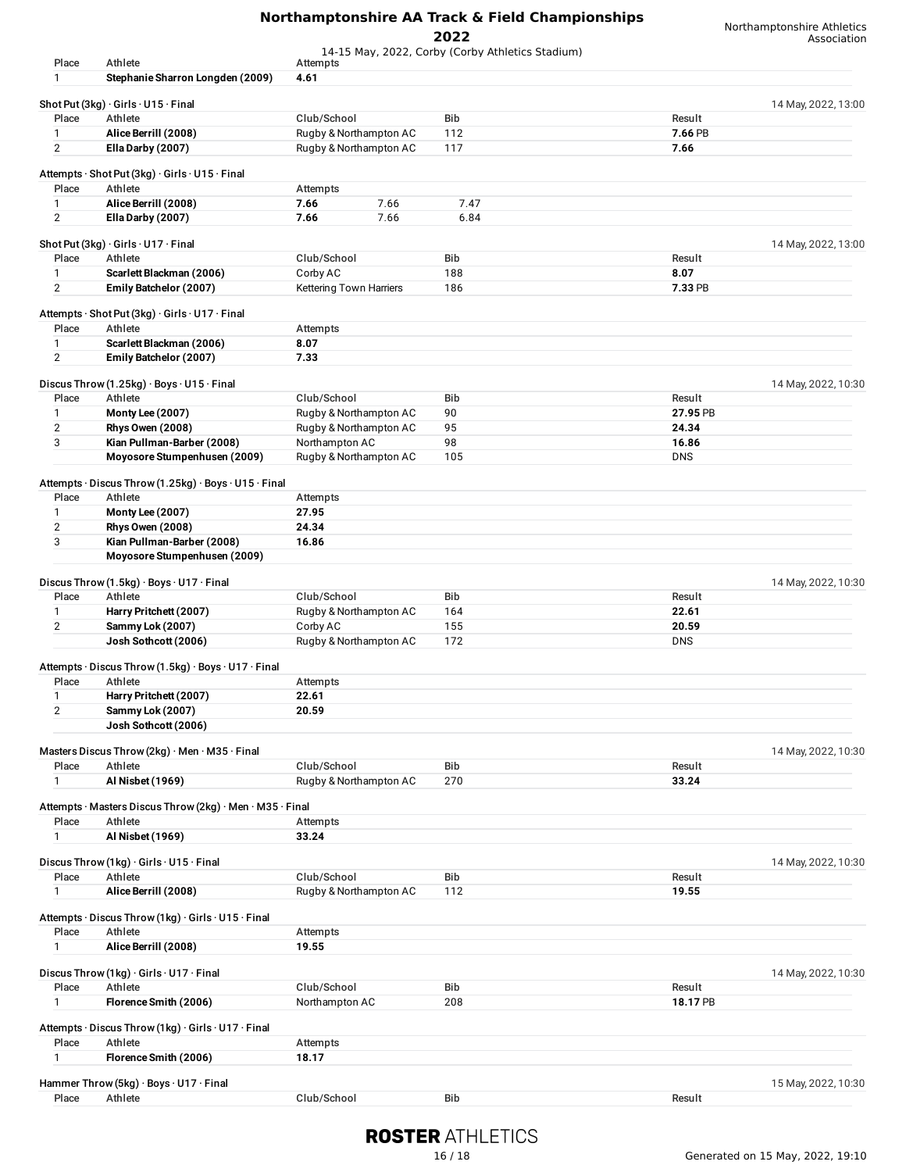14-15 May, 2022, Corby (Corby Athletics Stadium)

| Place          | Athlete                                                   |                         | 14-13 May, 2022, COIDY (COIDY Attribute Stadium) |            |                     |
|----------------|-----------------------------------------------------------|-------------------------|--------------------------------------------------|------------|---------------------|
|                |                                                           | Attempts                |                                                  |            |                     |
| 1              | Stephanie Sharron Longden (2009)                          | 4.61                    |                                                  |            |                     |
|                |                                                           |                         |                                                  |            |                     |
|                | Shot Put $(3kg) \cdot$ Girls $\cdot$ U15 $\cdot$ Final    |                         |                                                  |            | 14 May, 2022, 13:00 |
| Place          | Athlete                                                   | Club/School             | Bib                                              | Result     |                     |
| $\mathbf{1}$   | Alice Berrill (2008)                                      | Rugby & Northampton AC  | 112                                              | 7.66 PB    |                     |
| $\overline{2}$ | Ella Darby (2007)                                         | Rugby & Northampton AC  | 117                                              | 7.66       |                     |
|                |                                                           |                         |                                                  |            |                     |
|                | Attempts · Shot Put (3kg) · Girls · U15 · Final           |                         |                                                  |            |                     |
| Place          | Athlete                                                   | Attempts                |                                                  |            |                     |
| $\mathbf{1}$   | Alice Berrill (2008)                                      | 7.66<br>7.66            | 7.47                                             |            |                     |
| $\overline{2}$ | Ella Darby (2007)                                         | 7.66<br>7.66            | 6.84                                             |            |                     |
|                |                                                           |                         |                                                  |            |                     |
|                | Shot Put (3kg) · Girls · U17 · Final                      |                         |                                                  |            | 14 May, 2022, 13:00 |
| Place          | Athlete                                                   | Club/School             | <b>Bib</b>                                       | Result     |                     |
| 1              | Scarlett Blackman (2006)                                  | Corby AC                | 188                                              | 8.07       |                     |
| $\overline{2}$ | Emily Batchelor (2007)                                    |                         | 186                                              | 7.33 PB    |                     |
|                |                                                           | Kettering Town Harriers |                                                  |            |                     |
|                | Attempts · Shot Put (3kg) · Girls · U17 · Final           |                         |                                                  |            |                     |
|                |                                                           |                         |                                                  |            |                     |
| Place          | Athlete                                                   | Attempts                |                                                  |            |                     |
| 1              | Scarlett Blackman (2006)                                  | 8.07                    |                                                  |            |                     |
| $\overline{2}$ | Emily Batchelor (2007)                                    | 7.33                    |                                                  |            |                     |
|                |                                                           |                         |                                                  |            |                     |
|                | Discus Throw $(1.25kg) \cdot Boys \cdot U15 \cdot Final$  |                         |                                                  |            | 14 May, 2022, 10:30 |
| Place          | Athlete                                                   | Club/School             | <b>Bib</b>                                       | Result     |                     |
| $\mathbf{1}$   | <b>Monty Lee (2007)</b>                                   | Rugby & Northampton AC  | 90                                               | 27.95 PB   |                     |
| $\overline{2}$ | <b>Rhys Owen (2008)</b>                                   | Rugby & Northampton AC  | 95                                               | 24.34      |                     |
| 3              | Kian Pullman-Barber (2008)                                | Northampton AC          | 98                                               | 16.86      |                     |
|                | Moyosore Stumpenhusen (2009)                              | Rugby & Northampton AC  | 105                                              | <b>DNS</b> |                     |
|                |                                                           |                         |                                                  |            |                     |
|                | Attempts · Discus Throw (1.25kg) · Boys · U15 · Final     |                         |                                                  |            |                     |
|                |                                                           |                         |                                                  |            |                     |
| Place          | Athlete                                                   | Attempts                |                                                  |            |                     |
| 1              | <b>Monty Lee (2007)</b>                                   | 27.95                   |                                                  |            |                     |
| $\mathbf 2$    | <b>Rhys Owen (2008)</b>                                   | 24.34                   |                                                  |            |                     |
| 3              | Kian Pullman-Barber (2008)                                | 16.86                   |                                                  |            |                     |
|                | Moyosore Stumpenhusen (2009)                              |                         |                                                  |            |                     |
|                |                                                           |                         |                                                  |            |                     |
|                | Discus Throw (1.5kg) · Boys · U17 · Final                 |                         |                                                  |            | 14 May, 2022, 10:30 |
| Place          | Athlete                                                   | Club/School             | Bib                                              | Result     |                     |
| 1              | Harry Pritchett (2007)                                    | Rugby & Northampton AC  | 164                                              | 22.61      |                     |
| $\overline{2}$ | Sammy Lok (2007)                                          | Corby AC                | 155                                              | 20.59      |                     |
|                | Josh Sothcott (2006)                                      | Rugby & Northampton AC  | 172                                              | <b>DNS</b> |                     |
|                |                                                           |                         |                                                  |            |                     |
|                | Attempts · Discus Throw (1.5kg) · Boys · U17 · Final      |                         |                                                  |            |                     |
|                |                                                           |                         |                                                  |            |                     |
| Place          | Athlete                                                   | Attempts                |                                                  |            |                     |
| 1              | Harry Pritchett (2007)                                    | 22.61                   |                                                  |            |                     |
| 2              | Sammy Lok (2007)                                          | 20.59                   |                                                  |            |                     |
|                | Josh Sothcott (2006)                                      |                         |                                                  |            |                     |
|                |                                                           |                         |                                                  |            |                     |
|                | Masters Discus Throw (2kg) · Men · M35 · Final            |                         |                                                  |            | 14 May, 2022, 10:30 |
| Place          | Athlete                                                   | Club/School             | Bib                                              | Result     |                     |
| $\mathbf{1}$   | Al Nisbet (1969)                                          | Rugby & Northampton AC  | 270                                              | 33.24      |                     |
|                |                                                           |                         |                                                  |            |                     |
|                | Attempts · Masters Discus Throw (2kg) · Men · M35 · Final |                         |                                                  |            |                     |
| Place          | Athlete                                                   | Attempts                |                                                  |            |                     |
| $\mathbf{1}$   | Al Nisbet (1969)                                          | 33.24                   |                                                  |            |                     |
|                |                                                           |                         |                                                  |            |                     |
|                | Discus Throw (1kg) · Girls · U15 · Final                  |                         |                                                  |            | 14 May, 2022, 10:30 |
|                |                                                           |                         |                                                  |            |                     |
| Place          | Athlete                                                   | Club/School             | Bib                                              | Result     |                     |
| $\mathbf{1}$   | Alice Berrill (2008)                                      | Rugby & Northampton AC  | 112                                              | 19.55      |                     |
|                |                                                           |                         |                                                  |            |                     |
|                | Attempts · Discus Throw (1kg) · Girls · U15 · Final       |                         |                                                  |            |                     |
| Place          | Athlete                                                   | Attempts                |                                                  |            |                     |
| $\mathbf{1}$   | Alice Berrill (2008)                                      | 19.55                   |                                                  |            |                     |
|                |                                                           |                         |                                                  |            |                     |
|                | Discus Throw (1kg) · Girls · U17 · Final                  |                         |                                                  |            | 14 May, 2022, 10:30 |
| Place          | Athlete                                                   | Club/School             | Bib                                              | Result     |                     |
| $\mathbf{1}$   | Florence Smith (2006)                                     | Northampton AC          | 208                                              | 18.17 PB   |                     |
|                |                                                           |                         |                                                  |            |                     |
|                | Attempts · Discus Throw (1kg) · Girls · U17 · Final       |                         |                                                  |            |                     |
| Place          | Athlete                                                   | Attempts                |                                                  |            |                     |
| $\mathbf{1}$   |                                                           |                         |                                                  |            |                     |
|                | Florence Smith (2006)                                     | 18.17                   |                                                  |            |                     |
|                | Hammer Throw (5kg) · Boys · U17 · Final                   |                         |                                                  |            | 15 May, 2022, 10:30 |
|                |                                                           |                         |                                                  |            |                     |
| Place          | Athlete                                                   | Club/School             | Bib                                              | Result     |                     |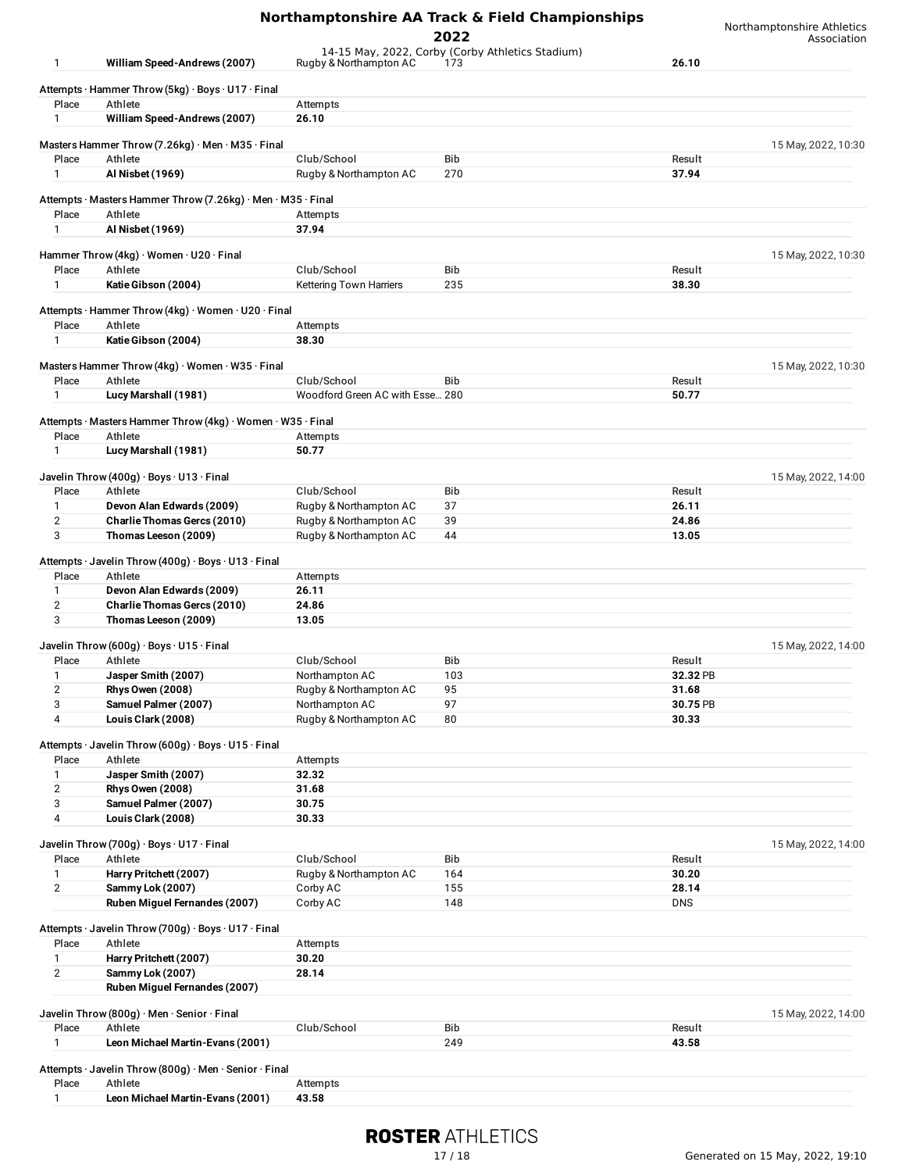|                     |                                                                     |                                                | Northamptonshire AA Track & Field Championships<br>2022 |                 | Northamptonshire Athletics<br>Association |
|---------------------|---------------------------------------------------------------------|------------------------------------------------|---------------------------------------------------------|-----------------|-------------------------------------------|
| 1                   | William Speed-Andrews (2007)                                        | Rugby & Northampton AC                         | 14-15 May, 2022, Corby (Corby Athletics Stadium)<br>173 | 26.10           |                                           |
|                     | Attempts · Hammer Throw (5kg) · Boys · U17 · Final                  |                                                |                                                         |                 |                                           |
| Place               | Athlete                                                             | Attempts                                       |                                                         |                 |                                           |
| 1                   | William Speed-Andrews (2007)                                        | 26.10                                          |                                                         |                 |                                           |
|                     | Masters Hammer Throw (7.26kg) $\cdot$ Men $\cdot$ M35 $\cdot$ Final |                                                |                                                         |                 | 15 May, 2022, 10:30                       |
| Place               | Athlete                                                             | Club/School                                    | Bib                                                     | Result          |                                           |
| $\mathbf{1}$        | Al Nisbet (1969)                                                    | Rugby & Northampton AC                         | 270                                                     | 37.94           |                                           |
|                     | Attempts · Masters Hammer Throw (7.26kg) · Men · M35 · Final        |                                                |                                                         |                 |                                           |
| Place               | Athlete                                                             | Attempts                                       |                                                         |                 |                                           |
| 1                   | Al Nisbet (1969)                                                    | 37.94                                          |                                                         |                 |                                           |
|                     | Hammer Throw (4kg) · Women · U20 · Final                            |                                                |                                                         |                 | 15 May, 2022, 10:30                       |
| Place               | Athlete                                                             | Club/School                                    | Bib                                                     | Result          |                                           |
| 1                   | Katie Gibson (2004)                                                 | Kettering Town Harriers                        | 235                                                     | 38.30           |                                           |
|                     | Attempts · Hammer Throw (4kg) · Women · U20 · Final                 |                                                |                                                         |                 |                                           |
| Place               | Athlete                                                             | Attempts                                       |                                                         |                 |                                           |
| 1                   | Katie Gibson (2004)                                                 | 38.30                                          |                                                         |                 |                                           |
|                     |                                                                     |                                                |                                                         |                 |                                           |
|                     | Masters Hammer Throw (4kg) · Women · W35 · Final                    |                                                |                                                         |                 | 15 May, 2022, 10:30                       |
| Place<br>1          | Athlete<br>Lucy Marshall (1981)                                     | Club/School<br>Woodford Green AC with Esse 280 | <b>Bib</b>                                              | Result<br>50.77 |                                           |
|                     |                                                                     |                                                |                                                         |                 |                                           |
|                     | Attempts · Masters Hammer Throw (4kg) · Women · W35 · Final         |                                                |                                                         |                 |                                           |
| Place               | Athlete                                                             | Attempts                                       |                                                         |                 |                                           |
| $\mathbf{1}$        | Lucy Marshall (1981)                                                | 50.77                                          |                                                         |                 |                                           |
|                     | Javelin Throw (400g) · Boys · U13 · Final                           |                                                |                                                         |                 | 15 May, 2022, 14:00                       |
| Place               | Athlete                                                             | Club/School                                    | Bib                                                     | Result          |                                           |
| 1                   | Devon Alan Edwards (2009)                                           | Rugby & Northampton AC                         | 37                                                      | 26.11           |                                           |
| $\overline{2}$      | Charlie Thomas Gercs (2010)                                         | Rugby & Northampton AC                         | 39                                                      | 24.86           |                                           |
| 3                   | Thomas Leeson (2009)                                                | Rugby & Northampton AC                         | 44                                                      | 13.05           |                                           |
|                     | Attempts · Javelin Throw (400g) · Boys · U13 · Final                |                                                |                                                         |                 |                                           |
| Place               | Athlete                                                             | Attempts                                       |                                                         |                 |                                           |
| 1                   | Devon Alan Edwards (2009)                                           | 26.11                                          |                                                         |                 |                                           |
| $\overline{2}$      | Charlie Thomas Gercs (2010)                                         | 24.86                                          |                                                         |                 |                                           |
| 3                   | Thomas Leeson (2009)                                                | 13.05                                          |                                                         |                 |                                           |
|                     | Javelin Throw (600g) · Boys · U15 · Final                           |                                                |                                                         |                 | 15 May, 2022, 14:00                       |
| Place               | Athlete                                                             | Club/School                                    | Bib                                                     | Result          |                                           |
| 1                   | Jasper Smith (2007)                                                 | Northampton AC                                 | 103                                                     | 32.32 PB        |                                           |
| $\mathbf{2}$        | <b>Rhys Owen (2008)</b>                                             | Rugby & Northampton AC                         | 95                                                      | 31.68           |                                           |
| 3                   | Samuel Palmer (2007)                                                | Northampton AC                                 | 97                                                      | 30.75 PB        |                                           |
| 4                   | Louis Clark (2008)                                                  | Rugby & Northampton AC                         | 80                                                      | 30.33           |                                           |
|                     | Attempts · Javelin Throw (600g) · Boys · U15 · Final                |                                                |                                                         |                 |                                           |
| Place               | Athlete                                                             | Attempts                                       |                                                         |                 |                                           |
| 1                   | Jasper Smith (2007)                                                 | 32.32                                          |                                                         |                 |                                           |
| 2<br>3              | <b>Rhys Owen (2008)</b><br>Samuel Palmer (2007)                     | 31.68<br>30.75                                 |                                                         |                 |                                           |
| 4                   | Louis Clark (2008)                                                  | 30.33                                          |                                                         |                 |                                           |
|                     |                                                                     |                                                |                                                         |                 |                                           |
|                     | Javelin Throw (700g) · Boys · U17 · Final                           |                                                |                                                         |                 | 15 May, 2022, 14:00                       |
| Place               | Athlete                                                             | Club/School                                    | Bib                                                     | Result          |                                           |
| 1<br>$\overline{2}$ | Harry Pritchett (2007)<br>Sammy Lok (2007)                          | Rugby & Northampton AC<br>Corby AC             | 164<br>155                                              | 30.20<br>28.14  |                                           |
|                     | Ruben Miguel Fernandes (2007)                                       | Corby AC                                       | 148                                                     | <b>DNS</b>      |                                           |
|                     |                                                                     |                                                |                                                         |                 |                                           |
|                     | Attempts · Javelin Throw (700g) · Boys · U17 · Final                |                                                |                                                         |                 |                                           |
| Place               | Athlete                                                             | Attempts                                       |                                                         |                 |                                           |
| 1<br>$\overline{2}$ | Harry Pritchett (2007)<br>Sammy Lok (2007)                          | 30.20<br>28.14                                 |                                                         |                 |                                           |
|                     | Ruben Miguel Fernandes (2007)                                       |                                                |                                                         |                 |                                           |
|                     |                                                                     |                                                |                                                         |                 |                                           |
|                     | Javelin Throw (800g) · Men · Senior · Final                         |                                                |                                                         |                 | 15 May, 2022, 14:00                       |
| Place               | Athlete                                                             | Club/School                                    | Bib                                                     | Result          |                                           |
| $\mathbf{1}$        | Leon Michael Martin-Evans (2001)                                    |                                                | 249                                                     | 43.58           |                                           |
|                     | Attempts · Javelin Throw (800g) · Men · Senior · Final              |                                                |                                                         |                 |                                           |
| Place               | Athlete                                                             | Attempts                                       |                                                         |                 |                                           |
| 1                   | Leon Michael Martin-Evans (2001)                                    | 43.58                                          |                                                         |                 |                                           |